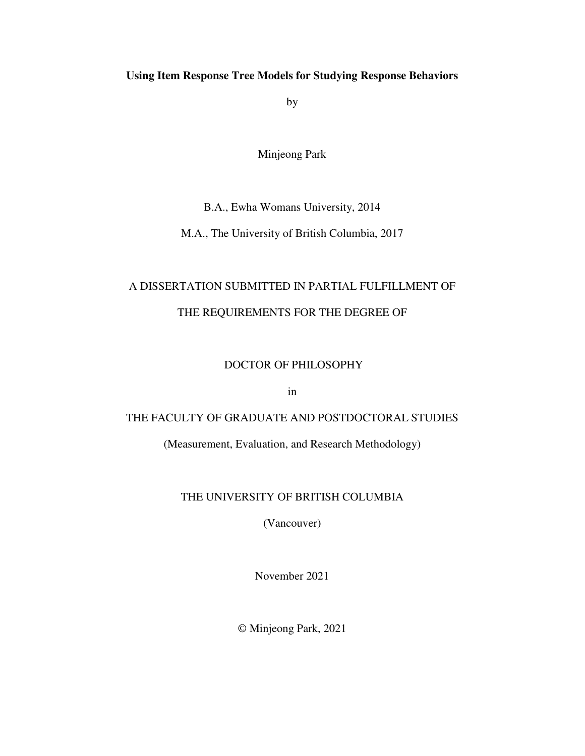### **Using Item Response Tree Models for Studying Response Behaviors**

by

Minjeong Park

#### B.A., Ewha Womans University, 2014

M.A., The University of British Columbia, 2017

## A DISSERTATION SUBMITTED IN PARTIAL FULFILLMENT OF THE REQUIREMENTS FOR THE DEGREE OF

### DOCTOR OF PHILOSOPHY

in

### THE FACULTY OF GRADUATE AND POSTDOCTORAL STUDIES

(Measurement, Evaluation, and Research Methodology)

### THE UNIVERSITY OF BRITISH COLUMBIA

(Vancouver)

November 2021

© Minjeong Park, 2021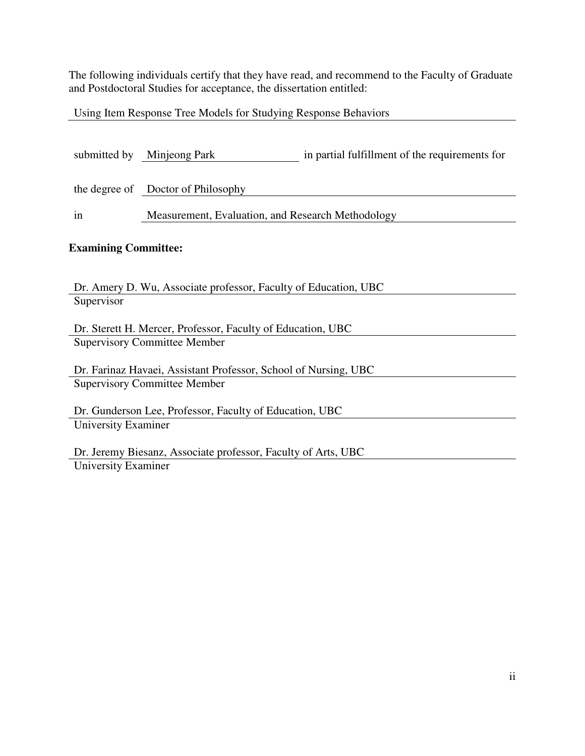The following individuals certify that they have read, and recommend to the Faculty of Graduate and Postdoctoral Studies for acceptance, the dissertation entitled:

Using Item Response Tree Models for Studying Response Behaviors

| submitted by                        | Minjeong Park                                                   | in partial fulfillment of the requirements for |  |  |  |  |
|-------------------------------------|-----------------------------------------------------------------|------------------------------------------------|--|--|--|--|
|                                     | the degree of Doctor of Philosophy                              |                                                |  |  |  |  |
| in                                  | Measurement, Evaluation, and Research Methodology               |                                                |  |  |  |  |
|                                     | <b>Examining Committee:</b>                                     |                                                |  |  |  |  |
|                                     | Dr. Amery D. Wu, Associate professor, Faculty of Education, UBC |                                                |  |  |  |  |
| Supervisor                          |                                                                 |                                                |  |  |  |  |
|                                     | Dr. Sterett H. Mercer, Professor, Faculty of Education, UBC     |                                                |  |  |  |  |
| <b>Supervisory Committee Member</b> |                                                                 |                                                |  |  |  |  |
|                                     | Dr. Farinaz Havaei, Assistant Professor, School of Nursing, UBC |                                                |  |  |  |  |
|                                     | <b>Supervisory Committee Member</b>                             |                                                |  |  |  |  |
|                                     | Dr. Gunderson Lee, Professor, Faculty of Education, UBC         |                                                |  |  |  |  |
| University Examiner                 |                                                                 |                                                |  |  |  |  |
|                                     | Dr. Jeremy Biesanz, Associate professor, Faculty of Arts, UBC   |                                                |  |  |  |  |

University Examiner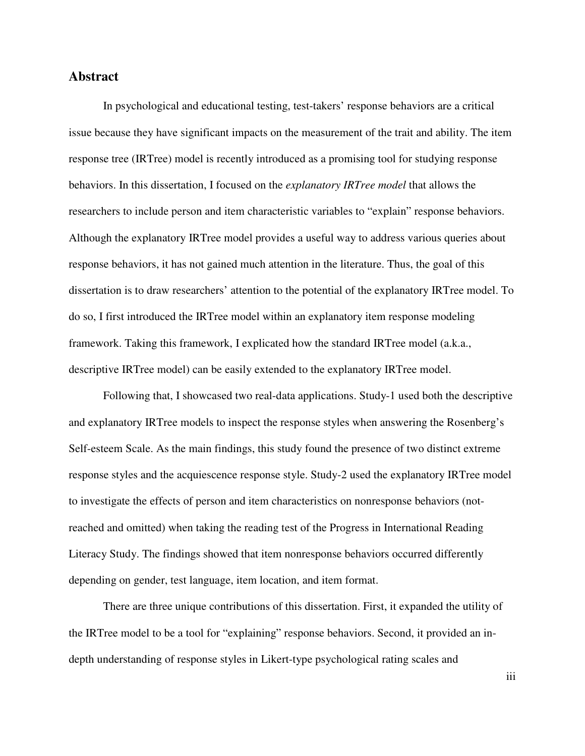#### **Abstract**

In psychological and educational testing, test-takers' response behaviors are a critical issue because they have significant impacts on the measurement of the trait and ability. The item response tree (IRTree) model is recently introduced as a promising tool for studying response behaviors. In this dissertation, I focused on the *explanatory IRTree model* that allows the researchers to include person and item characteristic variables to "explain" response behaviors. Although the explanatory IRTree model provides a useful way to address various queries about response behaviors, it has not gained much attention in the literature. Thus, the goal of this dissertation is to draw researchers' attention to the potential of the explanatory IRTree model. To do so, I first introduced the IRTree model within an explanatory item response modeling framework. Taking this framework, I explicated how the standard IRTree model (a.k.a., descriptive IRTree model) can be easily extended to the explanatory IRTree model.

Following that, I showcased two real-data applications. Study-1 used both the descriptive and explanatory IRTree models to inspect the response styles when answering the Rosenberg's Self-esteem Scale. As the main findings, this study found the presence of two distinct extreme response styles and the acquiescence response style. Study-2 used the explanatory IRTree model to investigate the effects of person and item characteristics on nonresponse behaviors (notreached and omitted) when taking the reading test of the Progress in International Reading Literacy Study. The findings showed that item nonresponse behaviors occurred differently depending on gender, test language, item location, and item format.

There are three unique contributions of this dissertation. First, it expanded the utility of the IRTree model to be a tool for "explaining" response behaviors. Second, it provided an indepth understanding of response styles in Likert-type psychological rating scales and

iii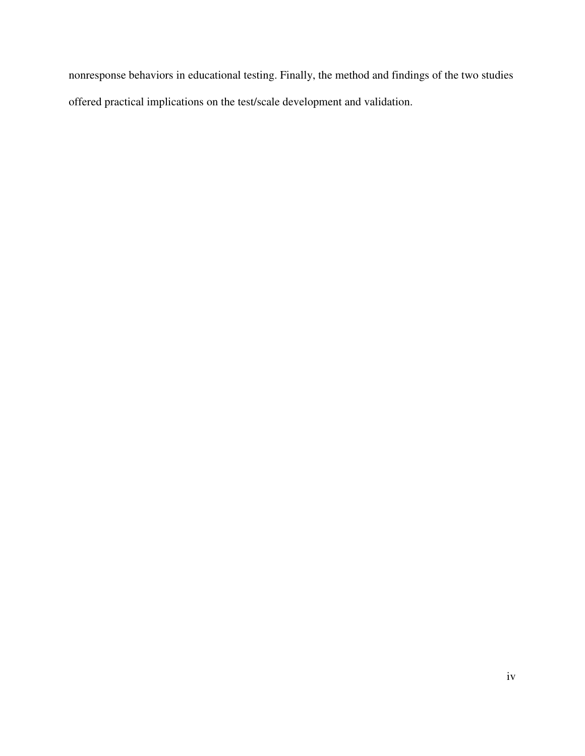nonresponse behaviors in educational testing. Finally, the method and findings of the two studies offered practical implications on the test/scale development and validation.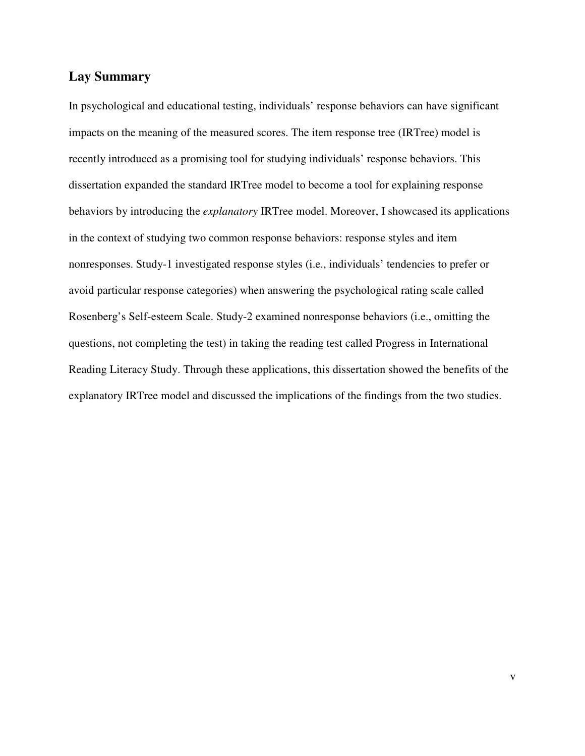#### **Lay Summary**

In psychological and educational testing, individuals' response behaviors can have significant impacts on the meaning of the measured scores. The item response tree (IRTree) model is recently introduced as a promising tool for studying individuals' response behaviors. This dissertation expanded the standard IRTree model to become a tool for explaining response behaviors by introducing the *explanatory* IRTree model. Moreover, I showcased its applications in the context of studying two common response behaviors: response styles and item nonresponses. Study-1 investigated response styles (i.e., individuals' tendencies to prefer or avoid particular response categories) when answering the psychological rating scale called Rosenberg's Self-esteem Scale. Study-2 examined nonresponse behaviors (i.e., omitting the questions, not completing the test) in taking the reading test called Progress in International Reading Literacy Study. Through these applications, this dissertation showed the benefits of the explanatory IRTree model and discussed the implications of the findings from the two studies.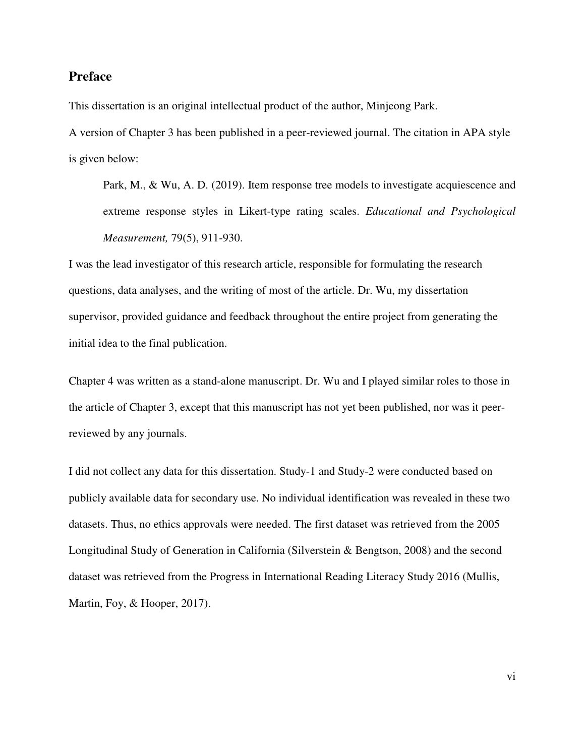#### **Preface**

This dissertation is an original intellectual product of the author, Minjeong Park.

A version of Chapter 3 has been published in a peer-reviewed journal. The citation in APA style is given below:

Park, M., & Wu, A. D. (2019). Item response tree models to investigate acquiescence and extreme response styles in Likert-type rating scales. *Educational and Psychological Measurement,* 79(5), 911-930.

I was the lead investigator of this research article, responsible for formulating the research questions, data analyses, and the writing of most of the article. Dr. Wu, my dissertation supervisor, provided guidance and feedback throughout the entire project from generating the initial idea to the final publication.

Chapter 4 was written as a stand-alone manuscript. Dr. Wu and I played similar roles to those in the article of Chapter 3, except that this manuscript has not yet been published, nor was it peerreviewed by any journals.

I did not collect any data for this dissertation. Study-1 and Study-2 were conducted based on publicly available data for secondary use. No individual identification was revealed in these two datasets. Thus, no ethics approvals were needed. The first dataset was retrieved from the 2005 Longitudinal Study of Generation in California (Silverstein & Bengtson, 2008) and the second dataset was retrieved from the Progress in International Reading Literacy Study 2016 (Mullis, Martin, Foy, & Hooper, 2017).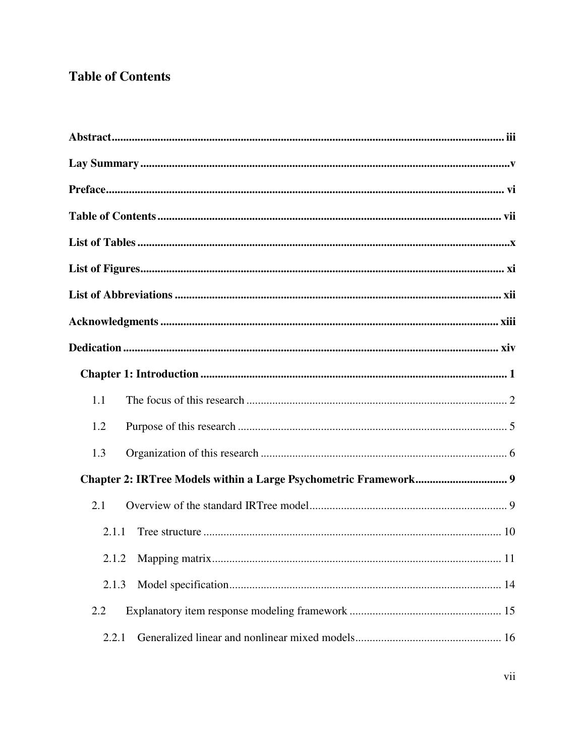## **Table of Contents**

| 1.1   |
|-------|
| 1.2   |
| 1.3   |
|       |
| 2.1   |
| 2.1.1 |
|       |
| 2.1.3 |
| 2.2   |
| 2.2.1 |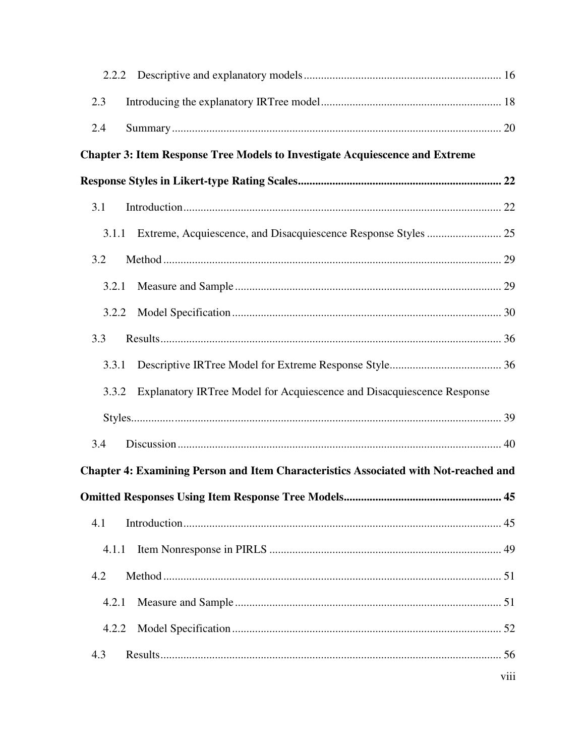| 2.3   |                                                                                      |      |
|-------|--------------------------------------------------------------------------------------|------|
| 2.4   |                                                                                      |      |
|       | <b>Chapter 3: Item Response Tree Models to Investigate Acquiescence and Extreme</b>  |      |
|       |                                                                                      |      |
| 3.1   |                                                                                      |      |
|       |                                                                                      |      |
| 3.2   |                                                                                      |      |
| 3.2.1 |                                                                                      |      |
| 3.2.2 |                                                                                      |      |
| 3.3   |                                                                                      |      |
| 3.3.1 |                                                                                      |      |
| 3.3.2 | Explanatory IRTree Model for Acquiescence and Disacquiescence Response               |      |
|       |                                                                                      |      |
| 3.4   |                                                                                      |      |
|       | Chapter 4: Examining Person and Item Characteristics Associated with Not-reached and |      |
|       |                                                                                      |      |
| 4.1   |                                                                                      |      |
| 4.1.1 |                                                                                      |      |
| 4.2   |                                                                                      |      |
| 4.2.1 |                                                                                      |      |
| 4.2.2 |                                                                                      |      |
| 4.3   |                                                                                      |      |
|       |                                                                                      | viii |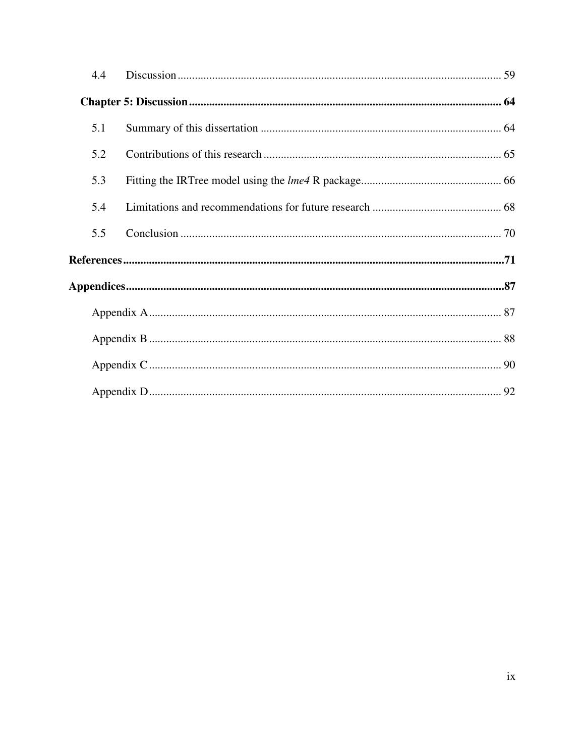| 4.4 |  |
|-----|--|
|     |  |
| 5.1 |  |
| 5.2 |  |
| 5.3 |  |
| 5.4 |  |
| 5.5 |  |
|     |  |
|     |  |
|     |  |
|     |  |
|     |  |
|     |  |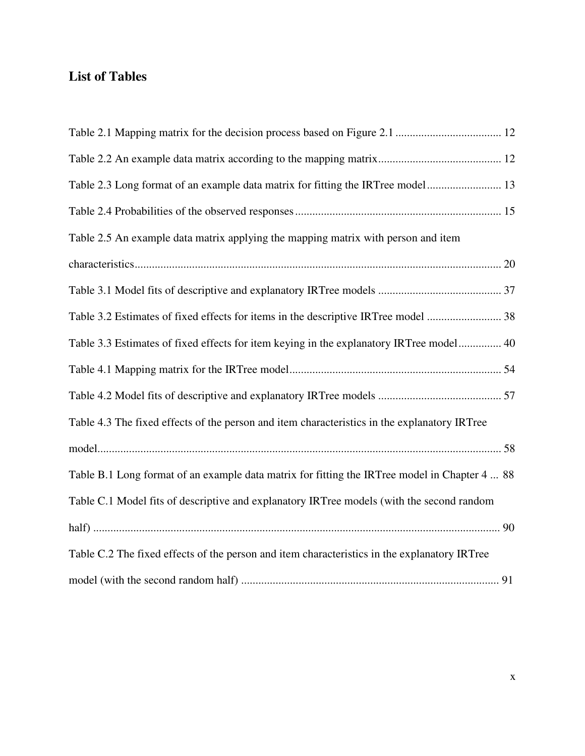## **List of Tables**

| Table 2.3 Long format of an example data matrix for fitting the IRTree model 13               |
|-----------------------------------------------------------------------------------------------|
|                                                                                               |
| Table 2.5 An example data matrix applying the mapping matrix with person and item             |
|                                                                                               |
|                                                                                               |
| Table 3.2 Estimates of fixed effects for items in the descriptive IRTree model  38            |
| Table 3.3 Estimates of fixed effects for item keying in the explanatory IRTree model 40       |
|                                                                                               |
|                                                                                               |
| Table 4.3 The fixed effects of the person and item characteristics in the explanatory IRTree  |
|                                                                                               |
| Table B.1 Long format of an example data matrix for fitting the IRTree model in Chapter 4  88 |
| Table C.1 Model fits of descriptive and explanatory IRTree models (with the second random     |
|                                                                                               |
| Table C.2 The fixed effects of the person and item characteristics in the explanatory IRTree  |
|                                                                                               |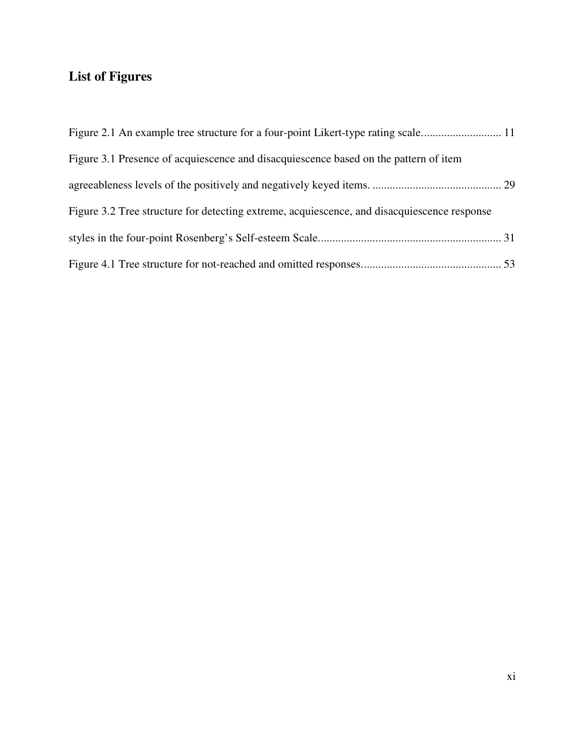## **List of Figures**

| Figure 3.1 Presence of acquiescence and disacquiescence based on the pattern of item        |  |
|---------------------------------------------------------------------------------------------|--|
|                                                                                             |  |
| Figure 3.2 Tree structure for detecting extreme, acquiescence, and disacquiescence response |  |
|                                                                                             |  |
|                                                                                             |  |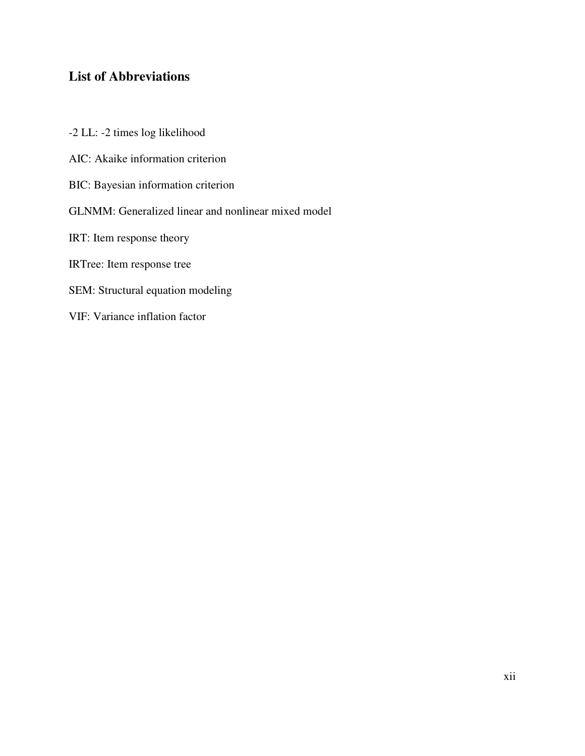## **List of Abbreviations**

-2 LL: -2 times log likelihood AIC: Akaike information criterion BIC: Bayesian information criterion GLNMM: Generalized linear and nonlinear mixed model IRT: Item response theory IRTree: Item response tree SEM: Structural equation modeling VIF: Variance inflation factor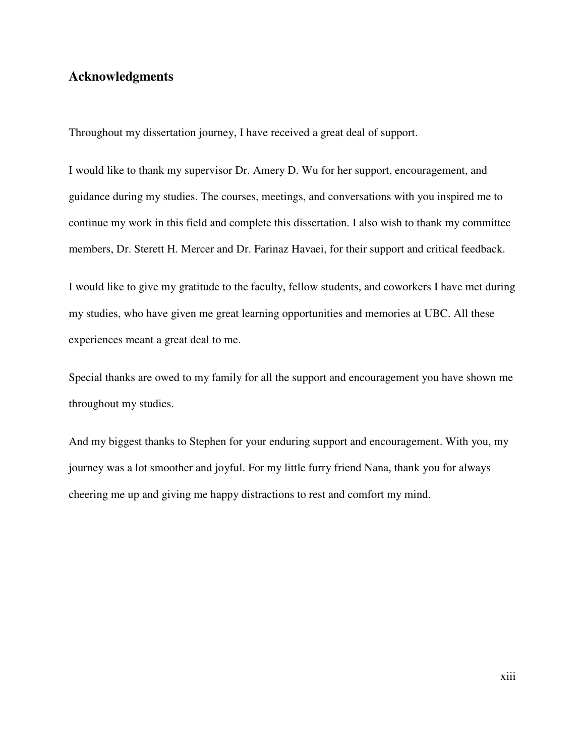## **Acknowledgments**

Throughout my dissertation journey, I have received a great deal of support.

I would like to thank my supervisor Dr. Amery D. Wu for her support, encouragement, and guidance during my studies. The courses, meetings, and conversations with you inspired me to continue my work in this field and complete this dissertation. I also wish to thank my committee members, Dr. Sterett H. Mercer and Dr. Farinaz Havaei, for their support and critical feedback.

I would like to give my gratitude to the faculty, fellow students, and coworkers I have met during my studies, who have given me great learning opportunities and memories at UBC. All these experiences meant a great deal to me.

Special thanks are owed to my family for all the support and encouragement you have shown me throughout my studies.

And my biggest thanks to Stephen for your enduring support and encouragement. With you, my journey was a lot smoother and joyful. For my little furry friend Nana, thank you for always cheering me up and giving me happy distractions to rest and comfort my mind.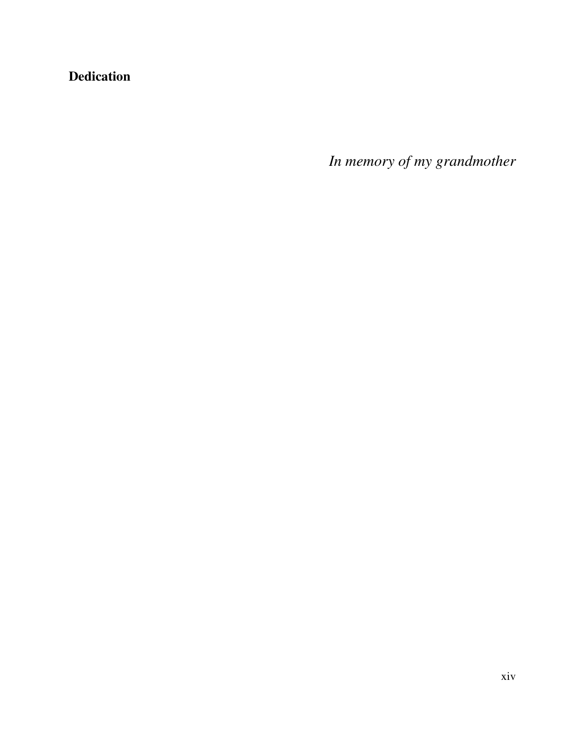## **Dedication**

*In memory of my grandmother*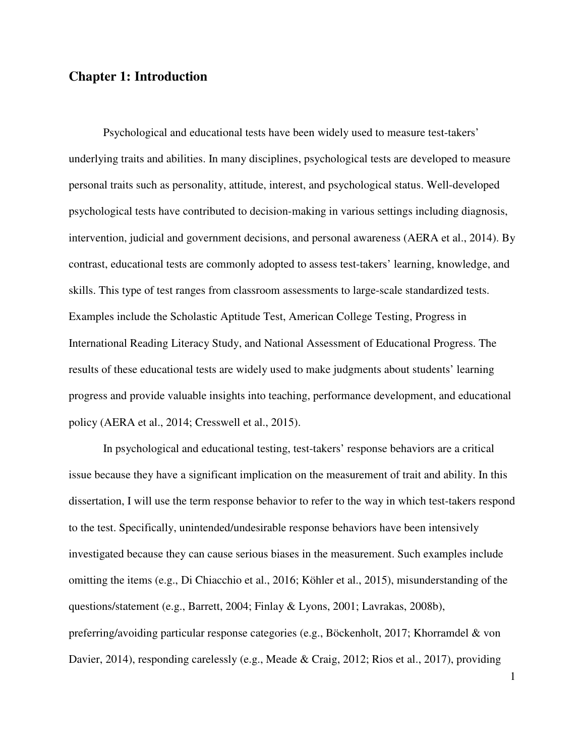## **Chapter 1: Introduction**

Psychological and educational tests have been widely used to measure test-takers' underlying traits and abilities. In many disciplines, psychological tests are developed to measure personal traits such as personality, attitude, interest, and psychological status. Well-developed psychological tests have contributed to decision-making in various settings including diagnosis, intervention, judicial and government decisions, and personal awareness (AERA et al., 2014). By contrast, educational tests are commonly adopted to assess test-takers' learning, knowledge, and skills. This type of test ranges from classroom assessments to large-scale standardized tests. Examples include the Scholastic Aptitude Test, American College Testing, Progress in International Reading Literacy Study, and National Assessment of Educational Progress. The results of these educational tests are widely used to make judgments about students' learning progress and provide valuable insights into teaching, performance development, and educational policy (AERA et al., 2014; Cresswell et al., 2015).

In psychological and educational testing, test-takers' response behaviors are a critical issue because they have a significant implication on the measurement of trait and ability. In this dissertation, I will use the term response behavior to refer to the way in which test-takers respond to the test. Specifically, unintended/undesirable response behaviors have been intensively investigated because they can cause serious biases in the measurement. Such examples include omitting the items (e.g., Di Chiacchio et al., 2016; Köhler et al., 2015), misunderstanding of the questions/statement (e.g., Barrett, 2004; Finlay & Lyons, 2001; Lavrakas, 2008b), preferring/avoiding particular response categories (e.g., Böckenholt, 2017; Khorramdel & von Davier, 2014), responding carelessly (e.g., Meade & Craig, 2012; Rios et al., 2017), providing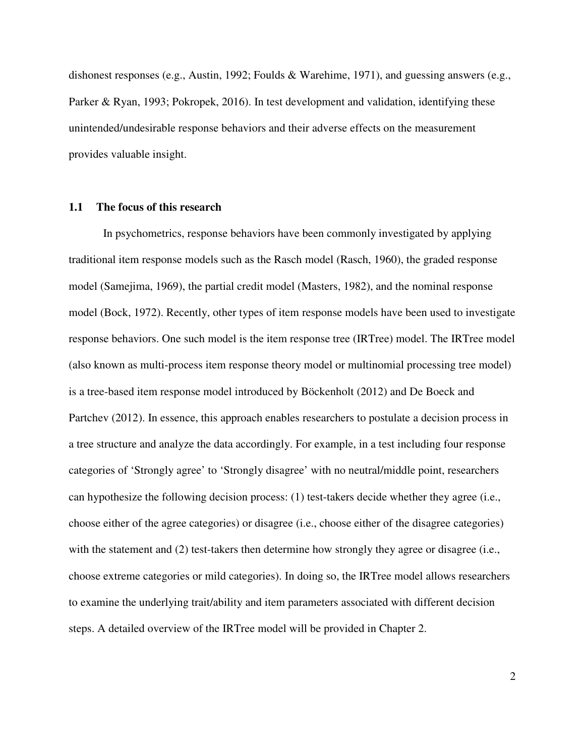dishonest responses (e.g., Austin, 1992; Foulds & Warehime, 1971), and guessing answers (e.g., Parker & Ryan, 1993; Pokropek, 2016). In test development and validation, identifying these unintended/undesirable response behaviors and their adverse effects on the measurement provides valuable insight.

#### **1.1 The focus of this research**

In psychometrics, response behaviors have been commonly investigated by applying traditional item response models such as the Rasch model (Rasch, 1960), the graded response model (Samejima, 1969), the partial credit model (Masters, 1982), and the nominal response model (Bock, 1972). Recently, other types of item response models have been used to investigate response behaviors. One such model is the item response tree (IRTree) model. The IRTree model (also known as multi-process item response theory model or multinomial processing tree model) is a tree-based item response model introduced by Böckenholt (2012) and De Boeck and Partchev (2012). In essence, this approach enables researchers to postulate a decision process in a tree structure and analyze the data accordingly. For example, in a test including four response categories of 'Strongly agree' to 'Strongly disagree' with no neutral/middle point, researchers can hypothesize the following decision process: (1) test-takers decide whether they agree (i.e., choose either of the agree categories) or disagree (i.e., choose either of the disagree categories) with the statement and (2) test-takers then determine how strongly they agree or disagree (i.e., choose extreme categories or mild categories). In doing so, the IRTree model allows researchers to examine the underlying trait/ability and item parameters associated with different decision steps. A detailed overview of the IRTree model will be provided in Chapter 2.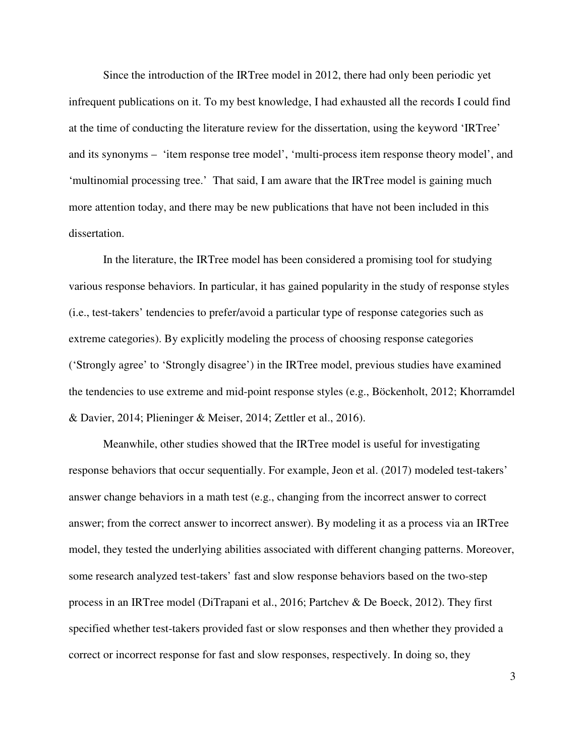Since the introduction of the IRTree model in 2012, there had only been periodic yet infrequent publications on it. To my best knowledge, I had exhausted all the records I could find at the time of conducting the literature review for the dissertation, using the keyword 'IRTree' and its synonyms – 'item response tree model', 'multi-process item response theory model', and 'multinomial processing tree.' That said, I am aware that the IRTree model is gaining much more attention today, and there may be new publications that have not been included in this dissertation.

In the literature, the IRTree model has been considered a promising tool for studying various response behaviors. In particular, it has gained popularity in the study of response styles (i.e., test-takers' tendencies to prefer/avoid a particular type of response categories such as extreme categories). By explicitly modeling the process of choosing response categories ('Strongly agree' to 'Strongly disagree') in the IRTree model, previous studies have examined the tendencies to use extreme and mid-point response styles (e.g., Böckenholt, 2012; Khorramdel & Davier, 2014; Plieninger & Meiser, 2014; Zettler et al., 2016).

Meanwhile, other studies showed that the IRTree model is useful for investigating response behaviors that occur sequentially. For example, Jeon et al. (2017) modeled test-takers' answer change behaviors in a math test (e.g., changing from the incorrect answer to correct answer; from the correct answer to incorrect answer). By modeling it as a process via an IRTree model, they tested the underlying abilities associated with different changing patterns. Moreover, some research analyzed test-takers' fast and slow response behaviors based on the two-step process in an IRTree model (DiTrapani et al., 2016; Partchev & De Boeck, 2012). They first specified whether test-takers provided fast or slow responses and then whether they provided a correct or incorrect response for fast and slow responses, respectively. In doing so, they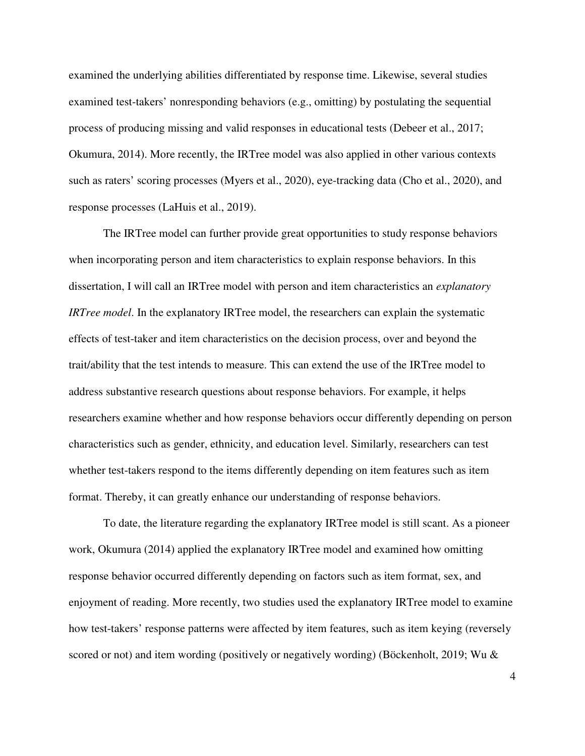examined the underlying abilities differentiated by response time. Likewise, several studies examined test-takers' nonresponding behaviors (e.g., omitting) by postulating the sequential process of producing missing and valid responses in educational tests (Debeer et al., 2017; Okumura, 2014). More recently, the IRTree model was also applied in other various contexts such as raters' scoring processes (Myers et al., 2020), eye-tracking data (Cho et al., 2020), and response processes (LaHuis et al., 2019).

The IRTree model can further provide great opportunities to study response behaviors when incorporating person and item characteristics to explain response behaviors. In this dissertation, I will call an IRTree model with person and item characteristics an *explanatory IRTree model*. In the explanatory IRTree model, the researchers can explain the systematic effects of test-taker and item characteristics on the decision process, over and beyond the trait/ability that the test intends to measure. This can extend the use of the IRTree model to address substantive research questions about response behaviors. For example, it helps researchers examine whether and how response behaviors occur differently depending on person characteristics such as gender, ethnicity, and education level. Similarly, researchers can test whether test-takers respond to the items differently depending on item features such as item format. Thereby, it can greatly enhance our understanding of response behaviors.

To date, the literature regarding the explanatory IRTree model is still scant. As a pioneer work, Okumura (2014) applied the explanatory IRTree model and examined how omitting response behavior occurred differently depending on factors such as item format, sex, and enjoyment of reading. More recently, two studies used the explanatory IRTree model to examine how test-takers' response patterns were affected by item features, such as item keying (reversely scored or not) and item wording (positively or negatively wording) (Böckenholt, 2019; Wu &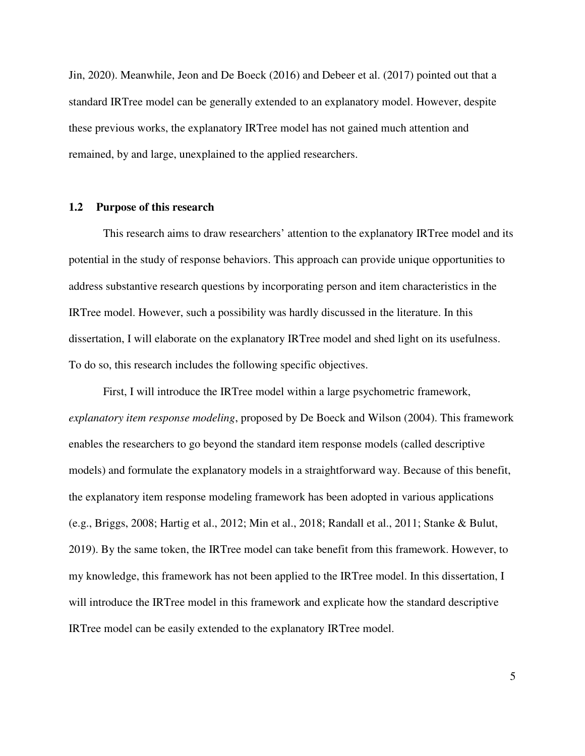Jin, 2020). Meanwhile, Jeon and De Boeck (2016) and Debeer et al. (2017) pointed out that a standard IRTree model can be generally extended to an explanatory model. However, despite these previous works, the explanatory IRTree model has not gained much attention and remained, by and large, unexplained to the applied researchers.

#### **1.2 Purpose of this research**

This research aims to draw researchers' attention to the explanatory IRTree model and its potential in the study of response behaviors. This approach can provide unique opportunities to address substantive research questions by incorporating person and item characteristics in the IRTree model. However, such a possibility was hardly discussed in the literature. In this dissertation, I will elaborate on the explanatory IRTree model and shed light on its usefulness. To do so, this research includes the following specific objectives.

First, I will introduce the IRTree model within a large psychometric framework, *explanatory item response modeling*, proposed by De Boeck and Wilson (2004). This framework enables the researchers to go beyond the standard item response models (called descriptive models) and formulate the explanatory models in a straightforward way. Because of this benefit, the explanatory item response modeling framework has been adopted in various applications (e.g., Briggs, 2008; Hartig et al., 2012; Min et al., 2018; Randall et al., 2011; Stanke & Bulut, 2019). By the same token, the IRTree model can take benefit from this framework. However, to my knowledge, this framework has not been applied to the IRTree model. In this dissertation, I will introduce the IRTree model in this framework and explicate how the standard descriptive IRTree model can be easily extended to the explanatory IRTree model.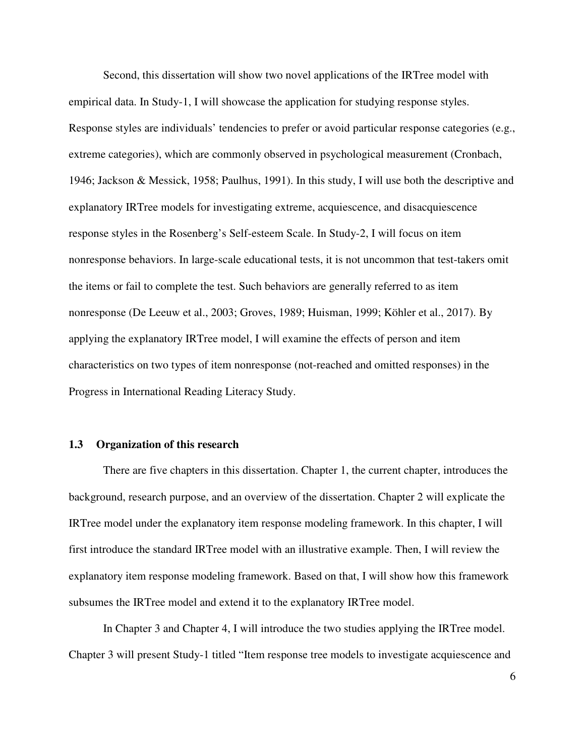Second, this dissertation will show two novel applications of the IRTree model with empirical data. In Study-1, I will showcase the application for studying response styles. Response styles are individuals' tendencies to prefer or avoid particular response categories (e.g., extreme categories), which are commonly observed in psychological measurement (Cronbach, 1946; Jackson & Messick, 1958; Paulhus, 1991). In this study, I will use both the descriptive and explanatory IRTree models for investigating extreme, acquiescence, and disacquiescence response styles in the Rosenberg's Self-esteem Scale. In Study-2, I will focus on item nonresponse behaviors. In large-scale educational tests, it is not uncommon that test-takers omit the items or fail to complete the test. Such behaviors are generally referred to as item nonresponse (De Leeuw et al., 2003; Groves, 1989; Huisman, 1999; Köhler et al., 2017). By applying the explanatory IRTree model, I will examine the effects of person and item characteristics on two types of item nonresponse (not-reached and omitted responses) in the Progress in International Reading Literacy Study.

#### **1.3 Organization of this research**

There are five chapters in this dissertation. Chapter 1, the current chapter, introduces the background, research purpose, and an overview of the dissertation. Chapter 2 will explicate the IRTree model under the explanatory item response modeling framework. In this chapter, I will first introduce the standard IRTree model with an illustrative example. Then, I will review the explanatory item response modeling framework. Based on that, I will show how this framework subsumes the IRTree model and extend it to the explanatory IRTree model.

In Chapter 3 and Chapter 4, I will introduce the two studies applying the IRTree model. Chapter 3 will present Study-1 titled "Item response tree models to investigate acquiescence and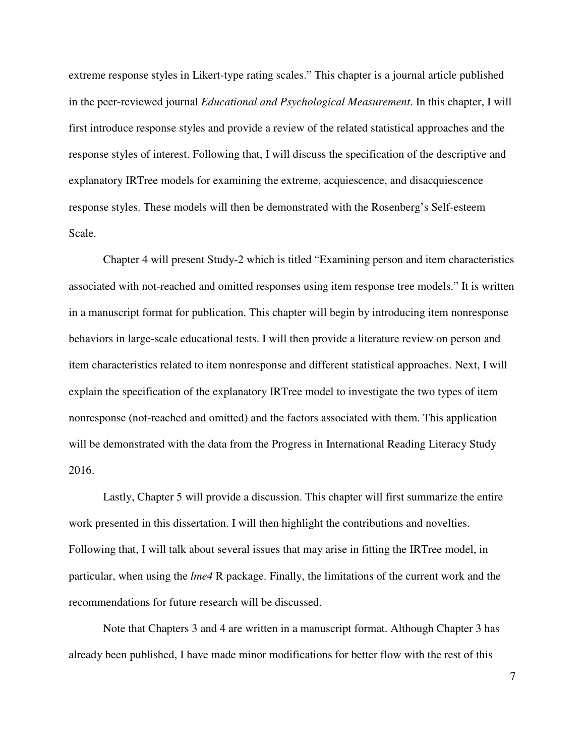extreme response styles in Likert-type rating scales." This chapter is a journal article published in the peer-reviewed journal *Educational and Psychological Measurement*. In this chapter, I will first introduce response styles and provide a review of the related statistical approaches and the response styles of interest. Following that, I will discuss the specification of the descriptive and explanatory IRTree models for examining the extreme, acquiescence, and disacquiescence response styles. These models will then be demonstrated with the Rosenberg's Self-esteem Scale.

Chapter 4 will present Study-2 which is titled "Examining person and item characteristics associated with not-reached and omitted responses using item response tree models." It is written in a manuscript format for publication. This chapter will begin by introducing item nonresponse behaviors in large-scale educational tests. I will then provide a literature review on person and item characteristics related to item nonresponse and different statistical approaches. Next, I will explain the specification of the explanatory IRTree model to investigate the two types of item nonresponse (not-reached and omitted) and the factors associated with them. This application will be demonstrated with the data from the Progress in International Reading Literacy Study 2016.

Lastly, Chapter 5 will provide a discussion. This chapter will first summarize the entire work presented in this dissertation. I will then highlight the contributions and novelties. Following that, I will talk about several issues that may arise in fitting the IRTree model, in particular, when using the *lme4* R package. Finally, the limitations of the current work and the recommendations for future research will be discussed.

Note that Chapters 3 and 4 are written in a manuscript format. Although Chapter 3 has already been published, I have made minor modifications for better flow with the rest of this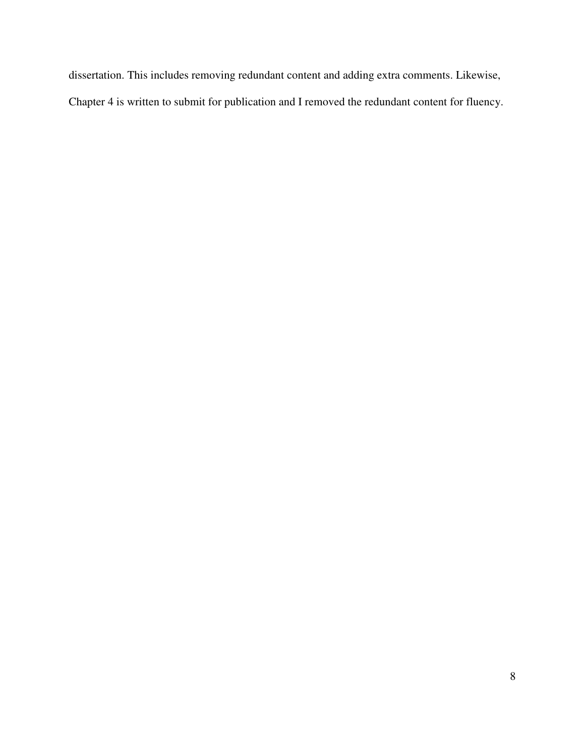dissertation. This includes removing redundant content and adding extra comments. Likewise, Chapter 4 is written to submit for publication and I removed the redundant content for fluency.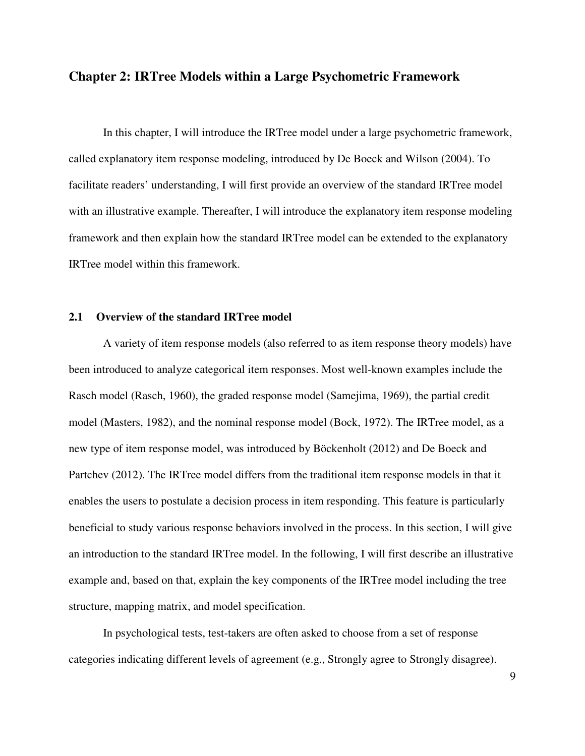### **Chapter 2: IRTree Models within a Large Psychometric Framework**

In this chapter, I will introduce the IRTree model under a large psychometric framework, called explanatory item response modeling, introduced by De Boeck and Wilson (2004). To facilitate readers' understanding, I will first provide an overview of the standard IRTree model with an illustrative example. Thereafter, I will introduce the explanatory item response modeling framework and then explain how the standard IRTree model can be extended to the explanatory IRTree model within this framework.

#### **2.1 Overview of the standard IRTree model**

A variety of item response models (also referred to as item response theory models) have been introduced to analyze categorical item responses. Most well-known examples include the Rasch model (Rasch, 1960), the graded response model (Samejima, 1969), the partial credit model (Masters, 1982), and the nominal response model (Bock, 1972). The IRTree model, as a new type of item response model, was introduced by Böckenholt (2012) and De Boeck and Partchev (2012). The IRTree model differs from the traditional item response models in that it enables the users to postulate a decision process in item responding. This feature is particularly beneficial to study various response behaviors involved in the process. In this section, I will give an introduction to the standard IRTree model. In the following, I will first describe an illustrative example and, based on that, explain the key components of the IRTree model including the tree structure, mapping matrix, and model specification.

In psychological tests, test-takers are often asked to choose from a set of response categories indicating different levels of agreement (e.g., Strongly agree to Strongly disagree).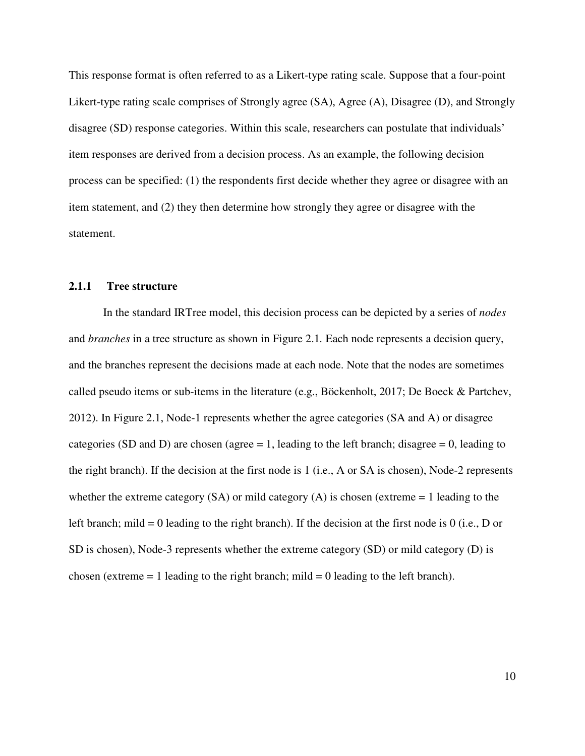This response format is often referred to as a Likert-type rating scale. Suppose that a four-point Likert-type rating scale comprises of Strongly agree (SA), Agree (A), Disagree (D), and Strongly disagree (SD) response categories. Within this scale, researchers can postulate that individuals' item responses are derived from a decision process. As an example, the following decision process can be specified: (1) the respondents first decide whether they agree or disagree with an item statement, and (2) they then determine how strongly they agree or disagree with the statement.

#### **2.1.1 Tree structure**

In the standard IRTree model, this decision process can be depicted by a series of *nodes* and *branches* in a tree structure as shown in Figure 2.1*.* Each node represents a decision query, and the branches represent the decisions made at each node. Note that the nodes are sometimes called pseudo items or sub-items in the literature (e.g., Böckenholt, 2017; De Boeck & Partchev, 2012). In Figure 2.1, Node-1 represents whether the agree categories (SA and A) or disagree categories (SD and D) are chosen (agree  $= 1$ , leading to the left branch; disagree  $= 0$ , leading to the right branch). If the decision at the first node is 1 (i.e., A or SA is chosen), Node-2 represents whether the extreme category  $(SA)$  or mild category  $(A)$  is chosen (extreme  $= 1$  leading to the left branch; mild = 0 leading to the right branch). If the decision at the first node is 0 (i.e., D or SD is chosen), Node-3 represents whether the extreme category (SD) or mild category (D) is chosen (extreme  $= 1$  leading to the right branch; mild  $= 0$  leading to the left branch).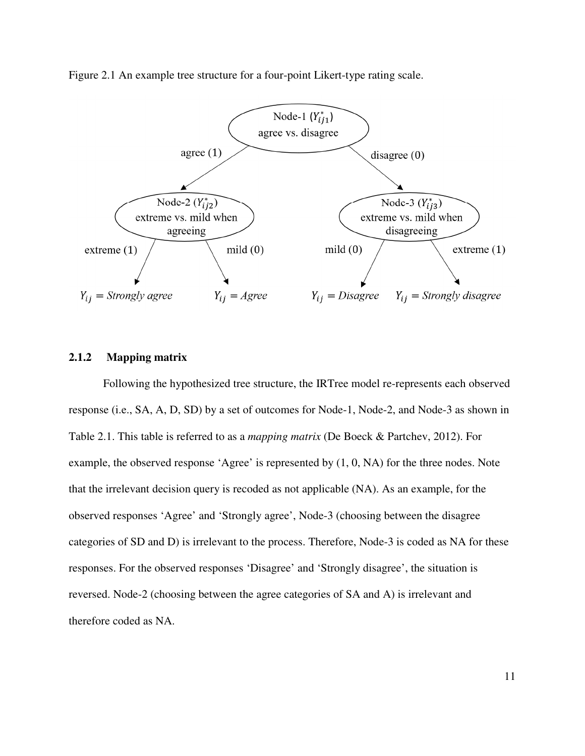Figure 2.1 An example tree structure for a four-point Likert-type rating scale.



#### **2.1.2 Mapping matrix**

Following the hypothesized tree structure, the IRTree model re-represents each observed response (i.e., SA, A, D, SD) by a set of outcomes for Node-1, Node-2, and Node-3 as shown in Table 2.1. This table is referred to as a *mapping matrix* (De Boeck & Partchev, 2012). For example, the observed response 'Agree' is represented by (1, 0, NA) for the three nodes. Note that the irrelevant decision query is recoded as not applicable (NA). As an example, for the observed responses 'Agree' and 'Strongly agree', Node-3 (choosing between the disagree categories of SD and D) is irrelevant to the process. Therefore, Node-3 is coded as NA for these responses. For the observed responses 'Disagree' and 'Strongly disagree', the situation is reversed. Node-2 (choosing between the agree categories of SA and A) is irrelevant and therefore coded as NA.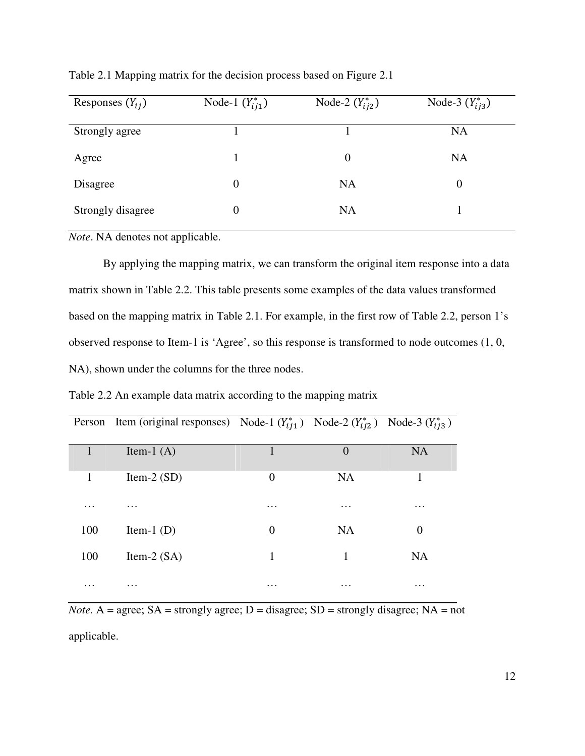| Responses $(Y_{ij})$ | Node-1 $(Y_{ij1}^*)$ | Node-2 $(Y_{i12}^*)$ | Node-3 $(Y_{i j 3}^*)$ |
|----------------------|----------------------|----------------------|------------------------|
| Strongly agree       |                      |                      | <b>NA</b>              |
| Agree                |                      | $\overline{0}$       | <b>NA</b>              |
| Disagree             | $\theta$             | <b>NA</b>            | $\overline{0}$         |
| Strongly disagree    | $\overline{0}$       | <b>NA</b>            |                        |
|                      |                      |                      |                        |

Table 2.1 Mapping matrix for the decision process based on Figure 2.1

*Note*. NA denotes not applicable.

By applying the mapping matrix, we can transform the original item response into a data matrix shown in Table 2.2. This table presents some examples of the data values transformed based on the mapping matrix in Table 2.1. For example, in the first row of Table 2.2, person 1's observed response to Item-1 is 'Agree', so this response is transformed to node outcomes (1, 0, NA), shown under the columns for the three nodes.

Table 2.2 An example data matrix according to the mapping matrix

|          | Person Item (original responses) Node-1 $(Y_{ii1}^*)$ Node-2 $(Y_{ii2}^*)$ Node-3 $(Y_{ii3}^*)$ |          |                |           |
|----------|-------------------------------------------------------------------------------------------------|----------|----------------|-----------|
|          |                                                                                                 |          |                |           |
|          | Item-1 $(A)$                                                                                    |          | $\overline{0}$ | <b>NA</b> |
| 1        | Item-2 $(SD)$                                                                                   | $\theta$ | <b>NA</b>      |           |
| $\cdots$ | $\cdots$                                                                                        | $\cdots$ | $\cdots$       | $\cdots$  |
| 100      | Item-1 $(D)$                                                                                    | $\theta$ | <b>NA</b>      | 0         |
| 100      | Item-2 $(SA)$                                                                                   | 1        | 1              | <b>NA</b> |
| .        | $\cdots$                                                                                        | $\cdots$ | $\cdots$       | $\cdots$  |

*Note.* A = agree;  $SA =$  strongly agree;  $D =$  disagree;  $SD =$  strongly disagree;  $NA =$  not applicable.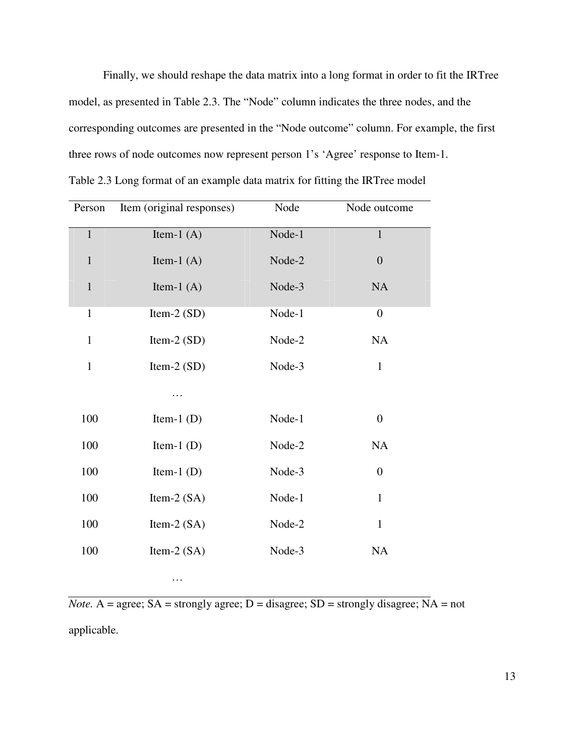Finally, we should reshape the data matrix into a long format in order to fit the IRTree model, as presented in Table 2.3. The "Node" column indicates the three nodes, and the corresponding outcomes are presented in the "Node outcome" column. For example, the first three rows of node outcomes now represent person 1's 'Agree' response to Item-1. Table 2.3 Long format of an example data matrix for fitting the IRTree model

| Person       | Item (original responses) | Node   | Node outcome     |
|--------------|---------------------------|--------|------------------|
| $\mathbf{1}$ | Item-1 $(A)$              | Node-1 | $\mathbf{1}$     |
| $\mathbf{1}$ | Item-1 $(A)$              | Node-2 | $\overline{0}$   |
| $\mathbf{1}$ | Item-1 $(A)$              | Node-3 | NA               |
| $\mathbf{1}$ | Item-2 $(SD)$             | Node-1 | $\boldsymbol{0}$ |
| $\mathbf{1}$ | Item-2 $(SD)$             | Node-2 | NA               |
| $\mathbf{1}$ | Item-2 $(SD)$             | Node-3 | $\mathbf 1$      |
|              | .                         |        |                  |
| 100          | Item-1 $(D)$              | Node-1 | $\boldsymbol{0}$ |
| 100          | Item-1 $(D)$              | Node-2 | <b>NA</b>        |
| 100          | Item-1 $(D)$              | Node-3 | $\boldsymbol{0}$ |
| 100          | Item-2 $(SA)$             | Node-1 | $\mathbf{1}$     |
| 100          | Item-2 $(SA)$             | Node-2 | $\mathbf{1}$     |
| 100          | Item-2 $(SA)$             | Node-3 | NA               |
|              | $\ddotsc$                 |        |                  |

*Note.* A = agree; SA = strongly agree; D = disagree; SD = strongly disagree; NA = not

applicable.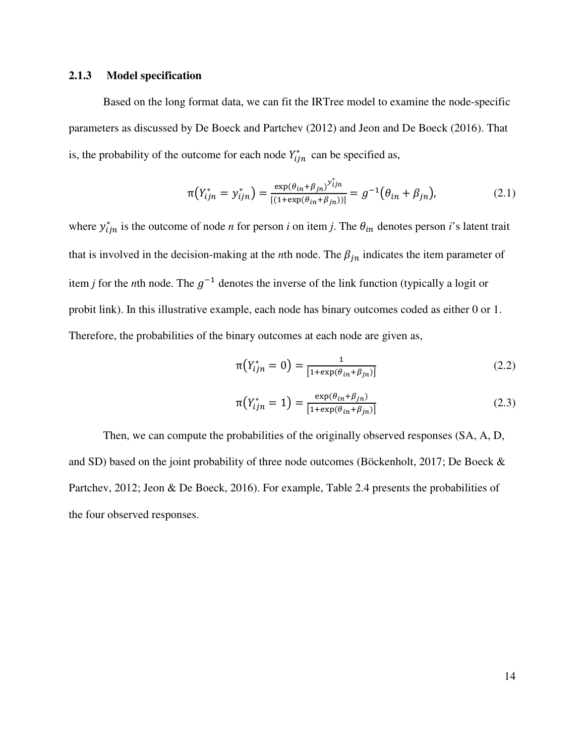#### **2.1.3 Model specification**

Based on the long format data, we can fit the IRTree model to examine the node-specific parameters as discussed by De Boeck and Partchev (2012) and Jeon and De Boeck (2016). That is, the probability of the outcome for each node  $Y_{ijn}^*$  can be specified as,

$$
\pi(Y_{ijn}^* = y_{ijn}^*) = \frac{\exp(\theta_{in} + \beta_{jn})^{y_{ijn}^*}}{[(1 + \exp(\theta_{in} + \beta_{jn}))]} = g^{-1}(\theta_{in} + \beta_{jn}),
$$
\n(2.1)

where  $y_{ijn}^*$  is the outcome of node *n* for person *i* on item *j*. The  $\theta_{in}$  denotes person *i*'s latent trait that is involved in the decision-making at the *n*th node. The  $\beta_{in}$  indicates the item parameter of item *j* for the *n*th node. The  $g^{-1}$  denotes the inverse of the link function (typically a logit or probit link). In this illustrative example, each node has binary outcomes coded as either 0 or 1. Therefore, the probabilities of the binary outcomes at each node are given as,

$$
\pi(Y_{ijn}^* = 0) = \frac{1}{[1 + \exp(\theta_{in} + \beta_{jn})]}
$$
(2.2)

$$
\pi(Y_{ijn}^* = 1) = \frac{\exp(\theta_{in} + \beta_{jn})}{[1 + \exp(\theta_{in} + \beta_{jn})]}
$$
(2.3)

Then, we can compute the probabilities of the originally observed responses (SA, A, D, and SD) based on the joint probability of three node outcomes (Böckenholt, 2017; De Boeck & Partchev, 2012; Jeon & De Boeck, 2016). For example, Table 2.4 presents the probabilities of the four observed responses.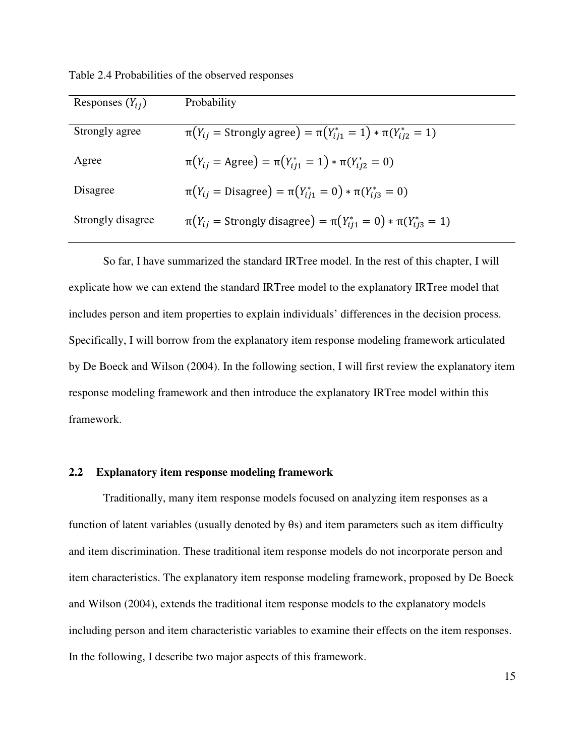|  |  |  | Table 2.4 Probabilities of the observed responses |
|--|--|--|---------------------------------------------------|
|--|--|--|---------------------------------------------------|

| Responses $(Y_{ij})$ | Probability                                                                     |
|----------------------|---------------------------------------------------------------------------------|
| Strongly agree       | $\pi(Y_{ij} = \text{Strongly agree}) = \pi(Y_{ij1}^* = 1) * \pi(Y_{ij2}^* = 1)$ |
| Agree                | $\pi(Y_{ij} = \text{Agree}) = \pi(Y_{ij1}^* = 1) * \pi(Y_{ij2}^* = 0)$          |
| Disagree             | $\pi(Y_{ij} = \text{Disagree}) = \pi(Y_{ij1}^* = 0) * \pi(Y_{ij3}^* = 0)$       |
| Strongly disagree    | $\pi(Y_{ij} =$ Strongly disagree) = $\pi(Y_{ij1}^* = 0) * \pi(Y_{ij3}^* = 1)$   |

So far, I have summarized the standard IRTree model. In the rest of this chapter, I will explicate how we can extend the standard IRTree model to the explanatory IRTree model that includes person and item properties to explain individuals' differences in the decision process. Specifically, I will borrow from the explanatory item response modeling framework articulated by De Boeck and Wilson (2004). In the following section, I will first review the explanatory item response modeling framework and then introduce the explanatory IRTree model within this framework.

#### **2.2 Explanatory item response modeling framework**

Traditionally, many item response models focused on analyzing item responses as a function of latent variables (usually denoted by θs) and item parameters such as item difficulty and item discrimination. These traditional item response models do not incorporate person and item characteristics. The explanatory item response modeling framework, proposed by De Boeck and Wilson (2004), extends the traditional item response models to the explanatory models including person and item characteristic variables to examine their effects on the item responses. In the following, I describe two major aspects of this framework.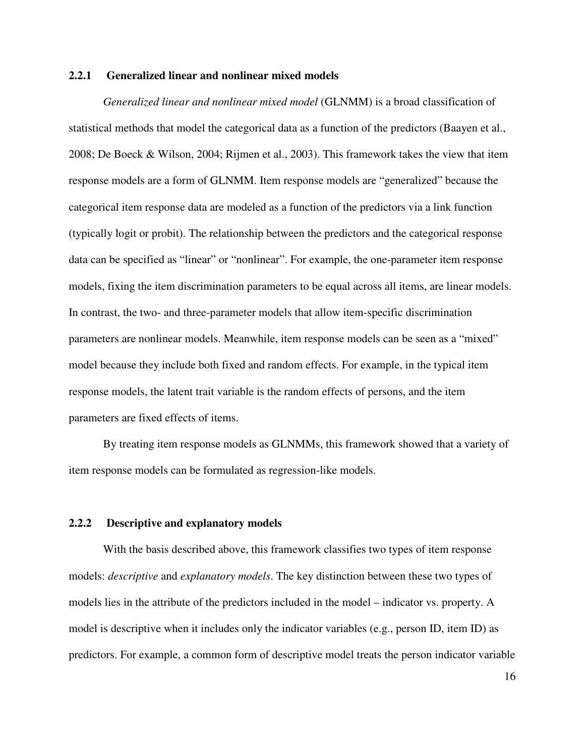#### **2.2.1 Generalized linear and nonlinear mixed models**

*Generalized linear and nonlinear mixed model* (GLNMM) is a broad classification of statistical methods that model the categorical data as a function of the predictors (Baayen et al., 2008; De Boeck & Wilson, 2004; Rijmen et al., 2003). This framework takes the view that item response models are a form of GLNMM. Item response models are "generalized" because the categorical item response data are modeled as a function of the predictors via a link function (typically logit or probit). The relationship between the predictors and the categorical response data can be specified as "linear" or "nonlinear". For example, the one-parameter item response models, fixing the item discrimination parameters to be equal across all items, are linear models. In contrast, the two- and three-parameter models that allow item-specific discrimination parameters are nonlinear models. Meanwhile, item response models can be seen as a "mixed" model because they include both fixed and random effects. For example, in the typical item response models, the latent trait variable is the random effects of persons, and the item parameters are fixed effects of items.

By treating item response models as GLNMMs, this framework showed that a variety of item response models can be formulated as regression-like models.

#### **2.2.2 Descriptive and explanatory models**

With the basis described above, this framework classifies two types of item response models: *descriptive* and *explanatory models*. The key distinction between these two types of models lies in the attribute of the predictors included in the model – indicator vs. property. A model is descriptive when it includes only the indicator variables (e.g., person ID, item ID) as predictors. For example, a common form of descriptive model treats the person indicator variable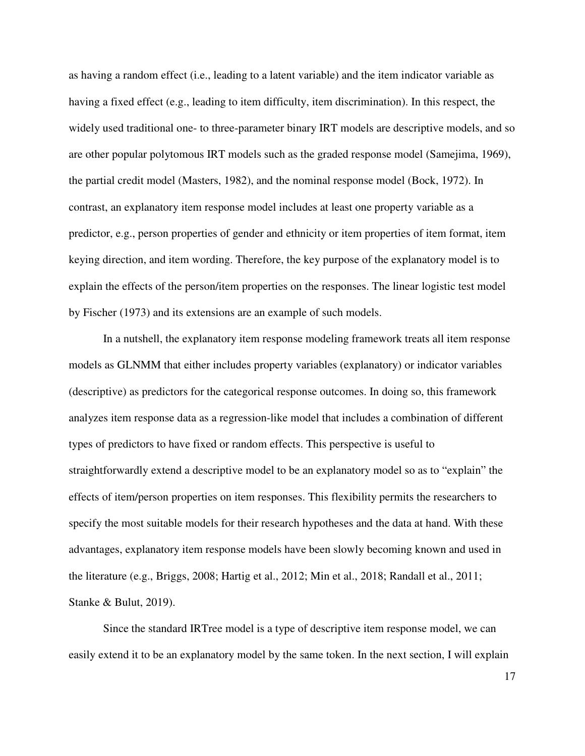as having a random effect (i.e., leading to a latent variable) and the item indicator variable as having a fixed effect (e.g., leading to item difficulty, item discrimination). In this respect, the widely used traditional one- to three-parameter binary IRT models are descriptive models, and so are other popular polytomous IRT models such as the graded response model (Samejima, 1969), the partial credit model (Masters, 1982), and the nominal response model (Bock, 1972). In contrast, an explanatory item response model includes at least one property variable as a predictor, e.g., person properties of gender and ethnicity or item properties of item format, item keying direction, and item wording. Therefore, the key purpose of the explanatory model is to explain the effects of the person/item properties on the responses. The linear logistic test model by Fischer (1973) and its extensions are an example of such models.

In a nutshell, the explanatory item response modeling framework treats all item response models as GLNMM that either includes property variables (explanatory) or indicator variables (descriptive) as predictors for the categorical response outcomes. In doing so, this framework analyzes item response data as a regression-like model that includes a combination of different types of predictors to have fixed or random effects. This perspective is useful to straightforwardly extend a descriptive model to be an explanatory model so as to "explain" the effects of item/person properties on item responses. This flexibility permits the researchers to specify the most suitable models for their research hypotheses and the data at hand. With these advantages, explanatory item response models have been slowly becoming known and used in the literature (e.g., Briggs, 2008; Hartig et al., 2012; Min et al., 2018; Randall et al., 2011; Stanke & Bulut, 2019).

Since the standard IRTree model is a type of descriptive item response model, we can easily extend it to be an explanatory model by the same token. In the next section, I will explain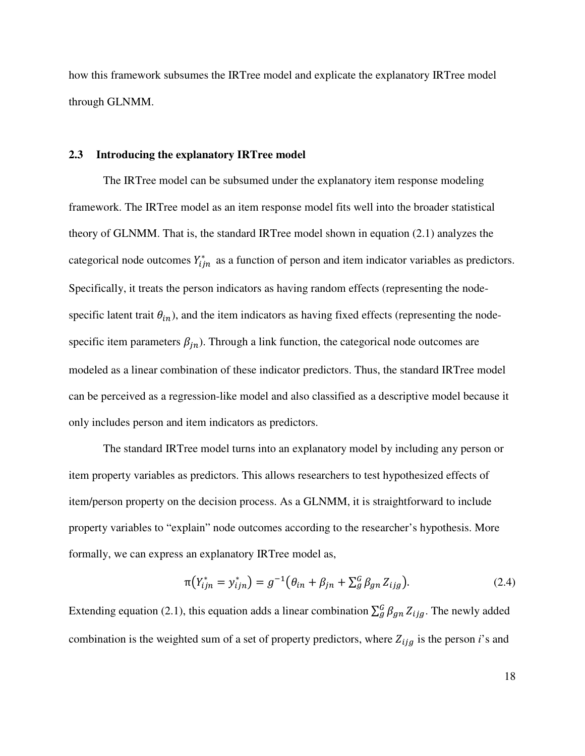how this framework subsumes the IRTree model and explicate the explanatory IRTree model through GLNMM.

#### **2.3 Introducing the explanatory IRTree model**

The IRTree model can be subsumed under the explanatory item response modeling framework. The IRTree model as an item response model fits well into the broader statistical theory of GLNMM. That is, the standard IRTree model shown in equation (2.1) analyzes the categorical node outcomes  $Y_{ijn}^*$  as a function of person and item indicator variables as predictors. Specifically, it treats the person indicators as having random effects (representing the nodespecific latent trait  $\theta_{in}$ ), and the item indicators as having fixed effects (representing the nodespecific item parameters  $\beta_{in}$ ). Through a link function, the categorical node outcomes are modeled as a linear combination of these indicator predictors. Thus, the standard IRTree model can be perceived as a regression-like model and also classified as a descriptive model because it only includes person and item indicators as predictors.

The standard IRTree model turns into an explanatory model by including any person or item property variables as predictors. This allows researchers to test hypothesized effects of item/person property on the decision process. As a GLNMM, it is straightforward to include property variables to "explain" node outcomes according to the researcher's hypothesis. More formally, we can express an explanatory IRTree model as,

$$
\pi(Y_{ijn}^* = y_{ijn}^*) = g^{-1}(\theta_{in} + \beta_{jn} + \sum_{g}^G \beta_{gn} Z_{ijg}).
$$
\n(2.4)

Extending equation (2.1), this equation adds a linear combination  $\sum_{g}^{G} \beta_{gn} Z_{ijg}$ . The newly added combination is the weighted sum of a set of property predictors, where  $Z_{ijg}$  is the person *i*'s and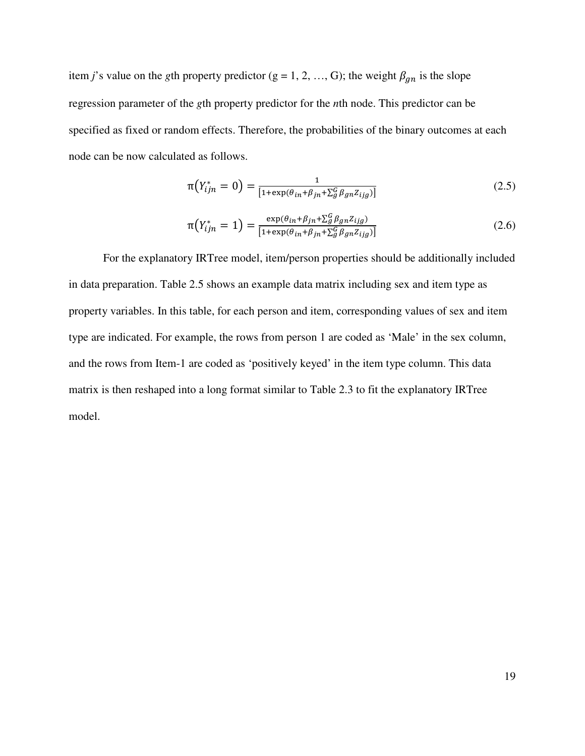item *j*'s value on the *g*th property predictor (g = 1, 2, ..., G); the weight  $\beta_{gn}$  is the slope regression parameter of the *g*th property predictor for the *n*th node. This predictor can be specified as fixed or random effects. Therefore, the probabilities of the binary outcomes at each node can be now calculated as follows.

$$
\pi(Y_{ijn}^* = 0) = \frac{1}{[1 + \exp(\theta_{in} + \beta_{jn} + \sum_{g}^{G} \beta_{gn} z_{ijg})]}
$$
(2.5)

$$
\pi(Y_{ijn}^* = 1) = \frac{\exp(\theta_{in} + \beta_{jn} + \sum_{g}^G \beta_{gn} z_{ijg})}{[1 + \exp(\theta_{in} + \beta_{jn} + \sum_{g}^G \beta_{gn} z_{ijg})]}
$$
(2.6)

For the explanatory IRTree model, item/person properties should be additionally included in data preparation. Table 2.5 shows an example data matrix including sex and item type as property variables. In this table, for each person and item, corresponding values of sex and item type are indicated. For example, the rows from person 1 are coded as 'Male' in the sex column, and the rows from Item-1 are coded as 'positively keyed' in the item type column. This data matrix is then reshaped into a long format similar to Table 2.3 to fit the explanatory IRTree model.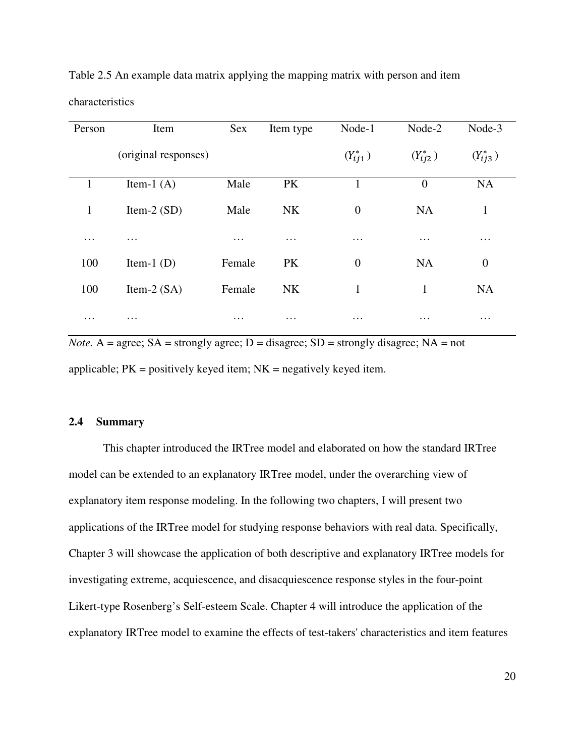| Person   | Item                 | Sex      | Item type | Node-1           | Node-2         | Node-3           |
|----------|----------------------|----------|-----------|------------------|----------------|------------------|
|          | (original responses) |          |           | $(Y_{ij1}^*)$    | $(Y_{ij2}^*)$  | $(Y_{ij3}^*)$    |
| J.       | Item-1 $(A)$         | Male     | PK        | 1                | $\overline{0}$ | <b>NA</b>        |
| 1        | Item-2 $(SD)$        | Male     | <b>NK</b> | $\boldsymbol{0}$ | <b>NA</b>      | $\mathbf{1}$     |
| $\cdots$ | $\cdots$             | $\cdots$ | $\cdots$  | $\cdots$         | $\cdots$       | $\cdots$         |
| 100      | Item-1 $(D)$         | Female   | PK        | $\overline{0}$   | <b>NA</b>      | $\boldsymbol{0}$ |
| 100      | Item-2 $(SA)$        | Female   | <b>NK</b> | $\mathbf{1}$     | $\mathbf{1}$   | <b>NA</b>        |
| $\cdots$ | $\cdots$             | $\cdots$ | $\cdots$  | $\cdots$         | $\cdots$       | $\cdots$         |

Table 2.5 An example data matrix applying the mapping matrix with person and item

*Note.* A = agree; SA = strongly agree; D = disagree; SD = strongly disagree; NA = not applicable;  $PK =$  positively keyed item;  $NK =$  negatively keyed item.

#### **2.4 Summary**

characteristics

This chapter introduced the IRTree model and elaborated on how the standard IRTree model can be extended to an explanatory IRTree model, under the overarching view of explanatory item response modeling. In the following two chapters, I will present two applications of the IRTree model for studying response behaviors with real data. Specifically, Chapter 3 will showcase the application of both descriptive and explanatory IRTree models for investigating extreme, acquiescence, and disacquiescence response styles in the four-point Likert-type Rosenberg's Self-esteem Scale. Chapter 4 will introduce the application of the explanatory IRTree model to examine the effects of test-takers' characteristics and item features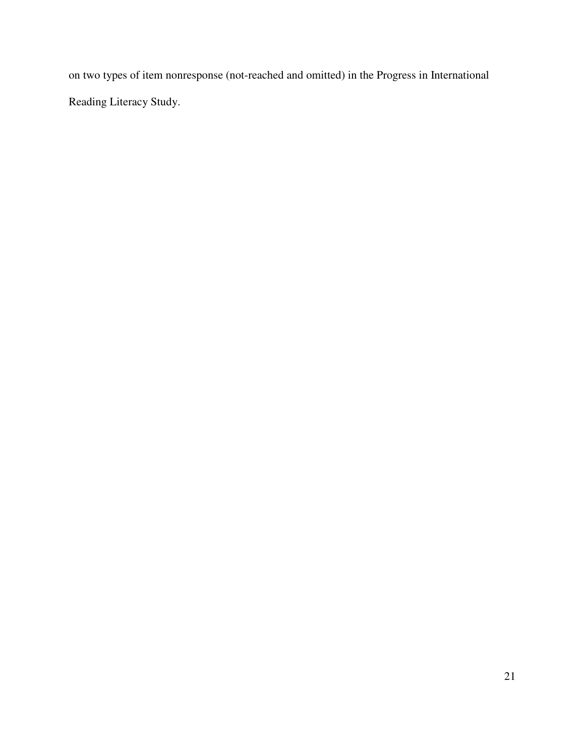on two types of item nonresponse (not-reached and omitted) in the Progress in International Reading Literacy Study.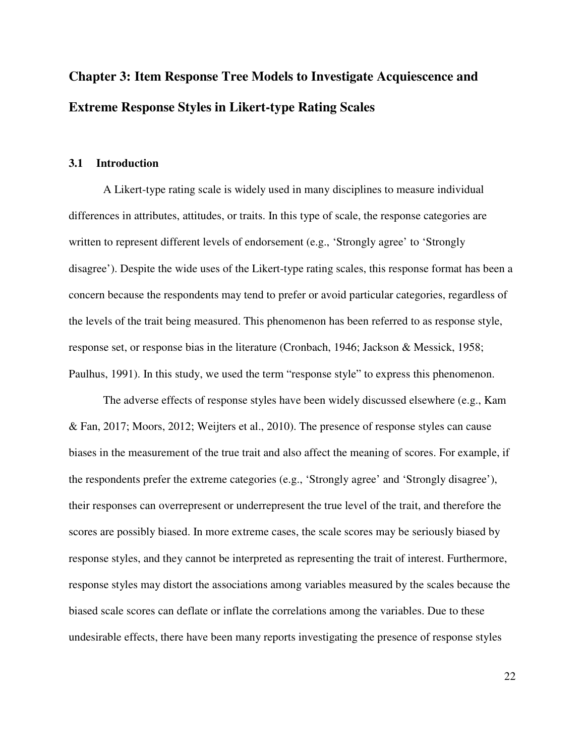# **Chapter 3: Item Response Tree Models to Investigate Acquiescence and Extreme Response Styles in Likert-type Rating Scales**

#### **3.1 Introduction**

A Likert-type rating scale is widely used in many disciplines to measure individual differences in attributes, attitudes, or traits. In this type of scale, the response categories are written to represent different levels of endorsement (e.g., 'Strongly agree' to 'Strongly disagree'). Despite the wide uses of the Likert-type rating scales, this response format has been a concern because the respondents may tend to prefer or avoid particular categories, regardless of the levels of the trait being measured. This phenomenon has been referred to as response style, response set, or response bias in the literature (Cronbach, 1946; Jackson & Messick, 1958; Paulhus, 1991). In this study, we used the term "response style" to express this phenomenon.

The adverse effects of response styles have been widely discussed elsewhere (e.g., Kam & Fan, 2017; Moors, 2012; Weijters et al., 2010). The presence of response styles can cause biases in the measurement of the true trait and also affect the meaning of scores. For example, if the respondents prefer the extreme categories (e.g., 'Strongly agree' and 'Strongly disagree'), their responses can overrepresent or underrepresent the true level of the trait, and therefore the scores are possibly biased. In more extreme cases, the scale scores may be seriously biased by response styles, and they cannot be interpreted as representing the trait of interest. Furthermore, response styles may distort the associations among variables measured by the scales because the biased scale scores can deflate or inflate the correlations among the variables. Due to these undesirable effects, there have been many reports investigating the presence of response styles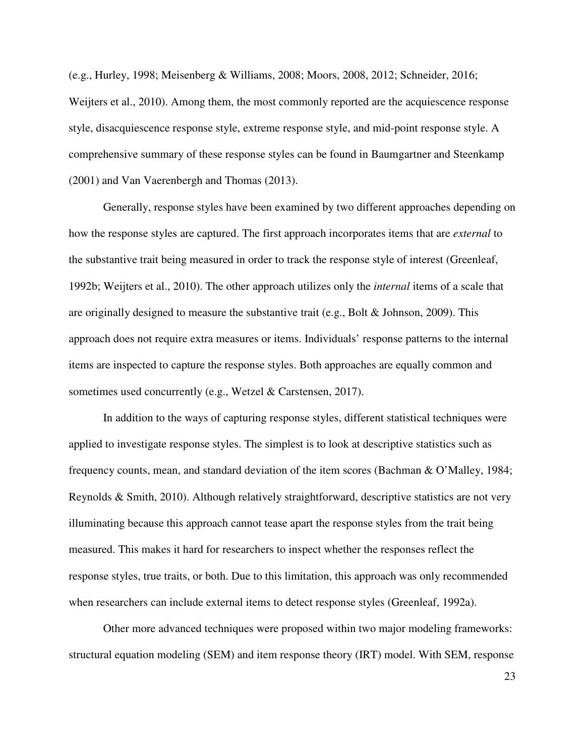(e.g., Hurley, 1998; Meisenberg & Williams, 2008; Moors, 2008, 2012; Schneider, 2016; Weijters et al., 2010). Among them, the most commonly reported are the acquiescence response style, disacquiescence response style, extreme response style, and mid-point response style. A comprehensive summary of these response styles can be found in Baumgartner and Steenkamp (2001) and Van Vaerenbergh and Thomas (2013).

 Generally, response styles have been examined by two different approaches depending on how the response styles are captured. The first approach incorporates items that are *external* to the substantive trait being measured in order to track the response style of interest (Greenleaf, 1992b; Weijters et al., 2010). The other approach utilizes only the *internal* items of a scale that are originally designed to measure the substantive trait (e.g., Bolt & Johnson, 2009). This approach does not require extra measures or items. Individuals' response patterns to the internal items are inspected to capture the response styles. Both approaches are equally common and sometimes used concurrently (e.g., Wetzel & Carstensen, 2017).

In addition to the ways of capturing response styles, different statistical techniques were applied to investigate response styles. The simplest is to look at descriptive statistics such as frequency counts, mean, and standard deviation of the item scores (Bachman & O'Malley, 1984; Reynolds & Smith, 2010). Although relatively straightforward, descriptive statistics are not very illuminating because this approach cannot tease apart the response styles from the trait being measured. This makes it hard for researchers to inspect whether the responses reflect the response styles, true traits, or both. Due to this limitation, this approach was only recommended when researchers can include external items to detect response styles (Greenleaf, 1992a).

Other more advanced techniques were proposed within two major modeling frameworks: structural equation modeling (SEM) and item response theory (IRT) model. With SEM, response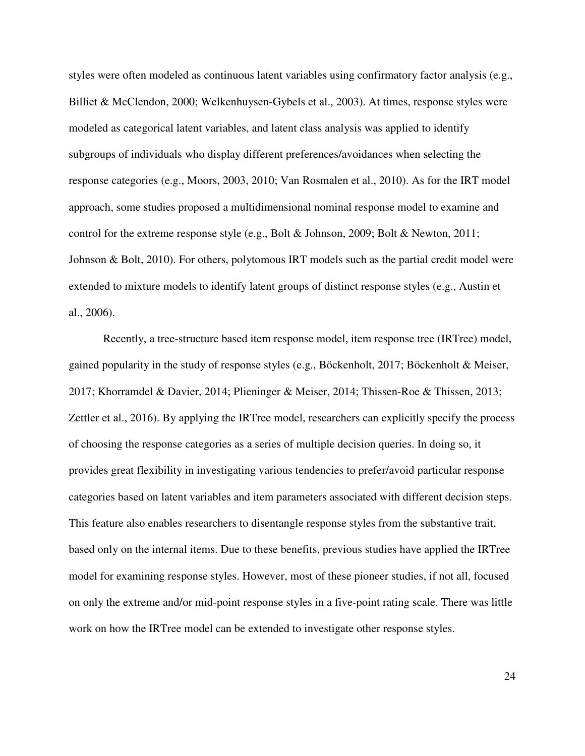styles were often modeled as continuous latent variables using confirmatory factor analysis (e.g., Billiet & McClendon, 2000; Welkenhuysen-Gybels et al., 2003). At times, response styles were modeled as categorical latent variables, and latent class analysis was applied to identify subgroups of individuals who display different preferences/avoidances when selecting the response categories (e.g., Moors, 2003, 2010; Van Rosmalen et al., 2010). As for the IRT model approach, some studies proposed a multidimensional nominal response model to examine and control for the extreme response style (e.g., Bolt & Johnson, 2009; Bolt & Newton, 2011; Johnson & Bolt, 2010). For others, polytomous IRT models such as the partial credit model were extended to mixture models to identify latent groups of distinct response styles (e.g., Austin et al., 2006).

Recently, a tree-structure based item response model, item response tree (IRTree) model, gained popularity in the study of response styles (e.g., Böckenholt, 2017; Böckenholt & Meiser, 2017; Khorramdel & Davier, 2014; Plieninger & Meiser, 2014; Thissen-Roe & Thissen, 2013; Zettler et al., 2016). By applying the IRTree model, researchers can explicitly specify the process of choosing the response categories as a series of multiple decision queries. In doing so, it provides great flexibility in investigating various tendencies to prefer/avoid particular response categories based on latent variables and item parameters associated with different decision steps. This feature also enables researchers to disentangle response styles from the substantive trait, based only on the internal items. Due to these benefits, previous studies have applied the IRTree model for examining response styles. However, most of these pioneer studies, if not all, focused on only the extreme and/or mid-point response styles in a five-point rating scale. There was little work on how the IRTree model can be extended to investigate other response styles.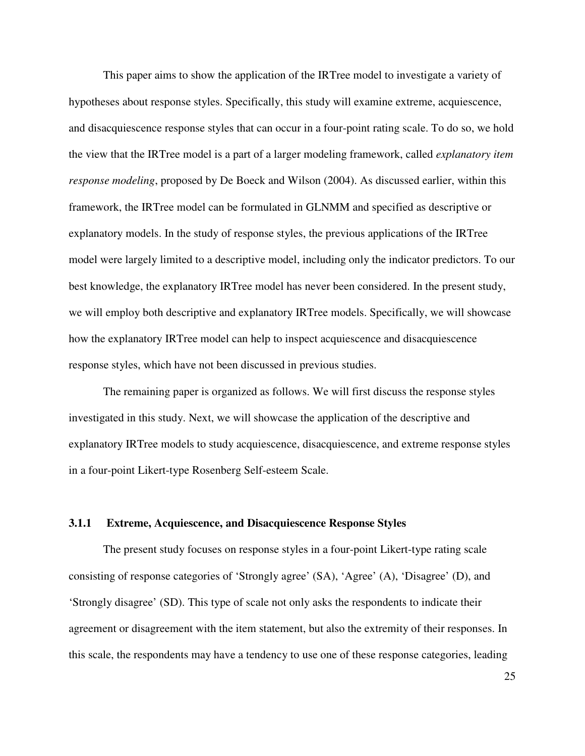This paper aims to show the application of the IRTree model to investigate a variety of hypotheses about response styles. Specifically, this study will examine extreme, acquiescence, and disacquiescence response styles that can occur in a four-point rating scale. To do so, we hold the view that the IRTree model is a part of a larger modeling framework, called *explanatory item response modeling*, proposed by De Boeck and Wilson (2004). As discussed earlier, within this framework, the IRTree model can be formulated in GLNMM and specified as descriptive or explanatory models. In the study of response styles, the previous applications of the IRTree model were largely limited to a descriptive model, including only the indicator predictors. To our best knowledge, the explanatory IRTree model has never been considered. In the present study, we will employ both descriptive and explanatory IRTree models. Specifically, we will showcase how the explanatory IRTree model can help to inspect acquiescence and disacquiescence response styles, which have not been discussed in previous studies.

The remaining paper is organized as follows. We will first discuss the response styles investigated in this study. Next, we will showcase the application of the descriptive and explanatory IRTree models to study acquiescence, disacquiescence, and extreme response styles in a four-point Likert-type Rosenberg Self-esteem Scale.

## **3.1.1 Extreme, Acquiescence, and Disacquiescence Response Styles**

 The present study focuses on response styles in a four-point Likert-type rating scale consisting of response categories of 'Strongly agree' (SA), 'Agree' (A), 'Disagree' (D), and 'Strongly disagree' (SD). This type of scale not only asks the respondents to indicate their agreement or disagreement with the item statement, but also the extremity of their responses. In this scale, the respondents may have a tendency to use one of these response categories, leading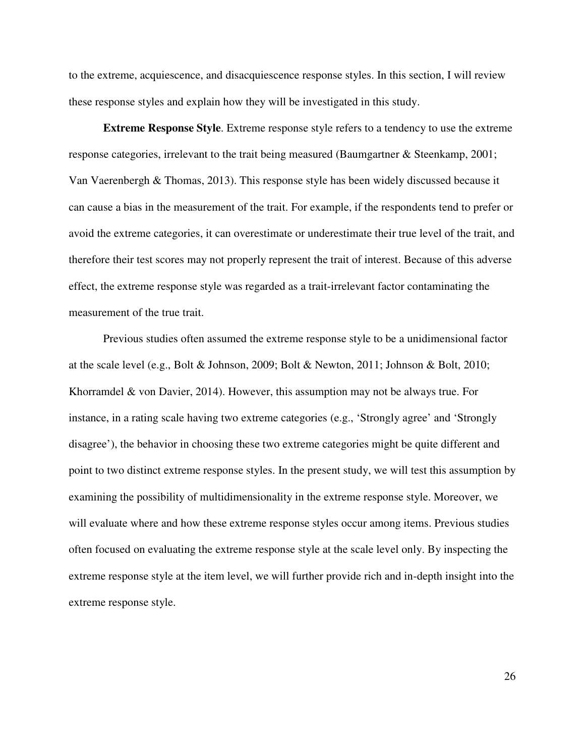to the extreme, acquiescence, and disacquiescence response styles. In this section, I will review these response styles and explain how they will be investigated in this study.

**Extreme Response Style**. Extreme response style refers to a tendency to use the extreme response categories, irrelevant to the trait being measured (Baumgartner & Steenkamp, 2001; Van Vaerenbergh & Thomas, 2013). This response style has been widely discussed because it can cause a bias in the measurement of the trait. For example, if the respondents tend to prefer or avoid the extreme categories, it can overestimate or underestimate their true level of the trait, and therefore their test scores may not properly represent the trait of interest. Because of this adverse effect, the extreme response style was regarded as a trait-irrelevant factor contaminating the measurement of the true trait.

Previous studies often assumed the extreme response style to be a unidimensional factor at the scale level (e.g., Bolt & Johnson, 2009; Bolt & Newton, 2011; Johnson & Bolt, 2010; Khorramdel & von Davier, 2014). However, this assumption may not be always true. For instance, in a rating scale having two extreme categories (e.g., 'Strongly agree' and 'Strongly disagree'), the behavior in choosing these two extreme categories might be quite different and point to two distinct extreme response styles. In the present study, we will test this assumption by examining the possibility of multidimensionality in the extreme response style. Moreover, we will evaluate where and how these extreme response styles occur among items. Previous studies often focused on evaluating the extreme response style at the scale level only. By inspecting the extreme response style at the item level, we will further provide rich and in-depth insight into the extreme response style.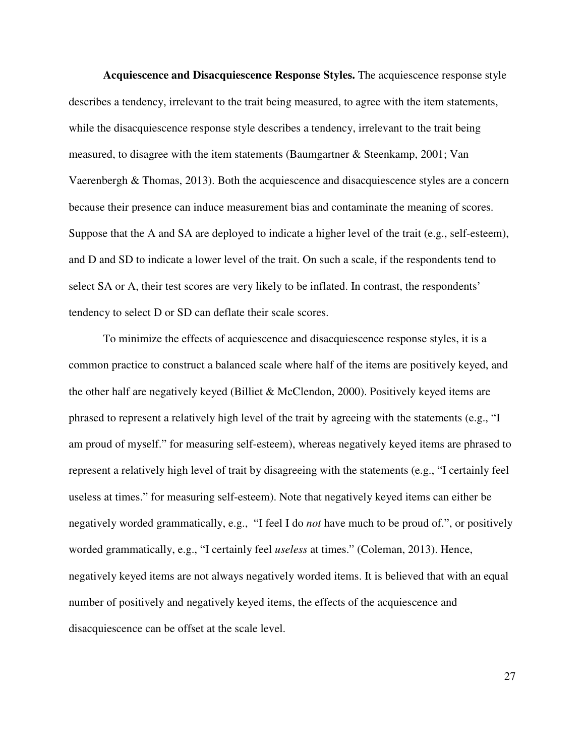**Acquiescence and Disacquiescence Response Styles.** The acquiescence response style describes a tendency, irrelevant to the trait being measured, to agree with the item statements, while the disacquiescence response style describes a tendency, irrelevant to the trait being measured, to disagree with the item statements (Baumgartner & Steenkamp, 2001; Van Vaerenbergh & Thomas, 2013). Both the acquiescence and disacquiescence styles are a concern because their presence can induce measurement bias and contaminate the meaning of scores. Suppose that the A and SA are deployed to indicate a higher level of the trait (e.g., self-esteem), and D and SD to indicate a lower level of the trait. On such a scale, if the respondents tend to select SA or A, their test scores are very likely to be inflated. In contrast, the respondents' tendency to select D or SD can deflate their scale scores.

To minimize the effects of acquiescence and disacquiescence response styles, it is a common practice to construct a balanced scale where half of the items are positively keyed, and the other half are negatively keyed (Billiet & McClendon, 2000). Positively keyed items are phrased to represent a relatively high level of the trait by agreeing with the statements (e.g., "I am proud of myself." for measuring self-esteem), whereas negatively keyed items are phrased to represent a relatively high level of trait by disagreeing with the statements (e.g., "I certainly feel useless at times." for measuring self-esteem). Note that negatively keyed items can either be negatively worded grammatically, e.g., "I feel I do *not* have much to be proud of.", or positively worded grammatically, e.g., "I certainly feel *useless* at times." (Coleman, 2013). Hence, negatively keyed items are not always negatively worded items. It is believed that with an equal number of positively and negatively keyed items, the effects of the acquiescence and disacquiescence can be offset at the scale level.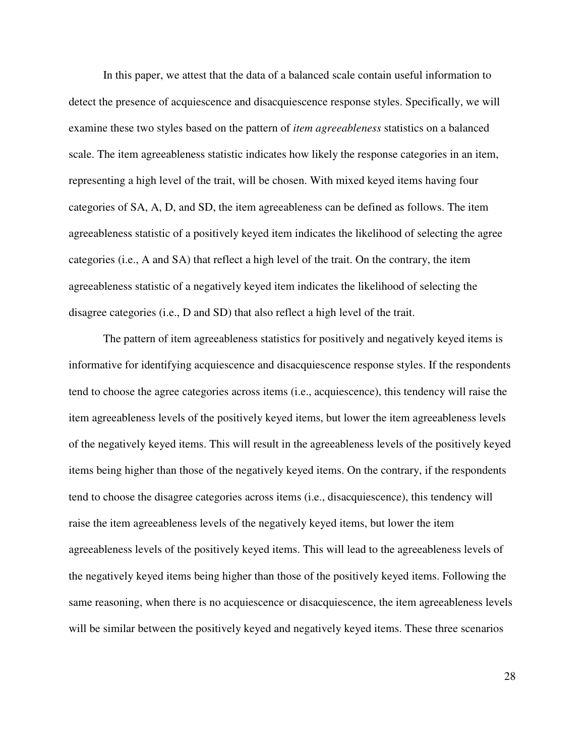In this paper, we attest that the data of a balanced scale contain useful information to detect the presence of acquiescence and disacquiescence response styles. Specifically, we will examine these two styles based on the pattern of *item agreeableness* statistics on a balanced scale. The item agreeableness statistic indicates how likely the response categories in an item, representing a high level of the trait, will be chosen. With mixed keyed items having four categories of SA, A, D, and SD, the item agreeableness can be defined as follows. The item agreeableness statistic of a positively keyed item indicates the likelihood of selecting the agree categories (i.e., A and SA) that reflect a high level of the trait. On the contrary, the item agreeableness statistic of a negatively keyed item indicates the likelihood of selecting the disagree categories (i.e., D and SD) that also reflect a high level of the trait.

The pattern of item agreeableness statistics for positively and negatively keyed items is informative for identifying acquiescence and disacquiescence response styles. If the respondents tend to choose the agree categories across items (i.e., acquiescence), this tendency will raise the item agreeableness levels of the positively keyed items, but lower the item agreeableness levels of the negatively keyed items. This will result in the agreeableness levels of the positively keyed items being higher than those of the negatively keyed items. On the contrary, if the respondents tend to choose the disagree categories across items (i.e., disacquiescence), this tendency will raise the item agreeableness levels of the negatively keyed items, but lower the item agreeableness levels of the positively keyed items. This will lead to the agreeableness levels of the negatively keyed items being higher than those of the positively keyed items. Following the same reasoning, when there is no acquiescence or disacquiescence, the item agreeableness levels will be similar between the positively keyed and negatively keyed items. These three scenarios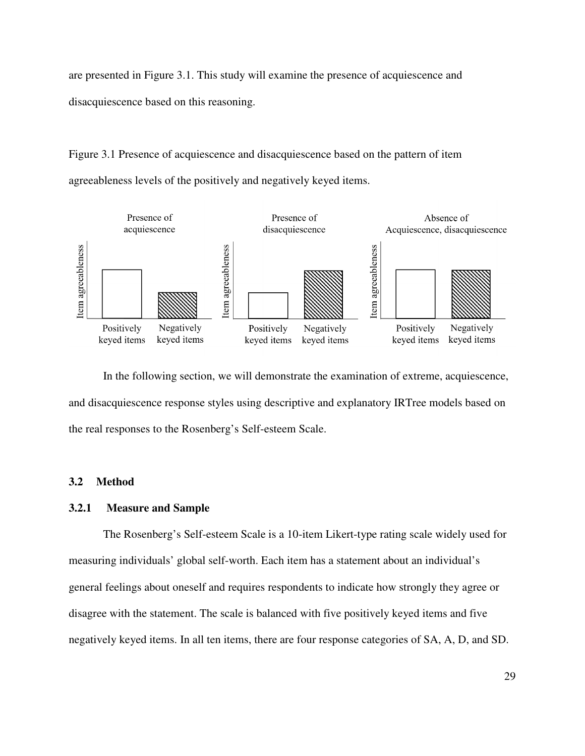are presented in Figure 3.1. This study will examine the presence of acquiescence and disacquiescence based on this reasoning.

Figure 3.1 Presence of acquiescence and disacquiescence based on the pattern of item agreeableness levels of the positively and negatively keyed items.



In the following section, we will demonstrate the examination of extreme, acquiescence, and disacquiescence response styles using descriptive and explanatory IRTree models based on the real responses to the Rosenberg's Self-esteem Scale.

# **3.2 Method**

# **3.2.1 Measure and Sample**

The Rosenberg's Self-esteem Scale is a 10-item Likert-type rating scale widely used for measuring individuals' global self-worth. Each item has a statement about an individual's general feelings about oneself and requires respondents to indicate how strongly they agree or disagree with the statement. The scale is balanced with five positively keyed items and five negatively keyed items. In all ten items, there are four response categories of SA, A, D, and SD.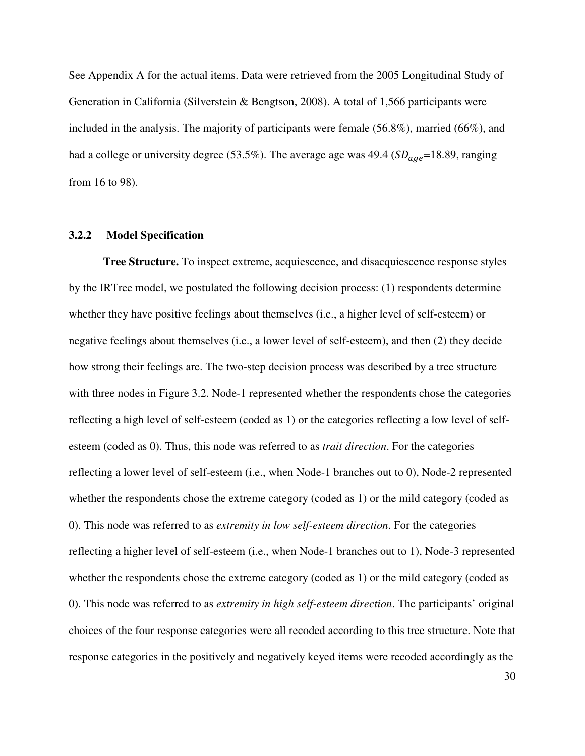See Appendix A for the actual items. Data were retrieved from the 2005 Longitudinal Study of Generation in California (Silverstein & Bengtson, 2008). A total of 1,566 participants were included in the analysis. The majority of participants were female (56.8%), married (66%), and had a college or university degree (53.5%). The average age was 49.4 ( $SD_{aae}$ =18.89, ranging from 16 to 98).

#### **3.2.2 Model Specification**

**Tree Structure.** To inspect extreme, acquiescence, and disacquiescence response styles by the IRTree model, we postulated the following decision process: (1) respondents determine whether they have positive feelings about themselves (i.e., a higher level of self-esteem) or negative feelings about themselves (i.e., a lower level of self-esteem), and then (2) they decide how strong their feelings are. The two-step decision process was described by a tree structure with three nodes in Figure 3.2. Node-1 represented whether the respondents chose the categories reflecting a high level of self-esteem (coded as 1) or the categories reflecting a low level of selfesteem (coded as 0). Thus, this node was referred to as *trait direction*. For the categories reflecting a lower level of self-esteem (i.e., when Node-1 branches out to 0), Node-2 represented whether the respondents chose the extreme category (coded as 1) or the mild category (coded as 0). This node was referred to as *extremity in low self-esteem direction*. For the categories reflecting a higher level of self-esteem (i.e., when Node-1 branches out to 1), Node-3 represented whether the respondents chose the extreme category (coded as 1) or the mild category (coded as 0). This node was referred to as *extremity in high self-esteem direction*. The participants' original choices of the four response categories were all recoded according to this tree structure. Note that response categories in the positively and negatively keyed items were recoded accordingly as the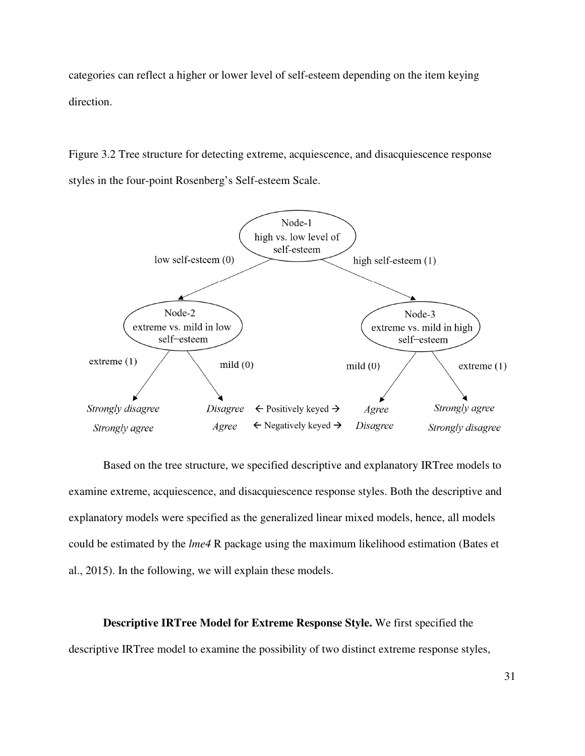categories can reflect a higher or lower level of self-esteem depending on the item keying direction.

Figure 3.2 Tree structure for detecting extreme, acquiescence, and disacquiescence response styles in the four-point Rosenberg's Self-esteem Scale.



Based on the tree structure, we specified descriptive and explanatory IRTree models to examine extreme, acquiescence, and disacquiescence response styles. Both the descriptive and explanatory models were specified as the generalized linear mixed models, hence, all models could be estimated by the *lme4* R package using the maximum likelihood estimation (Bates et al., 2015). In the following, we will explain these models.

**Descriptive IRTree Model for Extreme Response Style.** We first specified the descriptive IRTree model to examine the possibility of two distinct extreme response styles,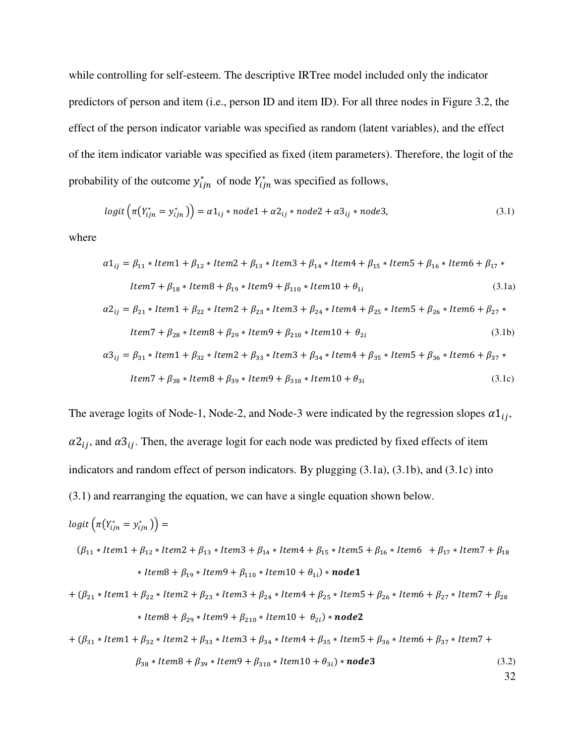while controlling for self-esteem. The descriptive IRTree model included only the indicator predictors of person and item (i.e., person ID and item ID). For all three nodes in Figure 3.2, the effect of the person indicator variable was specified as random (latent variables), and the effect of the item indicator variable was specified as fixed (item parameters). Therefore, the logit of the probability of the outcome  $y_{ijn}^*$  of node  $Y_{ijn}^*$  was specified as follows,

$$
logit\left(\pi(Y_{ijn}^* = y_{ijn}^*)\right) = \alpha 1_{ij} * node1 + \alpha 2_{ij} * node2 + \alpha 3_{ij} * node3,\tag{3.1}
$$

where

$$
\alpha 1_{ij} = \beta_{11} * Item1 + \beta_{12} * Item2 + \beta_{13} * Item3 + \beta_{14} * Item4 + \beta_{15} * Item5 + \beta_{16} * Item6 + \beta_{17} *Item7 + \beta_{18} * Item8 + \beta_{19} * Item9 + \beta_{110} * Item10 + \theta_{1i}
$$
(3.1a)  

$$
\alpha 2_{ij} = \beta_{21} * Item1 + \beta_{22} * Item2 + \beta_{23} * Item3 + \beta_{24} * Item4 + \beta_{25} * Item5 + \beta_{26} * Item6 + \beta_{27} *Item7 + \beta_{28} * Item8 + \beta_{29} * Item9 + \beta_{210} * Item10 + \theta_{2i}
$$
(3.1b)

$$
\alpha_3_{ij} = \beta_{31} * Item1 + \beta_{32} * Item2 + \beta_{33} * Item3 + \beta_{34} * Item4 + \beta_{35} * Item5 + \beta_{36} * Item6 + \beta_{37} *
$$
  
Item7 +  $\beta_{38} * Item8 + \beta_{39} * Item9 + \beta_{310} * Item10 + \theta_{3i}$  (3.1c)

The average logits of Node-1, Node-2, and Node-3 were indicated by the regression slopes  $\alpha 1_{ij}$ ,  $\alpha_1^2$ , and  $\alpha_2^3$ . Then, the average logit for each node was predicted by fixed effects of item indicators and random effect of person indicators. By plugging (3.1a), (3.1b), and (3.1c) into (3.1) and rearranging the equation, we can have a single equation shown below.

$$
logit\left(\pi(Y_{ijn}^* = y_{ijn}^*)\right) =
$$
\n
$$
(\beta_{11} * Item1 + \beta_{12} * Item2 + \beta_{13} * Item3 + \beta_{14} * Item4 + \beta_{15} * Item5 + \beta_{16} * Item6 + \beta_{17} * Item7 + \beta_{18}
$$
\n
$$
* Item8 + \beta_{19} * Item9 + \beta_{110} * Item10 + \theta_{1i}) * node1
$$
\n
$$
+ (\beta_{21} * Item1 + \beta_{22} * Item2 + \beta_{23} * Item3 + \beta_{24} * Item4 + \beta_{25} * Item5 + \beta_{26} * Item6 + \beta_{27} * Item7 + \beta_{28}
$$
\n
$$
* Item8 + \beta_{29} * Item9 + \beta_{210} * Item10 + \theta_{2i}) * node2
$$
\n
$$
+ (\beta_{31} * Item1 + \beta_{32} * Item2 + \beta_{33} * Item3 + \beta_{34} * Item4 + \beta_{35} * Item5 + \beta_{36} * Item6 + \beta_{37} * Item7 + \beta_{38} * Item8 + \beta_{39} * Item9 + \beta_{310} * Item10 + \theta_{3i}) * node3
$$
\n(3.2)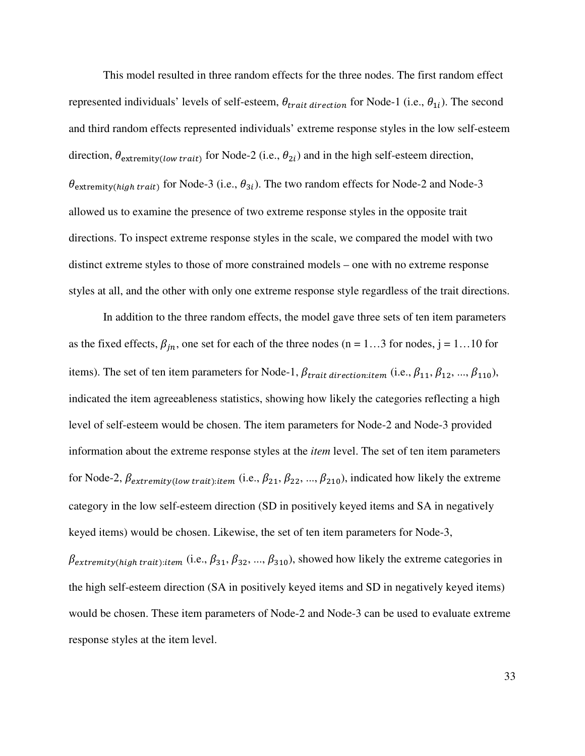This model resulted in three random effects for the three nodes. The first random effect represented individuals' levels of self-esteem,  $\theta_{trail}$  direction for Node-1 (i.e.,  $\theta_{1i}$ ). The second and third random effects represented individuals' extreme response styles in the low self-esteem direction,  $\theta_{extremity(low\, trait)}$  for Node-2 (i.e.,  $\theta_{2i}$ ) and in the high self-esteem direction,  $\theta_{extremity(high trait)}$  for Node-3 (i.e.,  $\theta_{3i}$ ). The two random effects for Node-2 and Node-3 allowed us to examine the presence of two extreme response styles in the opposite trait directions. To inspect extreme response styles in the scale, we compared the model with two distinct extreme styles to those of more constrained models – one with no extreme response styles at all, and the other with only one extreme response style regardless of the trait directions.

In addition to the three random effects, the model gave three sets of ten item parameters as the fixed effects,  $\beta_{jn}$ , one set for each of the three nodes (n = 1...3 for nodes, j = 1...10 for items). The set of ten item parameters for Node-1,  $\beta_{trail}$  direction: item (i.e.,  $\beta_{11}, \beta_{12}, ..., \beta_{110}$ ), indicated the item agreeableness statistics, showing how likely the categories reflecting a high level of self-esteem would be chosen. The item parameters for Node-2 and Node-3 provided information about the extreme response styles at the *item* level. The set of ten item parameters for Node-2,  $\beta_{extremity(low\ trait):item}$  (i.e.,  $\beta_{21}, \beta_{22}, ..., \beta_{210}$ ), indicated how likely the extreme category in the low self-esteem direction (SD in positively keyed items and SA in negatively keyed items) would be chosen. Likewise, the set of ten item parameters for Node-3,

 $\beta_{extremity(high trait):item}$  (i.e.,  $\beta_{31}, \beta_{32}, ..., \beta_{310}$ ), showed how likely the extreme categories in the high self-esteem direction (SA in positively keyed items and SD in negatively keyed items) would be chosen. These item parameters of Node-2 and Node-3 can be used to evaluate extreme response styles at the item level.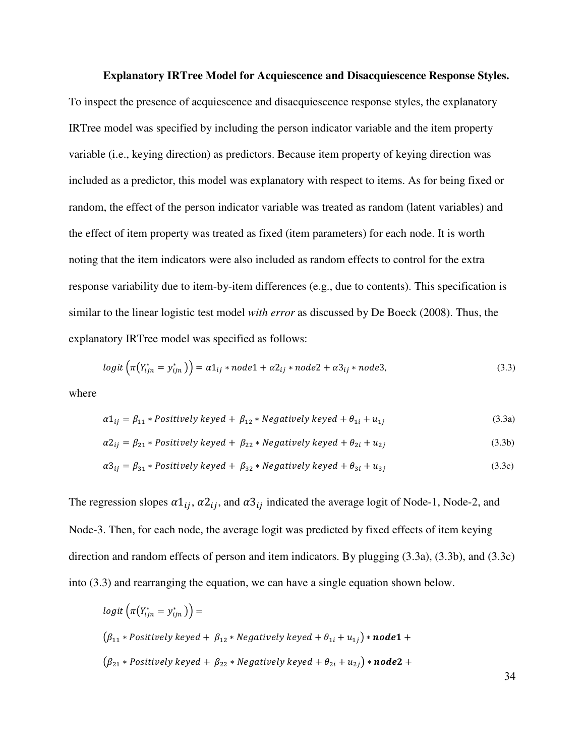#### **Explanatory IRTree Model for Acquiescence and Disacquiescence Response Styles.**

To inspect the presence of acquiescence and disacquiescence response styles, the explanatory IRTree model was specified by including the person indicator variable and the item property variable (i.e., keying direction) as predictors. Because item property of keying direction was included as a predictor, this model was explanatory with respect to items. As for being fixed or random, the effect of the person indicator variable was treated as random (latent variables) and the effect of item property was treated as fixed (item parameters) for each node. It is worth noting that the item indicators were also included as random effects to control for the extra response variability due to item-by-item differences (e.g., due to contents). This specification is similar to the linear logistic test model *with error* as discussed by De Boeck (2008). Thus, the explanatory IRTree model was specified as follows:

$$
logit\left(\pi(Y_{ijn}^* = y_{ijn}^*)\right) = \alpha 1_{ij} * node1 + \alpha 2_{ij} * node2 + \alpha 3_{ij} * node3,\tag{3.3}
$$

where

$$
\alpha 1_{ij} = \beta_{11} * Positively\ keyed + \beta_{12} * Negatively\ keyed + \theta_{1i} + u_{1j}
$$
\n(3.3a)

$$
\alpha 2_{ij} = \beta_{21} * Positively\ keyed + \beta_{22} * Negatively\ keyed + \theta_{2i} + u_{2j}
$$
\n(3.3b)

$$
\alpha_0^2_{ij} = \beta_{31} * Positively\ keyed + \beta_{32} * Negatively\ keyed + \theta_{3i} + u_{3j}
$$
\n(3.3c)

The regression slopes  $\alpha 1_{ij}$ ,  $\alpha 2_{ij}$ , and  $\alpha 3_{ij}$  indicated the average logit of Node-1, Node-2, and Node-3. Then, for each node, the average logit was predicted by fixed effects of item keying direction and random effects of person and item indicators. By plugging (3.3a), (3.3b), and (3.3c) into (3.3) and rearranging the equation, we can have a single equation shown below.

$$
logit\left(\pi(Y_{ijn}^* = y_{ijn}^*)\right) =
$$
\n
$$
(\beta_{11} * Positively\ keyed + \beta_{12} * Negatively\ keyed + \theta_{1i} + u_{1j}) * node1 +
$$
\n
$$
(\beta_{21} * Positively\ keyed + \beta_{22} * Negatively\ keyed + \theta_{2i} + u_{2j}) * node2 +
$$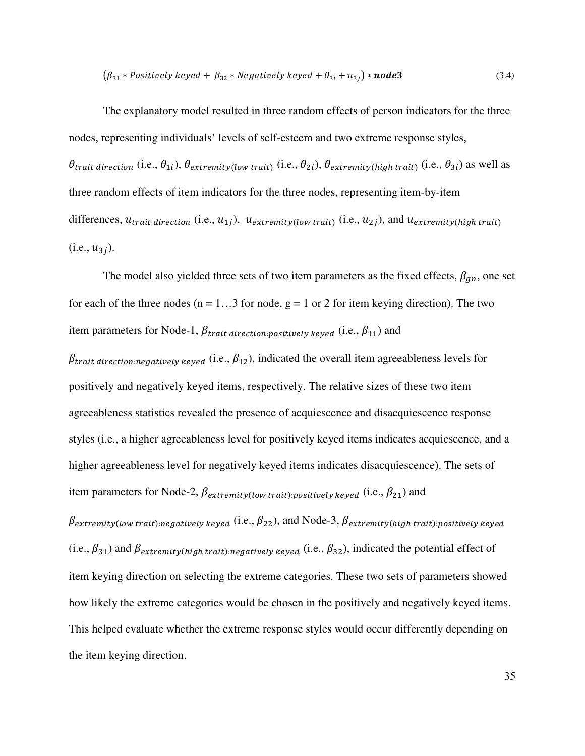$$
(\beta_{31} * Positively\ keyed + \beta_{32} * Negatively\ keyed + \theta_{3i} + u_{3j}) * \textbf{node3} \tag{3.4}
$$

The explanatory model resulted in three random effects of person indicators for the three nodes, representing individuals' levels of self-esteem and two extreme response styles,  $\theta_{\text{trait direction}}$  (i.e.,  $\theta_{1i}$ ),  $\theta_{\text{extremit}v(\text{low trait})}$  (i.e.,  $\theta_{2i}$ ),  $\theta_{\text{extremit}v(\text{high trait})}$  (i.e.,  $\theta_{3i}$ ) as well as three random effects of item indicators for the three nodes, representing item-by-item differences,  $u_{\text{train direction}}$  (i.e.,  $u_{1j}$ ),  $u_{\text{extremity}(low\, trait)}$  (i.e.,  $u_{2j}$ ), and  $u_{\text{extremity}(high\, trait)}$  $(i.e., u_{3i}).$ 

The model also yielded three sets of two item parameters as the fixed effects,  $\beta_{qn}$ , one set for each of the three nodes ( $n = 1...3$  for node,  $g = 1$  or 2 for item keying direction). The two item parameters for Node-1,  $\beta_{\text{trail direction:positively keyed}}$  (i.e.,  $\beta_{11}$ ) and

 $\beta_{\text{trait direction:}neq^\text{active}}$  (i.e.,  $\beta_{12}$ ), indicated the overall item agreeableness levels for positively and negatively keyed items, respectively. The relative sizes of these two item agreeableness statistics revealed the presence of acquiescence and disacquiescence response styles (i.e., a higher agreeableness level for positively keyed items indicates acquiescence, and a higher agreeableness level for negatively keyed items indicates disacquiescence). The sets of item parameters for Node-2,  $\beta_{extremity(low\ trait):positively\ keyed}$  (i.e.,  $\beta_{21}$ ) and

 $\beta$ extremity(low trait):negatively keyed (i.e.,  $\beta_{22}$ ), and Node-3,  $\beta$ extremity(high trait):positively keyed (i.e.,  $\beta_{31}$ ) and  $\beta_{extremity(high trait):negatively keyed}$  (i.e.,  $\beta_{32}$ ), indicated the potential effect of item keying direction on selecting the extreme categories. These two sets of parameters showed how likely the extreme categories would be chosen in the positively and negatively keyed items. This helped evaluate whether the extreme response styles would occur differently depending on the item keying direction.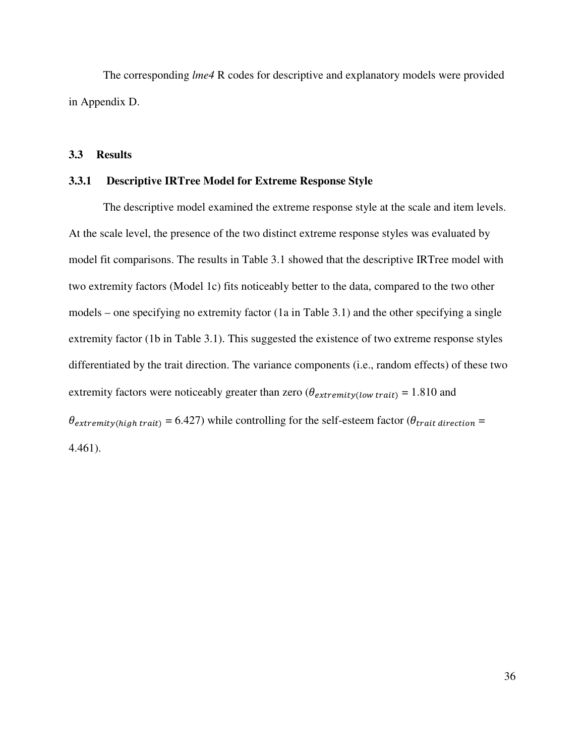The corresponding *lme4* R codes for descriptive and explanatory models were provided in Appendix D.

# **3.3 Results**

# **3.3.1 Descriptive IRTree Model for Extreme Response Style**

The descriptive model examined the extreme response style at the scale and item levels. At the scale level, the presence of the two distinct extreme response styles was evaluated by model fit comparisons. The results in Table 3.1 showed that the descriptive IRTree model with two extremity factors (Model 1c) fits noticeably better to the data, compared to the two other models – one specifying no extremity factor (1a in Table 3.1) and the other specifying a single extremity factor (1b in Table 3.1). This suggested the existence of two extreme response styles differentiated by the trait direction. The variance components (i.e., random effects) of these two extremity factors were noticeably greater than zero ( $\theta_{extremity(low\, trait)} = 1.810$  and  $\theta$ <sub>extremity(high trait)</sub> = 6.427) while controlling for the self-esteem factor ( $\theta$ <sub>trait direction</sub> = 4.461).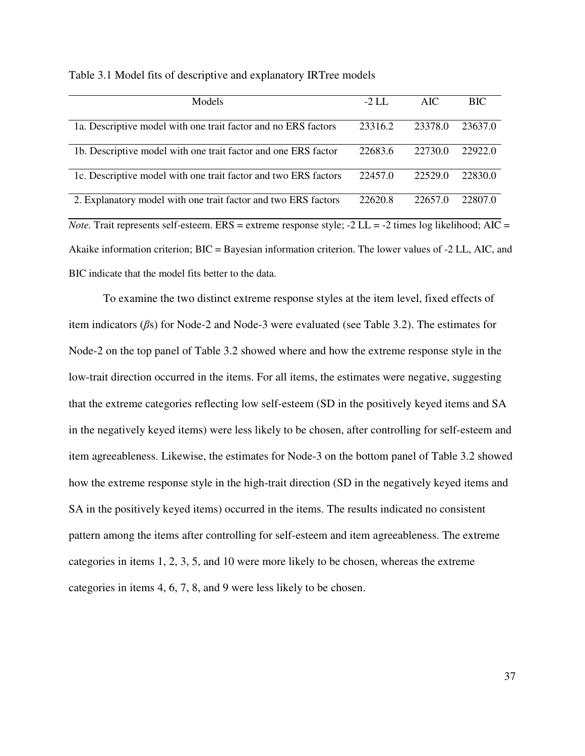| Models                                                                                                           | $-2$ LL | <b>AIC</b> | <b>BIC</b> |  |  |
|------------------------------------------------------------------------------------------------------------------|---------|------------|------------|--|--|
| 1a. Descriptive model with one trait factor and no ERS factors                                                   | 23316.2 | 23378.0    | 23637.0    |  |  |
| 1b. Descriptive model with one trait factor and one ERS factor                                                   | 22683.6 | 22730.0    | 22922.0    |  |  |
| 1c. Descriptive model with one trait factor and two ERS factors                                                  | 22457.0 | 22529.0    | 22830.0    |  |  |
| 2. Explanatory model with one trait factor and two ERS factors                                                   | 22620.8 | 22657.0    | 22807.0    |  |  |
| <i>Note</i> . Trait represents self-esteem. ERS = extreme response style; -2 LL = -2 times log likelihood; AIC = |         |            |            |  |  |
| Akaike information criterion; $BIC = Bayesian$ information criterion. The lower values of $-2$ LL, AIC, and      |         |            |            |  |  |
| BIC indicate that the model fits better to the data.                                                             |         |            |            |  |  |

Table 3.1 Model fits of descriptive and explanatory IRTree models

 To examine the two distinct extreme response styles at the item level, fixed effects of item indicators (*β*s) for Node-2 and Node-3 were evaluated (see Table 3.2). The estimates for Node-2 on the top panel of Table 3.2 showed where and how the extreme response style in the low-trait direction occurred in the items. For all items, the estimates were negative, suggesting that the extreme categories reflecting low self-esteem (SD in the positively keyed items and SA in the negatively keyed items) were less likely to be chosen, after controlling for self-esteem and item agreeableness. Likewise, the estimates for Node-3 on the bottom panel of Table 3.2 showed how the extreme response style in the high-trait direction (SD in the negatively keyed items and SA in the positively keyed items) occurred in the items. The results indicated no consistent pattern among the items after controlling for self-esteem and item agreeableness. The extreme categories in items 1, 2, 3, 5, and 10 were more likely to be chosen, whereas the extreme categories in items 4, 6, 7, 8, and 9 were less likely to be chosen.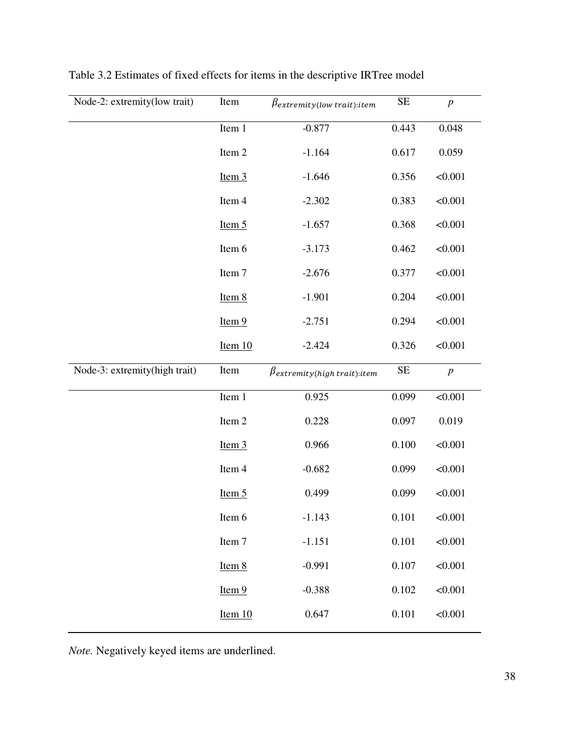| Node-2: extremity(low trait)  | Item                | $\beta$ extremity(low trait): item |       | $\boldsymbol{p}$ |
|-------------------------------|---------------------|------------------------------------|-------|------------------|
|                               | Item 1              | $-0.877$                           | 0.443 | 0.048            |
|                               | Item 2              | $-1.164$                           | 0.617 | 0.059            |
|                               | Item $3$            | $-1.646$                           | 0.356 | < 0.001          |
|                               | Item 4              | $-2.302$                           | 0.383 | < 0.001          |
|                               | Item $5$            | $-1.657$                           | 0.368 | < 0.001          |
|                               | Item 6              | $-3.173$                           | 0.462 | < 0.001          |
|                               | Item 7              | $-2.676$                           | 0.377 | < 0.001          |
|                               | Item 8              | $-1.901$                           | 0.204 | < 0.001          |
|                               | Item 9              | $-2.751$                           | 0.294 | < 0.001          |
|                               | Item $10$           | $-2.424$                           | 0.326 | < 0.001          |
|                               |                     |                                    |       |                  |
| Node-3: extremity(high trait) | Item                | $\beta$ extremity(high trait):item | SE    | $\boldsymbol{p}$ |
|                               | Item $\overline{1}$ | 0.925                              | 0.099 | < 0.001          |
|                               | Item 2              | 0.228                              | 0.097 | 0.019            |
|                               | Item $3$            | 0.966                              | 0.100 | < 0.001          |
|                               | Item 4              | $-0.682$                           | 0.099 | < 0.001          |
|                               | Item $5$            | 0.499                              | 0.099 | < 0.001          |
|                               | Item 6              | $-1.143$                           | 0.101 | < 0.001          |
|                               | Item 7              | $-1.151$                           | 0.101 | < 0.001          |
|                               | Item 8              | $-0.991$                           | 0.107 | < 0.001          |
|                               | Item 9              | $-0.388$                           | 0.102 | < 0.001          |

Table 3.2 Estimates of fixed effects for items in the descriptive IRTree model

*Note.* Negatively keyed items are underlined.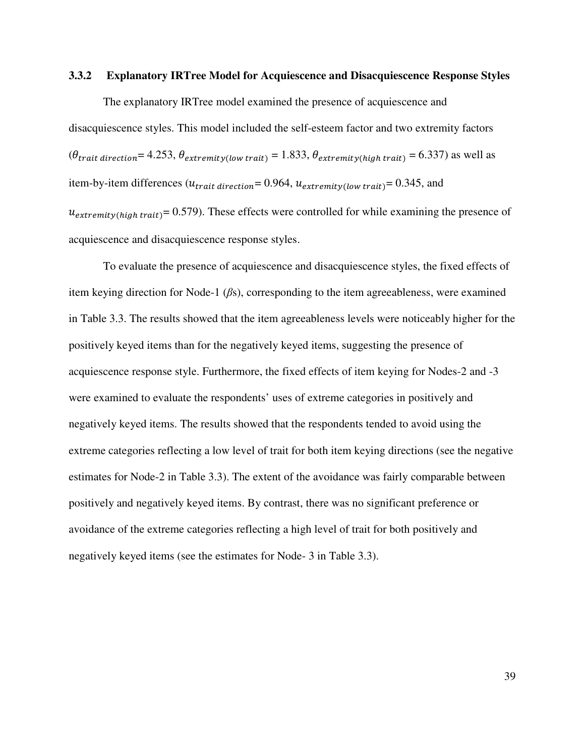## **3.3.2 Explanatory IRTree Model for Acquiescence and Disacquiescence Response Styles**

 The explanatory IRTree model examined the presence of acquiescence and disacquiescence styles. This model included the self-esteem factor and two extremity factors  $(\theta_{\text{trait direction}}= 4.253, \theta_{\text{extremity}(low\, trait)} = 1.833, \theta_{\text{extremity}(high\, trait)} = 6.337)$  as well as item-by-item differences  $(u_{\text{train direction}} = 0.964, u_{\text{extremit}v(low \text{ trait})} = 0.345,$  and  $u_{extremity(high trait)} = 0.579$ . These effects were controlled for while examining the presence of

acquiescence and disacquiescence response styles.

To evaluate the presence of acquiescence and disacquiescence styles, the fixed effects of item keying direction for Node-1 (*β*s), corresponding to the item agreeableness, were examined in Table 3.3. The results showed that the item agreeableness levels were noticeably higher for the positively keyed items than for the negatively keyed items, suggesting the presence of acquiescence response style. Furthermore, the fixed effects of item keying for Nodes-2 and -3 were examined to evaluate the respondents' uses of extreme categories in positively and negatively keyed items. The results showed that the respondents tended to avoid using the extreme categories reflecting a low level of trait for both item keying directions (see the negative estimates for Node-2 in Table 3.3). The extent of the avoidance was fairly comparable between positively and negatively keyed items. By contrast, there was no significant preference or avoidance of the extreme categories reflecting a high level of trait for both positively and negatively keyed items (see the estimates for Node- 3 in Table 3.3).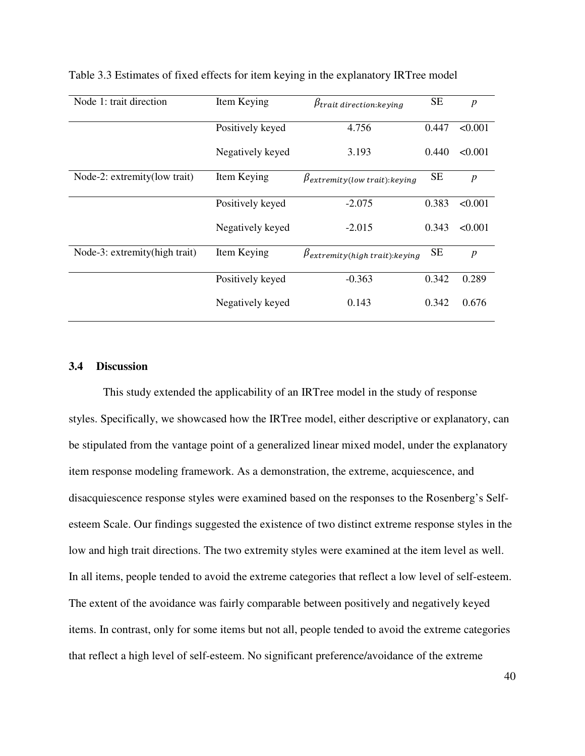| Node 1: trait direction       | Item Keying      | $\beta$ trait direction: keying       | <b>SE</b> | $\boldsymbol{p}$ |
|-------------------------------|------------------|---------------------------------------|-----------|------------------|
|                               | Positively keyed | 4.756                                 | 0.447     | < 0.001          |
|                               | Negatively keyed | 3.193                                 | 0.440     | < 0.001          |
| Node-2: extremity (low trait) | Item Keying      | $\beta$ extremity(low trait): keying  | <b>SE</b> | $\boldsymbol{p}$ |
|                               | Positively keyed | $-2.075$                              | 0.383     | < 0.001          |
|                               | Negatively keyed | $-2.015$                              | 0.343     | < 0.001          |
| Node-3: extremity(high trait) | Item Keying      | $\beta$ extremity(high trait): keying | <b>SE</b> | $\boldsymbol{p}$ |
|                               | Positively keyed | $-0.363$                              | 0.342     | 0.289            |
|                               | Negatively keyed | 0.143                                 | 0.342     | 0.676            |

Table 3.3 Estimates of fixed effects for item keying in the explanatory IRTree model

#### **3.4 Discussion**

 This study extended the applicability of an IRTree model in the study of response styles. Specifically, we showcased how the IRTree model, either descriptive or explanatory, can be stipulated from the vantage point of a generalized linear mixed model, under the explanatory item response modeling framework. As a demonstration, the extreme, acquiescence, and disacquiescence response styles were examined based on the responses to the Rosenberg's Selfesteem Scale. Our findings suggested the existence of two distinct extreme response styles in the low and high trait directions. The two extremity styles were examined at the item level as well. In all items, people tended to avoid the extreme categories that reflect a low level of self-esteem. The extent of the avoidance was fairly comparable between positively and negatively keyed items. In contrast, only for some items but not all, people tended to avoid the extreme categories that reflect a high level of self-esteem. No significant preference/avoidance of the extreme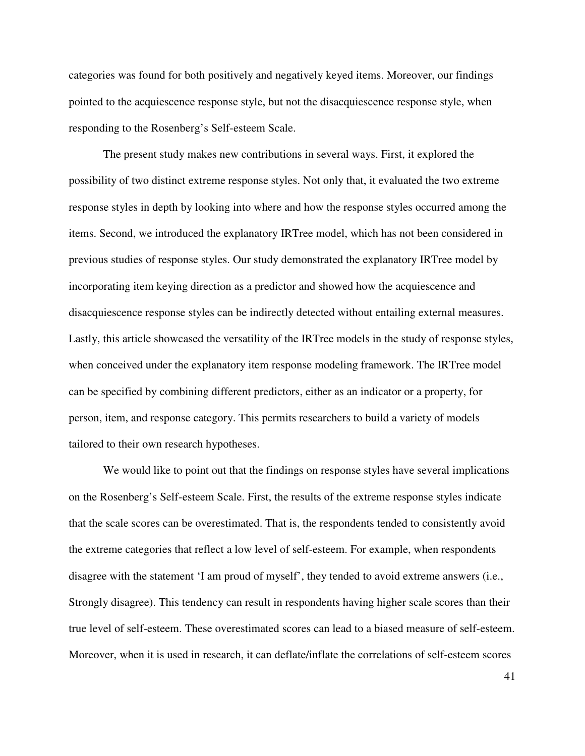categories was found for both positively and negatively keyed items. Moreover, our findings pointed to the acquiescence response style, but not the disacquiescence response style, when responding to the Rosenberg's Self-esteem Scale.

The present study makes new contributions in several ways. First, it explored the possibility of two distinct extreme response styles. Not only that, it evaluated the two extreme response styles in depth by looking into where and how the response styles occurred among the items. Second, we introduced the explanatory IRTree model, which has not been considered in previous studies of response styles. Our study demonstrated the explanatory IRTree model by incorporating item keying direction as a predictor and showed how the acquiescence and disacquiescence response styles can be indirectly detected without entailing external measures. Lastly, this article showcased the versatility of the IRTree models in the study of response styles, when conceived under the explanatory item response modeling framework. The IRTree model can be specified by combining different predictors, either as an indicator or a property, for person, item, and response category. This permits researchers to build a variety of models tailored to their own research hypotheses.

We would like to point out that the findings on response styles have several implications on the Rosenberg's Self-esteem Scale. First, the results of the extreme response styles indicate that the scale scores can be overestimated. That is, the respondents tended to consistently avoid the extreme categories that reflect a low level of self-esteem. For example, when respondents disagree with the statement 'I am proud of myself', they tended to avoid extreme answers (i.e., Strongly disagree). This tendency can result in respondents having higher scale scores than their true level of self-esteem. These overestimated scores can lead to a biased measure of self-esteem. Moreover, when it is used in research, it can deflate/inflate the correlations of self-esteem scores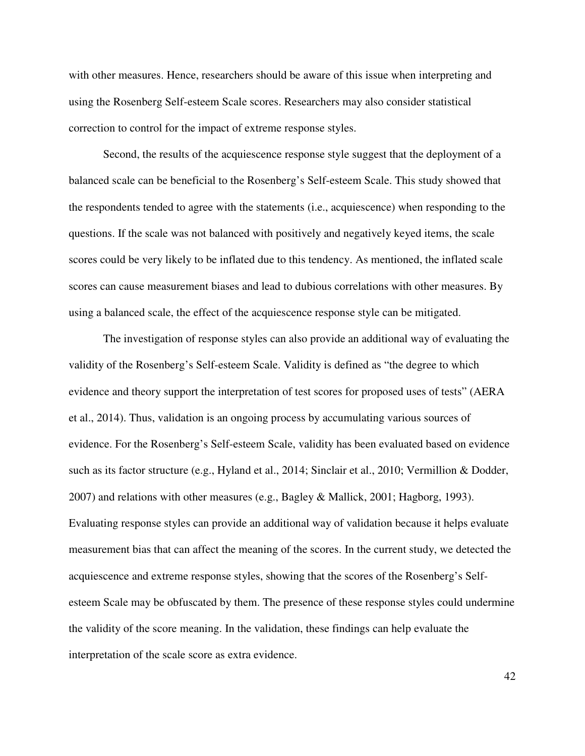with other measures. Hence, researchers should be aware of this issue when interpreting and using the Rosenberg Self-esteem Scale scores. Researchers may also consider statistical correction to control for the impact of extreme response styles.

Second, the results of the acquiescence response style suggest that the deployment of a balanced scale can be beneficial to the Rosenberg's Self-esteem Scale. This study showed that the respondents tended to agree with the statements (i.e., acquiescence) when responding to the questions. If the scale was not balanced with positively and negatively keyed items, the scale scores could be very likely to be inflated due to this tendency. As mentioned, the inflated scale scores can cause measurement biases and lead to dubious correlations with other measures. By using a balanced scale, the effect of the acquiescence response style can be mitigated.

The investigation of response styles can also provide an additional way of evaluating the validity of the Rosenberg's Self-esteem Scale. Validity is defined as "the degree to which evidence and theory support the interpretation of test scores for proposed uses of tests" (AERA et al., 2014). Thus, validation is an ongoing process by accumulating various sources of evidence. For the Rosenberg's Self-esteem Scale, validity has been evaluated based on evidence such as its factor structure (e.g., Hyland et al., 2014; Sinclair et al., 2010; Vermillion & Dodder, 2007) and relations with other measures (e.g., Bagley & Mallick, 2001; Hagborg, 1993). Evaluating response styles can provide an additional way of validation because it helps evaluate measurement bias that can affect the meaning of the scores. In the current study, we detected the acquiescence and extreme response styles, showing that the scores of the Rosenberg's Selfesteem Scale may be obfuscated by them. The presence of these response styles could undermine the validity of the score meaning. In the validation, these findings can help evaluate the interpretation of the scale score as extra evidence.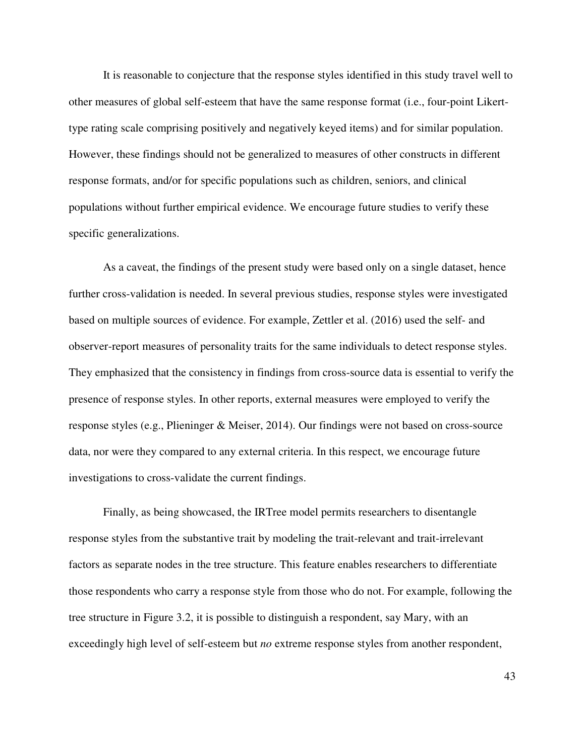It is reasonable to conjecture that the response styles identified in this study travel well to other measures of global self-esteem that have the same response format (i.e., four-point Likerttype rating scale comprising positively and negatively keyed items) and for similar population. However, these findings should not be generalized to measures of other constructs in different response formats, and/or for specific populations such as children, seniors, and clinical populations without further empirical evidence. We encourage future studies to verify these specific generalizations.

As a caveat, the findings of the present study were based only on a single dataset, hence further cross-validation is needed. In several previous studies, response styles were investigated based on multiple sources of evidence. For example, Zettler et al. (2016) used the self- and observer-report measures of personality traits for the same individuals to detect response styles. They emphasized that the consistency in findings from cross-source data is essential to verify the presence of response styles. In other reports, external measures were employed to verify the response styles (e.g., Plieninger & Meiser, 2014). Our findings were not based on cross-source data, nor were they compared to any external criteria. In this respect, we encourage future investigations to cross-validate the current findings.

Finally, as being showcased, the IRTree model permits researchers to disentangle response styles from the substantive trait by modeling the trait-relevant and trait-irrelevant factors as separate nodes in the tree structure. This feature enables researchers to differentiate those respondents who carry a response style from those who do not. For example, following the tree structure in Figure 3.2, it is possible to distinguish a respondent, say Mary, with an exceedingly high level of self-esteem but *no* extreme response styles from another respondent,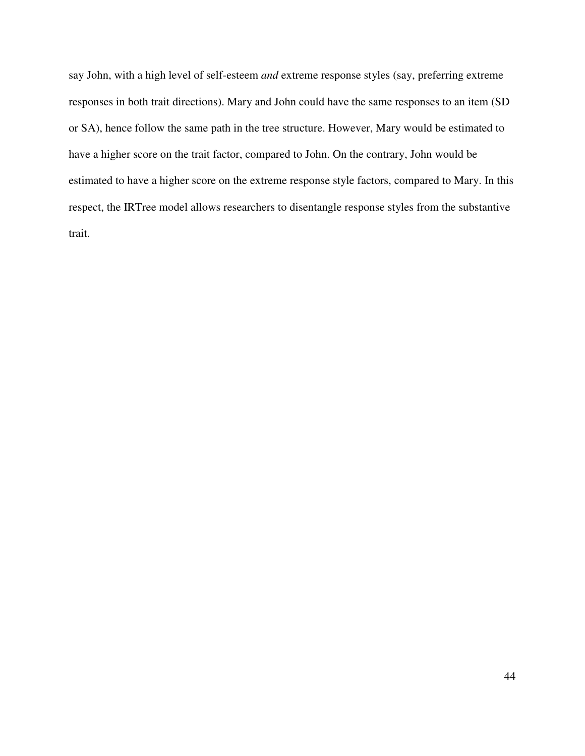say John, with a high level of self-esteem *and* extreme response styles (say, preferring extreme responses in both trait directions). Mary and John could have the same responses to an item (SD or SA), hence follow the same path in the tree structure. However, Mary would be estimated to have a higher score on the trait factor, compared to John. On the contrary, John would be estimated to have a higher score on the extreme response style factors, compared to Mary. In this respect, the IRTree model allows researchers to disentangle response styles from the substantive trait.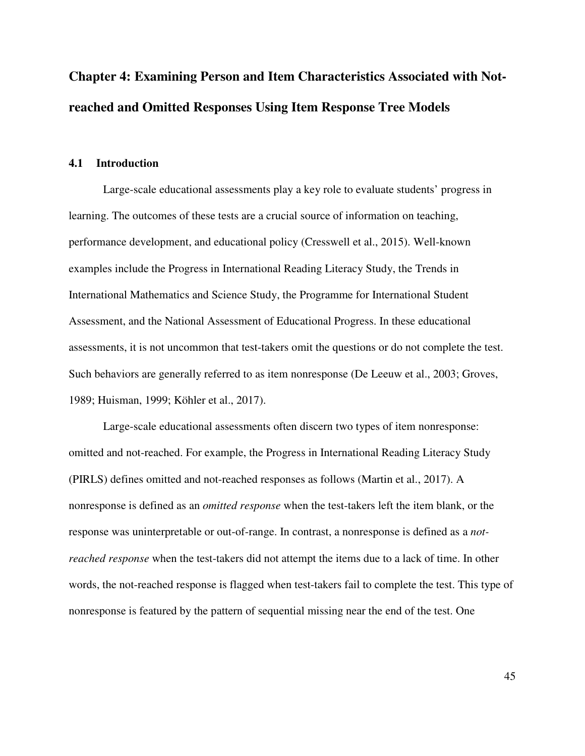# **Chapter 4: Examining Person and Item Characteristics Associated with Notreached and Omitted Responses Using Item Response Tree Models**

# **4.1 Introduction**

Large-scale educational assessments play a key role to evaluate students' progress in learning. The outcomes of these tests are a crucial source of information on teaching, performance development, and educational policy (Cresswell et al., 2015). Well-known examples include the Progress in International Reading Literacy Study, the Trends in International Mathematics and Science Study, the Programme for International Student Assessment, and the National Assessment of Educational Progress. In these educational assessments, it is not uncommon that test-takers omit the questions or do not complete the test. Such behaviors are generally referred to as item nonresponse (De Leeuw et al., 2003; Groves, 1989; Huisman, 1999; Köhler et al., 2017).

Large-scale educational assessments often discern two types of item nonresponse: omitted and not-reached. For example, the Progress in International Reading Literacy Study (PIRLS) defines omitted and not-reached responses as follows (Martin et al., 2017). A nonresponse is defined as an *omitted response* when the test-takers left the item blank, or the response was uninterpretable or out-of-range. In contrast, a nonresponse is defined as a *notreached response* when the test-takers did not attempt the items due to a lack of time. In other words, the not-reached response is flagged when test-takers fail to complete the test. This type of nonresponse is featured by the pattern of sequential missing near the end of the test. One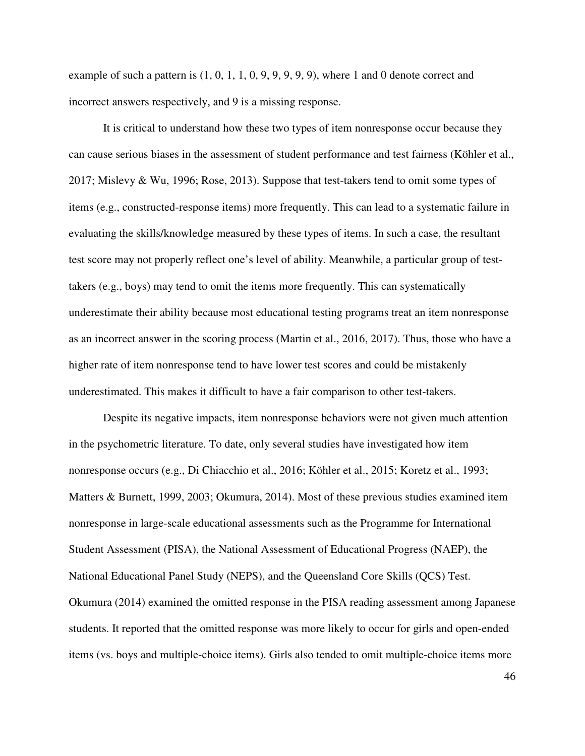example of such a pattern is  $(1, 0, 1, 1, 0, 9, 9, 9, 9, 9)$ , where 1 and 0 denote correct and incorrect answers respectively, and 9 is a missing response.

It is critical to understand how these two types of item nonresponse occur because they can cause serious biases in the assessment of student performance and test fairness (Köhler et al., 2017; Mislevy & Wu, 1996; Rose, 2013). Suppose that test-takers tend to omit some types of items (e.g., constructed-response items) more frequently. This can lead to a systematic failure in evaluating the skills/knowledge measured by these types of items. In such a case, the resultant test score may not properly reflect one's level of ability. Meanwhile, a particular group of testtakers (e.g., boys) may tend to omit the items more frequently. This can systematically underestimate their ability because most educational testing programs treat an item nonresponse as an incorrect answer in the scoring process (Martin et al., 2016, 2017). Thus, those who have a higher rate of item nonresponse tend to have lower test scores and could be mistakenly underestimated. This makes it difficult to have a fair comparison to other test-takers.

Despite its negative impacts, item nonresponse behaviors were not given much attention in the psychometric literature. To date, only several studies have investigated how item nonresponse occurs (e.g., Di Chiacchio et al., 2016; Köhler et al., 2015; Koretz et al., 1993; Matters & Burnett, 1999, 2003; Okumura, 2014). Most of these previous studies examined item nonresponse in large-scale educational assessments such as the Programme for International Student Assessment (PISA), the National Assessment of Educational Progress (NAEP), the National Educational Panel Study (NEPS), and the Queensland Core Skills (QCS) Test. Okumura (2014) examined the omitted response in the PISA reading assessment among Japanese students. It reported that the omitted response was more likely to occur for girls and open-ended items (vs. boys and multiple-choice items). Girls also tended to omit multiple-choice items more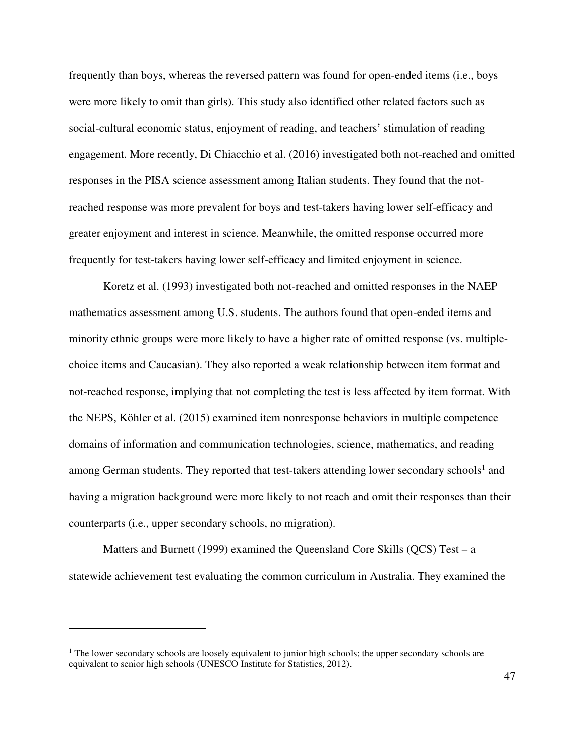frequently than boys, whereas the reversed pattern was found for open-ended items (i.e., boys were more likely to omit than girls). This study also identified other related factors such as social-cultural economic status, enjoyment of reading, and teachers' stimulation of reading engagement. More recently, Di Chiacchio et al. (2016) investigated both not-reached and omitted responses in the PISA science assessment among Italian students. They found that the notreached response was more prevalent for boys and test-takers having lower self-efficacy and greater enjoyment and interest in science. Meanwhile, the omitted response occurred more frequently for test-takers having lower self-efficacy and limited enjoyment in science.

Koretz et al. (1993) investigated both not-reached and omitted responses in the NAEP mathematics assessment among U.S. students. The authors found that open-ended items and minority ethnic groups were more likely to have a higher rate of omitted response (vs. multiplechoice items and Caucasian). They also reported a weak relationship between item format and not-reached response, implying that not completing the test is less affected by item format. With the NEPS, Köhler et al. (2015) examined item nonresponse behaviors in multiple competence domains of information and communication technologies, science, mathematics, and reading among German students. They reported that test-takers attending lower secondary schools<sup>1</sup> and having a migration background were more likely to not reach and omit their responses than their counterparts (i.e., upper secondary schools, no migration).

Matters and Burnett (1999) examined the Queensland Core Skills (QCS) Test – a statewide achievement test evaluating the common curriculum in Australia. They examined the

<sup>&</sup>lt;sup>1</sup> The lower secondary schools are loosely equivalent to junior high schools; the upper secondary schools are equivalent to senior high schools (UNESCO Institute for Statistics, 2012).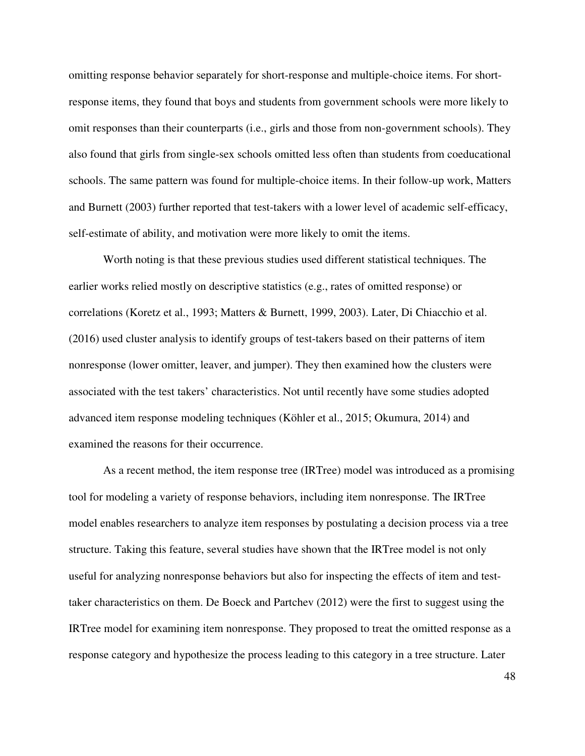omitting response behavior separately for short-response and multiple-choice items. For shortresponse items, they found that boys and students from government schools were more likely to omit responses than their counterparts (i.e., girls and those from non-government schools). They also found that girls from single-sex schools omitted less often than students from coeducational schools. The same pattern was found for multiple-choice items. In their follow-up work, Matters and Burnett (2003) further reported that test-takers with a lower level of academic self-efficacy, self-estimate of ability, and motivation were more likely to omit the items.

Worth noting is that these previous studies used different statistical techniques. The earlier works relied mostly on descriptive statistics (e.g., rates of omitted response) or correlations (Koretz et al., 1993; Matters & Burnett, 1999, 2003). Later, Di Chiacchio et al. (2016) used cluster analysis to identify groups of test-takers based on their patterns of item nonresponse (lower omitter, leaver, and jumper). They then examined how the clusters were associated with the test takers' characteristics. Not until recently have some studies adopted advanced item response modeling techniques (Köhler et al., 2015; Okumura, 2014) and examined the reasons for their occurrence.

As a recent method, the item response tree (IRTree) model was introduced as a promising tool for modeling a variety of response behaviors, including item nonresponse. The IRTree model enables researchers to analyze item responses by postulating a decision process via a tree structure. Taking this feature, several studies have shown that the IRTree model is not only useful for analyzing nonresponse behaviors but also for inspecting the effects of item and testtaker characteristics on them. De Boeck and Partchev (2012) were the first to suggest using the IRTree model for examining item nonresponse. They proposed to treat the omitted response as a response category and hypothesize the process leading to this category in a tree structure. Later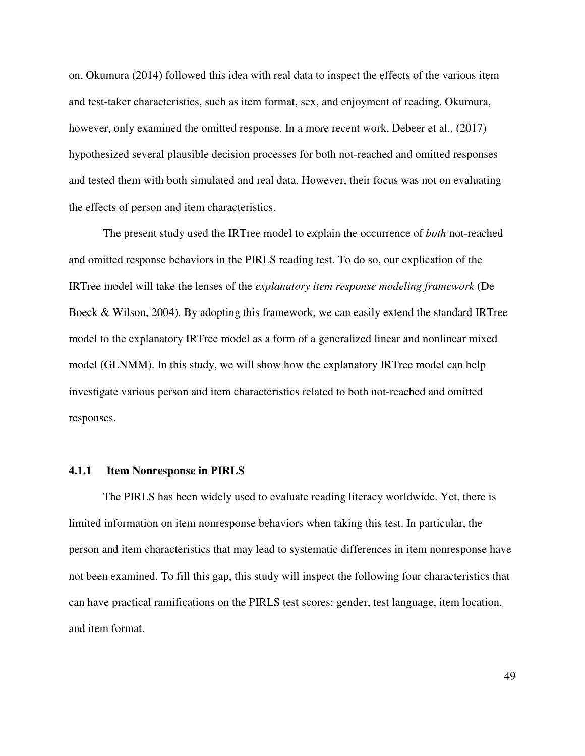on, Okumura (2014) followed this idea with real data to inspect the effects of the various item and test-taker characteristics, such as item format, sex, and enjoyment of reading. Okumura, however, only examined the omitted response. In a more recent work, Debeer et al., (2017) hypothesized several plausible decision processes for both not-reached and omitted responses and tested them with both simulated and real data. However, their focus was not on evaluating the effects of person and item characteristics.

The present study used the IRTree model to explain the occurrence of *both* not-reached and omitted response behaviors in the PIRLS reading test. To do so, our explication of the IRTree model will take the lenses of the *explanatory item response modeling framework* (De Boeck & Wilson, 2004). By adopting this framework, we can easily extend the standard IRTree model to the explanatory IRTree model as a form of a generalized linear and nonlinear mixed model (GLNMM). In this study, we will show how the explanatory IRTree model can help investigate various person and item characteristics related to both not-reached and omitted responses.

#### **4.1.1 Item Nonresponse in PIRLS**

The PIRLS has been widely used to evaluate reading literacy worldwide. Yet, there is limited information on item nonresponse behaviors when taking this test. In particular, the person and item characteristics that may lead to systematic differences in item nonresponse have not been examined. To fill this gap, this study will inspect the following four characteristics that can have practical ramifications on the PIRLS test scores: gender, test language, item location, and item format.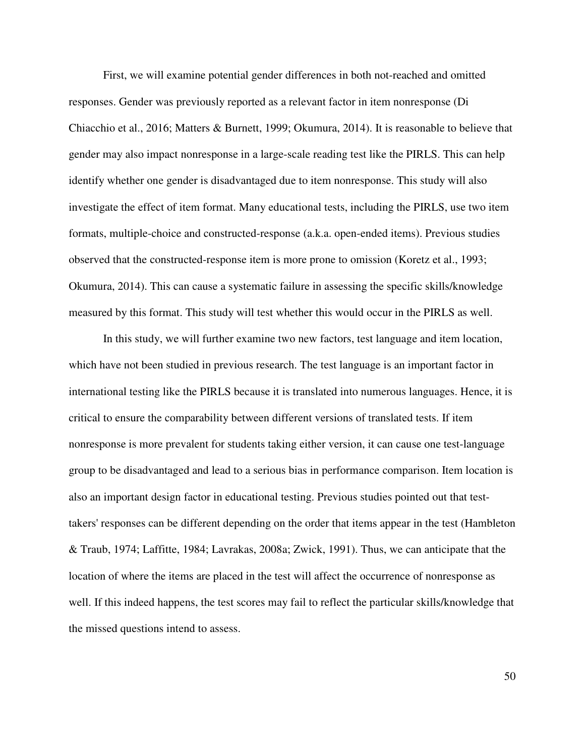First, we will examine potential gender differences in both not-reached and omitted responses. Gender was previously reported as a relevant factor in item nonresponse (Di Chiacchio et al., 2016; Matters & Burnett, 1999; Okumura, 2014). It is reasonable to believe that gender may also impact nonresponse in a large-scale reading test like the PIRLS. This can help identify whether one gender is disadvantaged due to item nonresponse. This study will also investigate the effect of item format. Many educational tests, including the PIRLS, use two item formats, multiple-choice and constructed-response (a.k.a. open-ended items). Previous studies observed that the constructed-response item is more prone to omission (Koretz et al., 1993; Okumura, 2014). This can cause a systematic failure in assessing the specific skills/knowledge measured by this format. This study will test whether this would occur in the PIRLS as well.

In this study, we will further examine two new factors, test language and item location, which have not been studied in previous research. The test language is an important factor in international testing like the PIRLS because it is translated into numerous languages. Hence, it is critical to ensure the comparability between different versions of translated tests. If item nonresponse is more prevalent for students taking either version, it can cause one test-language group to be disadvantaged and lead to a serious bias in performance comparison. Item location is also an important design factor in educational testing. Previous studies pointed out that testtakers' responses can be different depending on the order that items appear in the test (Hambleton & Traub, 1974; Laffitte, 1984; Lavrakas, 2008a; Zwick, 1991). Thus, we can anticipate that the location of where the items are placed in the test will affect the occurrence of nonresponse as well. If this indeed happens, the test scores may fail to reflect the particular skills/knowledge that the missed questions intend to assess.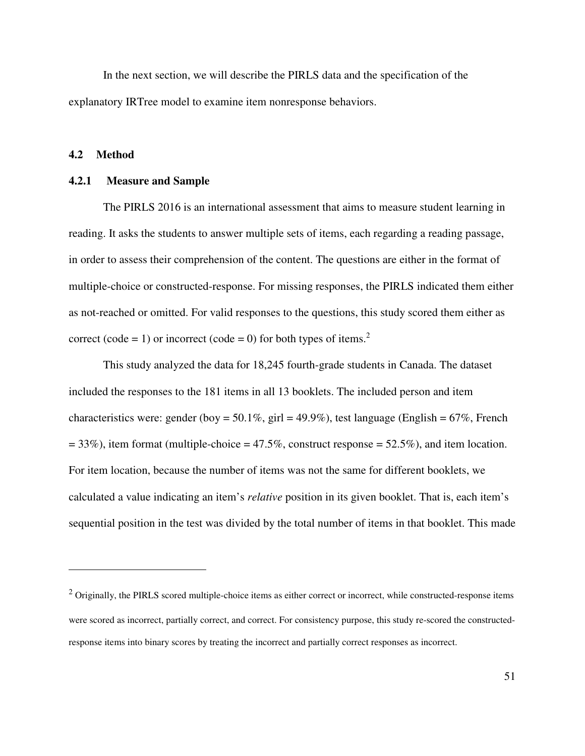In the next section, we will describe the PIRLS data and the specification of the explanatory IRTree model to examine item nonresponse behaviors.

#### **4.2 Method**

1

#### **4.2.1 Measure and Sample**

The PIRLS 2016 is an international assessment that aims to measure student learning in reading. It asks the students to answer multiple sets of items, each regarding a reading passage, in order to assess their comprehension of the content. The questions are either in the format of multiple-choice or constructed-response. For missing responses, the PIRLS indicated them either as not-reached or omitted. For valid responses to the questions, this study scored them either as correct (code = 1) or incorrect (code = 0) for both types of items.<sup>2</sup>

This study analyzed the data for 18,245 fourth-grade students in Canada. The dataset included the responses to the 181 items in all 13 booklets. The included person and item characteristics were: gender (boy = 50.1%, girl = 49.9%), test language (English = 67%, French  $= 33\%$ ), item format (multiple-choice  $= 47.5\%$ , construct response  $= 52.5\%$ ), and item location. For item location, because the number of items was not the same for different booklets, we calculated a value indicating an item's *relative* position in its given booklet. That is, each item's sequential position in the test was divided by the total number of items in that booklet. This made

 $2$  Originally, the PIRLS scored multiple-choice items as either correct or incorrect, while constructed-response items were scored as incorrect, partially correct, and correct. For consistency purpose, this study re-scored the constructedresponse items into binary scores by treating the incorrect and partially correct responses as incorrect.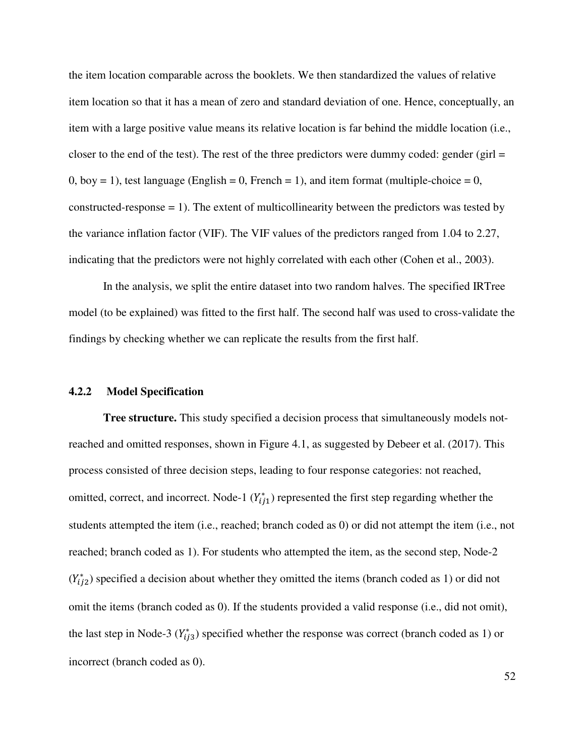the item location comparable across the booklets. We then standardized the values of relative item location so that it has a mean of zero and standard deviation of one. Hence, conceptually, an item with a large positive value means its relative location is far behind the middle location (i.e., closer to the end of the test). The rest of the three predictors were dummy coded: gender (girl  $=$  $0,$  boy = 1), test language (English = 0, French = 1), and item format (multiple-choice = 0, constructed-response  $= 1$ ). The extent of multicollinearity between the predictors was tested by the variance inflation factor (VIF). The VIF values of the predictors ranged from 1.04 to 2.27, indicating that the predictors were not highly correlated with each other (Cohen et al., 2003).

In the analysis, we split the entire dataset into two random halves. The specified IRTree model (to be explained) was fitted to the first half. The second half was used to cross-validate the findings by checking whether we can replicate the results from the first half.

#### **4.2.2 Model Specification**

**Tree structure.** This study specified a decision process that simultaneously models notreached and omitted responses, shown in Figure 4.1, as suggested by Debeer et al. (2017). This process consisted of three decision steps, leading to four response categories: not reached, omitted, correct, and incorrect. Node-1  $(Y_{ij1}^*)$  represented the first step regarding whether the students attempted the item (i.e., reached; branch coded as 0) or did not attempt the item (i.e., not reached; branch coded as 1). For students who attempted the item, as the second step, Node-2  $(Y_{ij2}^*)$  specified a decision about whether they omitted the items (branch coded as 1) or did not omit the items (branch coded as 0). If the students provided a valid response (i.e., did not omit), the last step in Node-3  $(Y_{ij3}^*)$  specified whether the response was correct (branch coded as 1) or incorrect (branch coded as 0).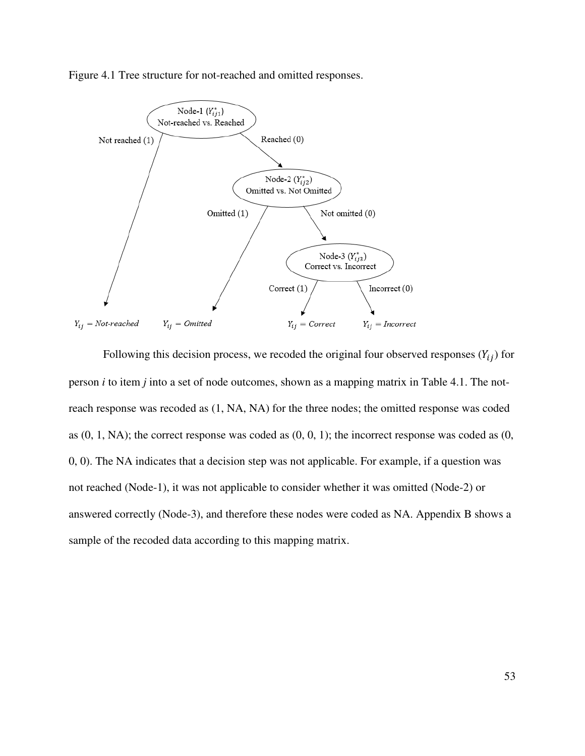Figure 4.1 Tree structure for not-reached and omitted responses.



Following this decision process, we recoded the original four observed responses  $(Y_{ij})$  for person *i* to item *j* into a set of node outcomes, shown as a mapping matrix in Table 4.1. The notreach response was recoded as (1, NA, NA) for the three nodes; the omitted response was coded as  $(0, 1, NA)$ ; the correct response was coded as  $(0, 0, 1)$ ; the incorrect response was coded as  $(0, 0, 1)$ 0, 0). The NA indicates that a decision step was not applicable. For example, if a question was not reached (Node-1), it was not applicable to consider whether it was omitted (Node-2) or answered correctly (Node-3), and therefore these nodes were coded as NA. Appendix B shows a sample of the recoded data according to this mapping matrix.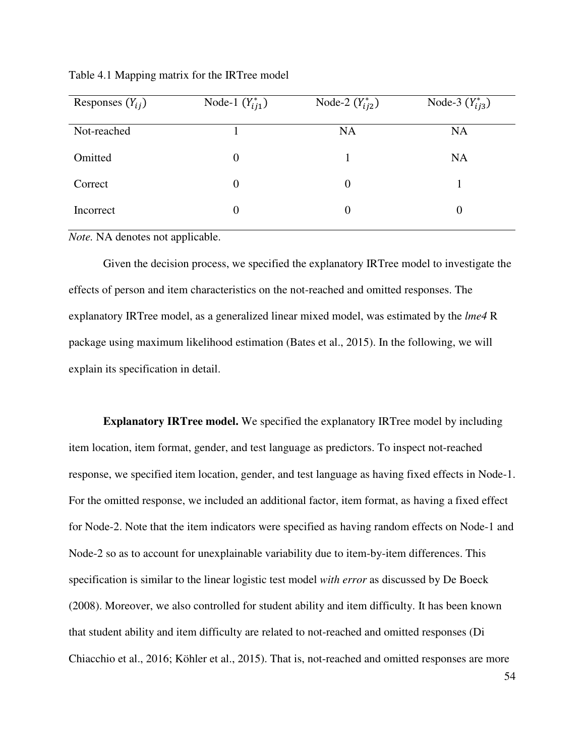| Responses $(Y_{ij})$ | Node-1 $(Y_{ij1}^*)$ | Node-2 $(Y_{ii2}^*)$ | Node-3 $(Y_{i j 3}^*)$ |
|----------------------|----------------------|----------------------|------------------------|
| Not-reached          |                      | <b>NA</b>            | <b>NA</b>              |
| Omitted              | $\boldsymbol{0}$     |                      | <b>NA</b>              |
| Correct              | $\boldsymbol{0}$     | $\boldsymbol{0}$     |                        |
| Incorrect            | $\overline{0}$       | $\boldsymbol{0}$     | $\theta$               |

Table 4.1 Mapping matrix for the IRTree model

*Note.* NA denotes not applicable.

Given the decision process, we specified the explanatory IRTree model to investigate the effects of person and item characteristics on the not-reached and omitted responses. The explanatory IRTree model, as a generalized linear mixed model, was estimated by the *lme4* R package using maximum likelihood estimation (Bates et al., 2015). In the following, we will explain its specification in detail.

**Explanatory IRTree model.** We specified the explanatory IRTree model by including item location, item format, gender, and test language as predictors. To inspect not-reached response, we specified item location, gender, and test language as having fixed effects in Node-1. For the omitted response, we included an additional factor, item format, as having a fixed effect for Node-2. Note that the item indicators were specified as having random effects on Node-1 and Node-2 so as to account for unexplainable variability due to item-by-item differences. This specification is similar to the linear logistic test model *with error* as discussed by De Boeck (2008). Moreover, we also controlled for student ability and item difficulty. It has been known that student ability and item difficulty are related to not-reached and omitted responses (Di Chiacchio et al., 2016; Köhler et al., 2015). That is, not-reached and omitted responses are more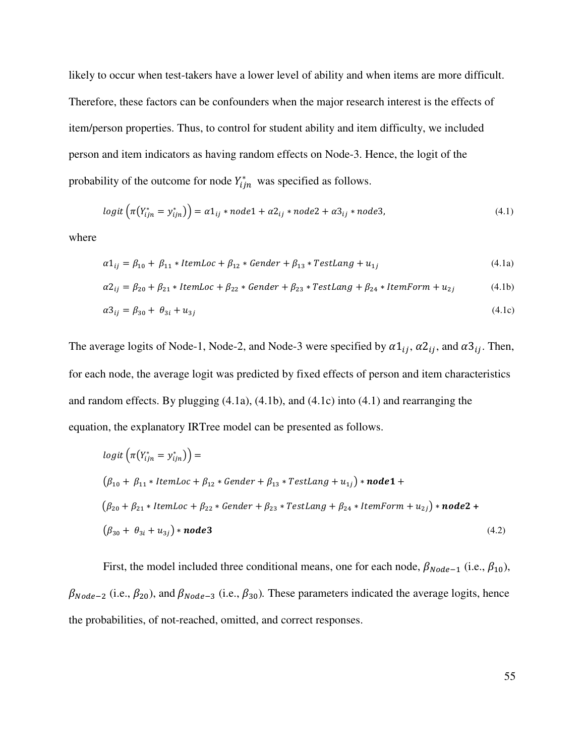likely to occur when test-takers have a lower level of ability and when items are more difficult. Therefore, these factors can be confounders when the major research interest is the effects of item/person properties. Thus, to control for student ability and item difficulty, we included person and item indicators as having random effects on Node-3. Hence, the logit of the probability of the outcome for node  $Y_{ijn}^*$  was specified as follows.

$$
logit\left(\pi(Y_{ijn}^* = y_{ijn}^*)\right) = \alpha 1_{ij} * node1 + \alpha 2_{ij} * node2 + \alpha 3_{ij} * node3,\tag{4.1}
$$

where

$$
\alpha 1_{ij} = \beta_{10} + \beta_{11} * ItemLoc + \beta_{12} * Gender + \beta_{13} * TestLang + u_{1j}
$$
\n
$$
(4.1a)
$$

$$
\alpha 2_{ij} = \beta_{20} + \beta_{21} * ItemLoc + \beta_{22} * Gender + \beta_{23} * TestLang + \beta_{24} * ItemForm + u_{2j}
$$
(4.1b)

$$
\alpha_0^2 = \beta_{30} + \theta_{3i} + u_{3j} \tag{4.1c}
$$

The average logits of Node-1, Node-2, and Node-3 were specified by  $\alpha 1_{ij}$ ,  $\alpha 2_{ij}$ , and  $\alpha 3_{ij}$ . Then, for each node, the average logit was predicted by fixed effects of person and item characteristics and random effects. By plugging (4.1a), (4.1b), and (4.1c) into (4.1) and rearranging the equation, the explanatory IRTree model can be presented as follows.

$$
logit\left(\pi(Y_{ijn}^* = y_{ijn}^*)\right) =
$$
\n
$$
(\beta_{10} + \beta_{11} * ItemLoc + \beta_{12} * Gender + \beta_{13} * TestLang + u_{1j}) * node1 +
$$
\n
$$
(\beta_{20} + \beta_{21} * ItemLoc + \beta_{22} * Gender + \beta_{23} * TestLang + \beta_{24} * ItemForm + u_{2j}) * node2 +
$$
\n
$$
(\beta_{30} + \theta_{3i} + u_{3j}) * node3
$$
\n(4.2)

First, the model included three conditional means, one for each node,  $\beta_{Node-1}$  (i.e.,  $\beta_{10}$ ),  $\beta_{Node-2}$  (i.e.,  $\beta_{20}$ ), and  $\beta_{Node-3}$  (i.e.,  $\beta_{30}$ ). These parameters indicated the average logits, hence the probabilities, of not-reached, omitted, and correct responses.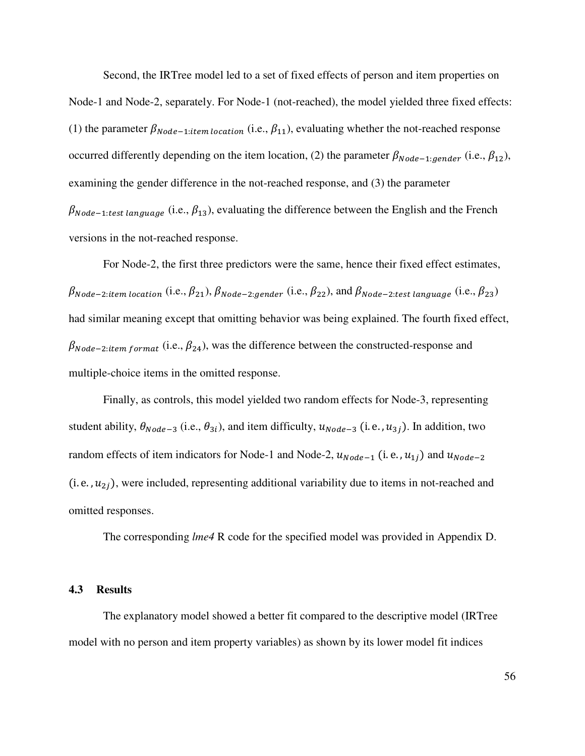Second, the IRTree model led to a set of fixed effects of person and item properties on Node-1 and Node-2, separately. For Node-1 (not-reached), the model yielded three fixed effects: (1) the parameter  $\beta_{Node-1:item location}$  (i.e.,  $\beta_{11}$ ), evaluating whether the not-reached response occurred differently depending on the item location, (2) the parameter  $\beta_{Node-1:gender}$  (i.e.,  $\beta_{12}$ ), examining the gender difference in the not-reached response, and (3) the parameter  $\beta_{Node-1:test\ language}$  (i.e.,  $\beta_{13}$ ), evaluating the difference between the English and the French versions in the not-reached response.

For Node-2, the first three predictors were the same, hence their fixed effect estimates,  $\beta_{Node-2:item location}$  (i.e.,  $\beta_{21}$ ),  $\beta_{Node-2:gender}$  (i.e.,  $\beta_{22}$ ), and  $\beta_{Node-2:test language}$  (i.e.,  $\beta_{23}$ ) had similar meaning except that omitting behavior was being explained. The fourth fixed effect,  $\beta_{Node-2:item format}$  (i.e.,  $\beta_{24}$ ), was the difference between the constructed-response and multiple-choice items in the omitted response.

Finally, as controls, this model yielded two random effects for Node-3, representing student ability,  $\theta_{Node-3}$  (i.e.,  $\theta_{3i}$ ), and item difficulty,  $u_{Node-3}$  (i.e.,  $u_{3j}$ ). In addition, two random effects of item indicators for Node-1 and Node-2,  $u_{Node-1}$  (i.e.,  $u_{1j}$ ) and  $u_{Node-2}$ (i. e.,  $u_{2i}$ ), were included, representing additional variability due to items in not-reached and omitted responses.

The corresponding *lme4* R code for the specified model was provided in Appendix D.

# **4.3 Results**

The explanatory model showed a better fit compared to the descriptive model (IRTree model with no person and item property variables) as shown by its lower model fit indices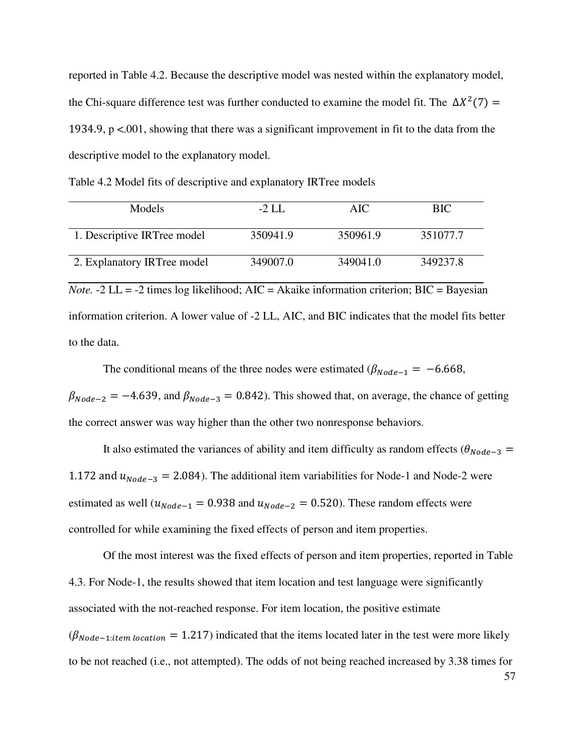reported in Table 4.2. Because the descriptive model was nested within the explanatory model, the Chi-square difference test was further conducted to examine the model fit. The  $\Delta X^2(7)$  = 1934.9, p <.001, showing that there was a significant improvement in fit to the data from the descriptive model to the explanatory model.

Table 4.2 Model fits of descriptive and explanatory IRTree models

| Models                                                                                               | $-2$ LL  | AIC      | <b>BIC</b> |  |  |
|------------------------------------------------------------------------------------------------------|----------|----------|------------|--|--|
| 1. Descriptive IRTree model                                                                          | 350941.9 | 350961.9 | 351077.7   |  |  |
| 2. Explanatory IRTree model                                                                          | 349007.0 | 349041.0 | 349237.8   |  |  |
| <i>Note.</i> -2 LL = -2 times log likelihood; $AIC = Akaike$ information criterion; $BIC = Bayesian$ |          |          |            |  |  |
| information criterion. A lower value of -2 LL, AIC, and BIC indicates that the model fits better     |          |          |            |  |  |

to the data.

The conditional means of the three nodes were estimated ( $\beta_{Node-1} = -6.668$ ,  $\beta_{Node-2} = -4.639$ , and  $\beta_{Node-3} = 0.842$ ). This showed that, on average, the chance of getting the correct answer was way higher than the other two nonresponse behaviors.

It also estimated the variances of ability and item difficulty as random effects ( $\theta_{Node-3}$  = 1.172 and  $u_{Node-3} = 2.084$ ). The additional item variabilities for Node-1 and Node-2 were estimated as well ( $u_{Node-1} = 0.938$  and  $u_{Node-2} = 0.520$ ). These random effects were controlled for while examining the fixed effects of person and item properties.

Of the most interest was the fixed effects of person and item properties, reported in Table 4.3. For Node-1, the results showed that item location and test language were significantly associated with the not-reached response. For item location, the positive estimate  $(\beta_{Node-1:item location} = 1.217)$  indicated that the items located later in the test were more likely to be not reached (i.e., not attempted). The odds of not being reached increased by 3.38 times for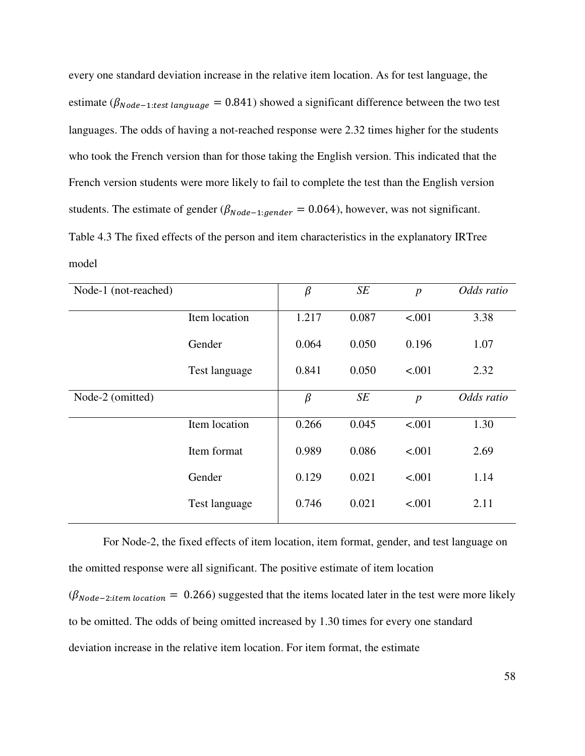every one standard deviation increase in the relative item location. As for test language, the estimate ( $\beta_{Node-1:test \ language} = 0.841$ ) showed a significant difference between the two test languages. The odds of having a not-reached response were 2.32 times higher for the students who took the French version than for those taking the English version. This indicated that the French version students were more likely to fail to complete the test than the English version students. The estimate of gender ( $\beta_{Node-1:gender} = 0.064$ ), however, was not significant. Table 4.3 The fixed effects of the person and item characteristics in the explanatory IRTree model

| Node-1 (not-reached) |               | $\beta$ | SE    | $\boldsymbol{p}$ | Odds ratio |
|----------------------|---------------|---------|-------|------------------|------------|
|                      | Item location | 1.217   | 0.087 | < .001           | 3.38       |
|                      | Gender        | 0.064   | 0.050 | 0.196            | 1.07       |
|                      | Test language | 0.841   | 0.050 | < .001           | 2.32       |
| Node-2 (omitted)     |               | $\beta$ | SE    | $\overline{p}$   | Odds ratio |
|                      | Item location | 0.266   | 0.045 | < .001           | 1.30       |
|                      | Item format   | 0.989   | 0.086 | < .001           | 2.69       |
|                      | Gender        | 0.129   | 0.021 | < .001           | 1.14       |
|                      | Test language | 0.746   | 0.021 | < .001           | 2.11       |
|                      |               |         |       |                  |            |

For Node-2, the fixed effects of item location, item format, gender, and test language on the omitted response were all significant. The positive estimate of item location  $(\beta_{Node-2:item location} = 0.266)$  suggested that the items located later in the test were more likely to be omitted. The odds of being omitted increased by 1.30 times for every one standard deviation increase in the relative item location. For item format, the estimate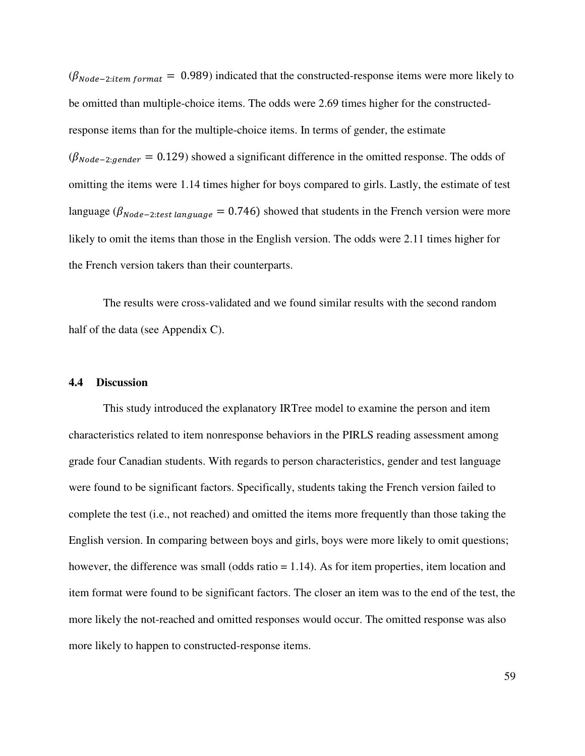$(\beta_{Node-2:item format} = 0.989)$  indicated that the constructed-response items were more likely to be omitted than multiple-choice items. The odds were 2.69 times higher for the constructedresponse items than for the multiple-choice items. In terms of gender, the estimate  $(\beta_{Node-2:gender} = 0.129)$  showed a significant difference in the omitted response. The odds of omitting the items were 1.14 times higher for boys compared to girls. Lastly, the estimate of test language ( $\beta_{Node-2:test\ language} = 0.746$ ) showed that students in the French version were more likely to omit the items than those in the English version. The odds were 2.11 times higher for the French version takers than their counterparts.

The results were cross-validated and we found similar results with the second random half of the data (see Appendix C).

### **4.4 Discussion**

This study introduced the explanatory IRTree model to examine the person and item characteristics related to item nonresponse behaviors in the PIRLS reading assessment among grade four Canadian students. With regards to person characteristics, gender and test language were found to be significant factors. Specifically, students taking the French version failed to complete the test (i.e., not reached) and omitted the items more frequently than those taking the English version. In comparing between boys and girls, boys were more likely to omit questions; however, the difference was small (odds ratio = 1.14). As for item properties, item location and item format were found to be significant factors. The closer an item was to the end of the test, the more likely the not-reached and omitted responses would occur. The omitted response was also more likely to happen to constructed-response items.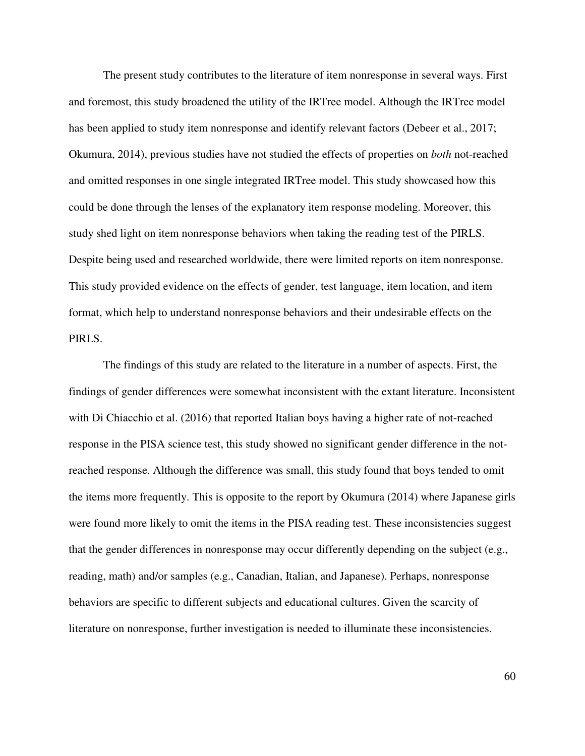The present study contributes to the literature of item nonresponse in several ways. First and foremost, this study broadened the utility of the IRTree model. Although the IRTree model has been applied to study item nonresponse and identify relevant factors (Debeer et al., 2017; Okumura, 2014), previous studies have not studied the effects of properties on *both* not-reached and omitted responses in one single integrated IRTree model. This study showcased how this could be done through the lenses of the explanatory item response modeling. Moreover, this study shed light on item nonresponse behaviors when taking the reading test of the PIRLS. Despite being used and researched worldwide, there were limited reports on item nonresponse. This study provided evidence on the effects of gender, test language, item location, and item format, which help to understand nonresponse behaviors and their undesirable effects on the PIRLS.

 The findings of this study are related to the literature in a number of aspects. First, the findings of gender differences were somewhat inconsistent with the extant literature. Inconsistent with Di Chiacchio et al. (2016) that reported Italian boys having a higher rate of not-reached response in the PISA science test, this study showed no significant gender difference in the notreached response. Although the difference was small, this study found that boys tended to omit the items more frequently. This is opposite to the report by Okumura (2014) where Japanese girls were found more likely to omit the items in the PISA reading test. These inconsistencies suggest that the gender differences in nonresponse may occur differently depending on the subject (e.g., reading, math) and/or samples (e.g., Canadian, Italian, and Japanese). Perhaps, nonresponse behaviors are specific to different subjects and educational cultures. Given the scarcity of literature on nonresponse, further investigation is needed to illuminate these inconsistencies.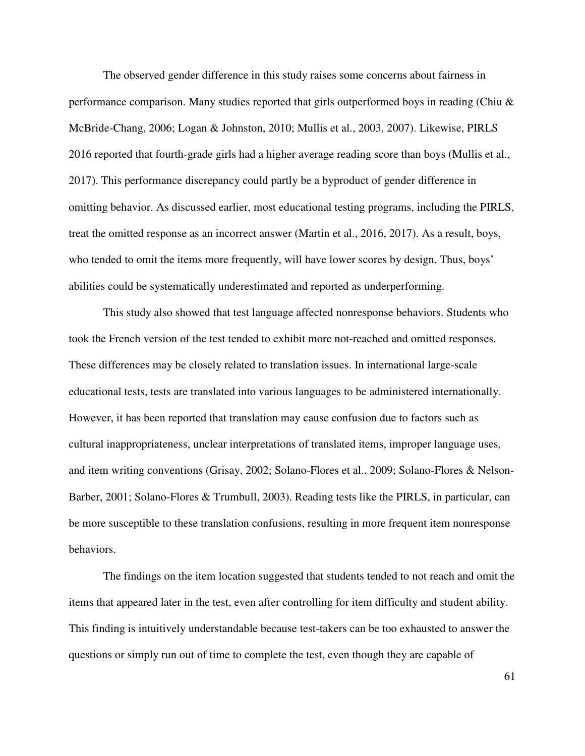The observed gender difference in this study raises some concerns about fairness in performance comparison. Many studies reported that girls outperformed boys in reading (Chiu & McBride-Chang, 2006; Logan & Johnston, 2010; Mullis et al., 2003, 2007). Likewise, PIRLS 2016 reported that fourth-grade girls had a higher average reading score than boys (Mullis et al., 2017). This performance discrepancy could partly be a byproduct of gender difference in omitting behavior. As discussed earlier, most educational testing programs, including the PIRLS, treat the omitted response as an incorrect answer (Martin et al., 2016, 2017). As a result, boys, who tended to omit the items more frequently, will have lower scores by design. Thus, boys' abilities could be systematically underestimated and reported as underperforming.

This study also showed that test language affected nonresponse behaviors. Students who took the French version of the test tended to exhibit more not-reached and omitted responses. These differences may be closely related to translation issues. In international large-scale educational tests, tests are translated into various languages to be administered internationally. However, it has been reported that translation may cause confusion due to factors such as cultural inappropriateness, unclear interpretations of translated items, improper language uses, and item writing conventions (Grisay, 2002; Solano-Flores et al., 2009; Solano‐Flores & Nelson‐ Barber, 2001; Solano-Flores & Trumbull, 2003). Reading tests like the PIRLS, in particular, can be more susceptible to these translation confusions, resulting in more frequent item nonresponse behaviors.

The findings on the item location suggested that students tended to not reach and omit the items that appeared later in the test, even after controlling for item difficulty and student ability. This finding is intuitively understandable because test-takers can be too exhausted to answer the questions or simply run out of time to complete the test, even though they are capable of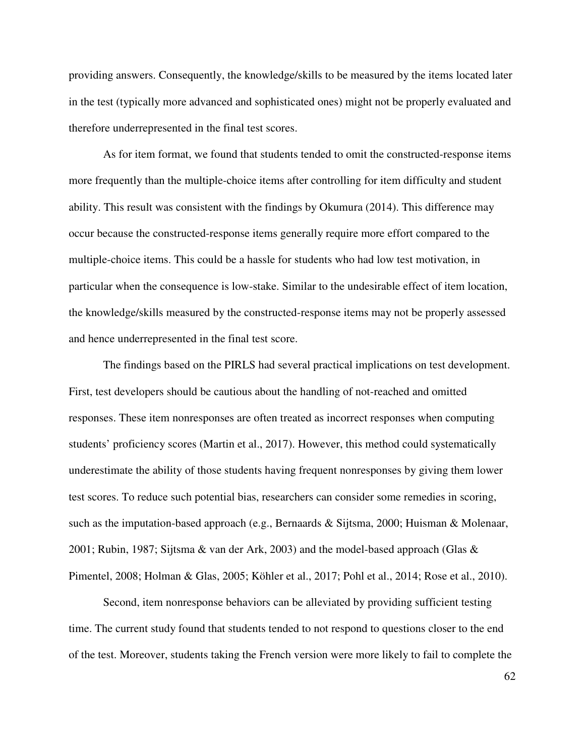providing answers. Consequently, the knowledge/skills to be measured by the items located later in the test (typically more advanced and sophisticated ones) might not be properly evaluated and therefore underrepresented in the final test scores.

As for item format, we found that students tended to omit the constructed-response items more frequently than the multiple-choice items after controlling for item difficulty and student ability. This result was consistent with the findings by Okumura (2014). This difference may occur because the constructed-response items generally require more effort compared to the multiple-choice items. This could be a hassle for students who had low test motivation, in particular when the consequence is low-stake. Similar to the undesirable effect of item location, the knowledge/skills measured by the constructed-response items may not be properly assessed and hence underrepresented in the final test score.

The findings based on the PIRLS had several practical implications on test development. First, test developers should be cautious about the handling of not-reached and omitted responses. These item nonresponses are often treated as incorrect responses when computing students' proficiency scores (Martin et al., 2017). However, this method could systematically underestimate the ability of those students having frequent nonresponses by giving them lower test scores. To reduce such potential bias, researchers can consider some remedies in scoring, such as the imputation-based approach (e.g., Bernaards & Sijtsma, 2000; Huisman & Molenaar, 2001; Rubin, 1987; Sijtsma & van der Ark, 2003) and the model-based approach (Glas & Pimentel, 2008; Holman & Glas, 2005; Köhler et al., 2017; Pohl et al., 2014; Rose et al., 2010).

Second, item nonresponse behaviors can be alleviated by providing sufficient testing time. The current study found that students tended to not respond to questions closer to the end of the test. Moreover, students taking the French version were more likely to fail to complete the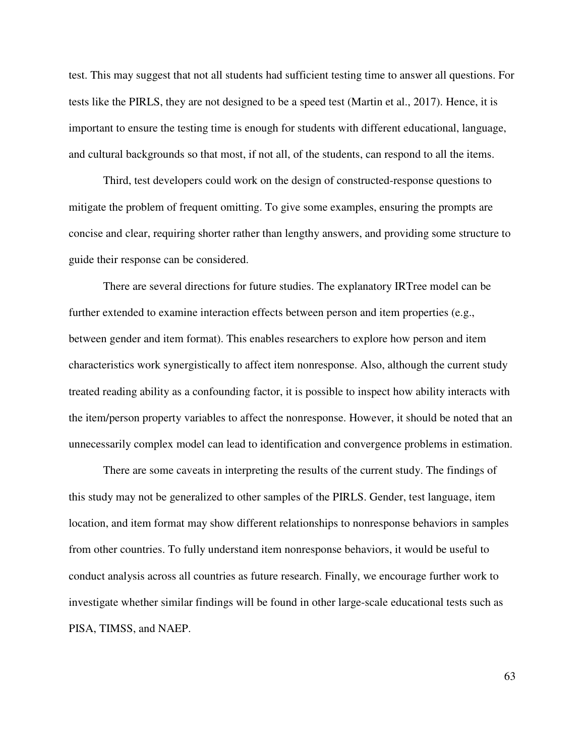test. This may suggest that not all students had sufficient testing time to answer all questions. For tests like the PIRLS, they are not designed to be a speed test (Martin et al., 2017). Hence, it is important to ensure the testing time is enough for students with different educational, language, and cultural backgrounds so that most, if not all, of the students, can respond to all the items.

Third, test developers could work on the design of constructed-response questions to mitigate the problem of frequent omitting. To give some examples, ensuring the prompts are concise and clear, requiring shorter rather than lengthy answers, and providing some structure to guide their response can be considered.

 There are several directions for future studies. The explanatory IRTree model can be further extended to examine interaction effects between person and item properties (e.g., between gender and item format). This enables researchers to explore how person and item characteristics work synergistically to affect item nonresponse. Also, although the current study treated reading ability as a confounding factor, it is possible to inspect how ability interacts with the item/person property variables to affect the nonresponse. However, it should be noted that an unnecessarily complex model can lead to identification and convergence problems in estimation.

There are some caveats in interpreting the results of the current study. The findings of this study may not be generalized to other samples of the PIRLS. Gender, test language, item location, and item format may show different relationships to nonresponse behaviors in samples from other countries. To fully understand item nonresponse behaviors, it would be useful to conduct analysis across all countries as future research. Finally, we encourage further work to investigate whether similar findings will be found in other large-scale educational tests such as PISA, TIMSS, and NAEP.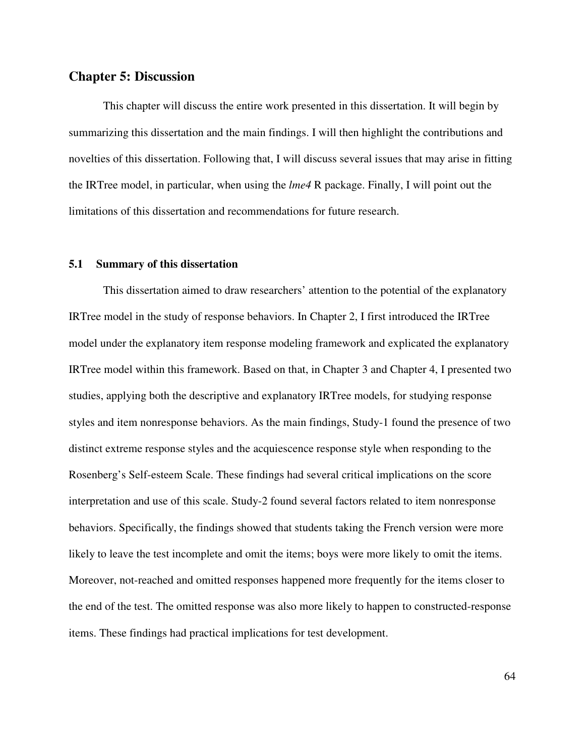### **Chapter 5: Discussion**

This chapter will discuss the entire work presented in this dissertation. It will begin by summarizing this dissertation and the main findings. I will then highlight the contributions and novelties of this dissertation. Following that, I will discuss several issues that may arise in fitting the IRTree model, in particular, when using the *lme4* R package. Finally, I will point out the limitations of this dissertation and recommendations for future research.

### **5.1 Summary of this dissertation**

This dissertation aimed to draw researchers' attention to the potential of the explanatory IRTree model in the study of response behaviors. In Chapter 2, I first introduced the IRTree model under the explanatory item response modeling framework and explicated the explanatory IRTree model within this framework. Based on that, in Chapter 3 and Chapter 4, I presented two studies, applying both the descriptive and explanatory IRTree models, for studying response styles and item nonresponse behaviors. As the main findings, Study-1 found the presence of two distinct extreme response styles and the acquiescence response style when responding to the Rosenberg's Self-esteem Scale. These findings had several critical implications on the score interpretation and use of this scale. Study-2 found several factors related to item nonresponse behaviors. Specifically, the findings showed that students taking the French version were more likely to leave the test incomplete and omit the items; boys were more likely to omit the items. Moreover, not-reached and omitted responses happened more frequently for the items closer to the end of the test. The omitted response was also more likely to happen to constructed-response items. These findings had practical implications for test development.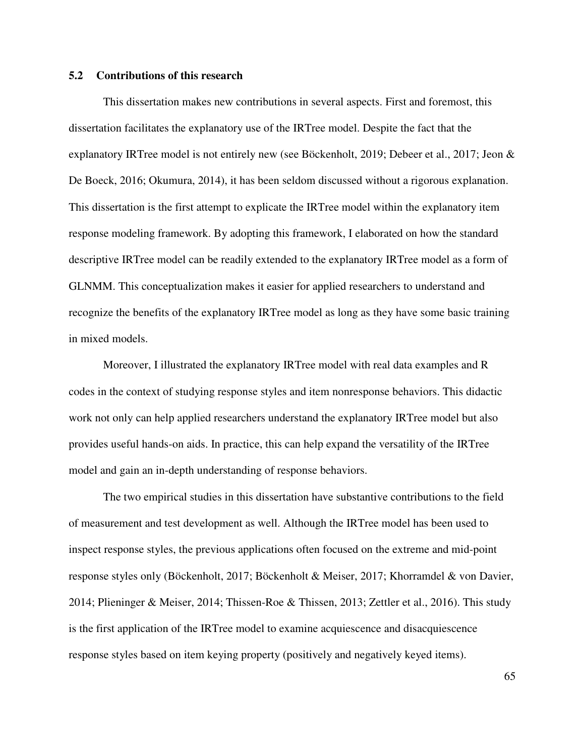### **5.2 Contributions of this research**

This dissertation makes new contributions in several aspects. First and foremost, this dissertation facilitates the explanatory use of the IRTree model. Despite the fact that the explanatory IRTree model is not entirely new (see Böckenholt, 2019; Debeer et al., 2017; Jeon & De Boeck, 2016; Okumura, 2014), it has been seldom discussed without a rigorous explanation. This dissertation is the first attempt to explicate the IRTree model within the explanatory item response modeling framework. By adopting this framework, I elaborated on how the standard descriptive IRTree model can be readily extended to the explanatory IRTree model as a form of GLNMM. This conceptualization makes it easier for applied researchers to understand and recognize the benefits of the explanatory IRTree model as long as they have some basic training in mixed models.

Moreover, I illustrated the explanatory IRTree model with real data examples and R codes in the context of studying response styles and item nonresponse behaviors. This didactic work not only can help applied researchers understand the explanatory IRTree model but also provides useful hands-on aids. In practice, this can help expand the versatility of the IRTree model and gain an in-depth understanding of response behaviors.

 The two empirical studies in this dissertation have substantive contributions to the field of measurement and test development as well. Although the IRTree model has been used to inspect response styles, the previous applications often focused on the extreme and mid-point response styles only (Böckenholt, 2017; Böckenholt & Meiser, 2017; Khorramdel & von Davier, 2014; Plieninger & Meiser, 2014; Thissen-Roe & Thissen, 2013; Zettler et al., 2016). This study is the first application of the IRTree model to examine acquiescence and disacquiescence response styles based on item keying property (positively and negatively keyed items).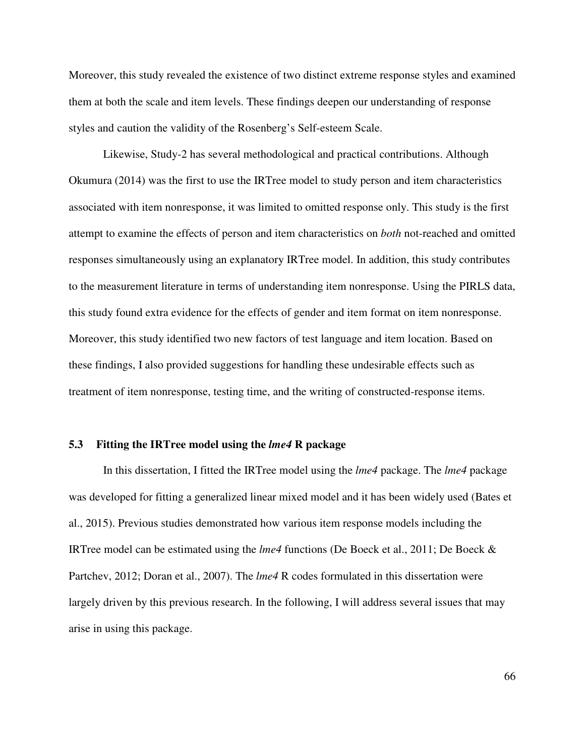Moreover, this study revealed the existence of two distinct extreme response styles and examined them at both the scale and item levels. These findings deepen our understanding of response styles and caution the validity of the Rosenberg's Self-esteem Scale.

 Likewise, Study-2 has several methodological and practical contributions. Although Okumura (2014) was the first to use the IRTree model to study person and item characteristics associated with item nonresponse, it was limited to omitted response only. This study is the first attempt to examine the effects of person and item characteristics on *both* not-reached and omitted responses simultaneously using an explanatory IRTree model. In addition, this study contributes to the measurement literature in terms of understanding item nonresponse. Using the PIRLS data, this study found extra evidence for the effects of gender and item format on item nonresponse. Moreover, this study identified two new factors of test language and item location. Based on these findings, I also provided suggestions for handling these undesirable effects such as treatment of item nonresponse, testing time, and the writing of constructed-response items.

### **5.3 Fitting the IRTree model using the** *lme4* **R package**

In this dissertation, I fitted the IRTree model using the *lme4* package. The *lme4* package was developed for fitting a generalized linear mixed model and it has been widely used (Bates et al., 2015). Previous studies demonstrated how various item response models including the IRTree model can be estimated using the *lme4* functions (De Boeck et al., 2011; De Boeck & Partchev, 2012; Doran et al., 2007). The *lme4* R codes formulated in this dissertation were largely driven by this previous research. In the following, I will address several issues that may arise in using this package.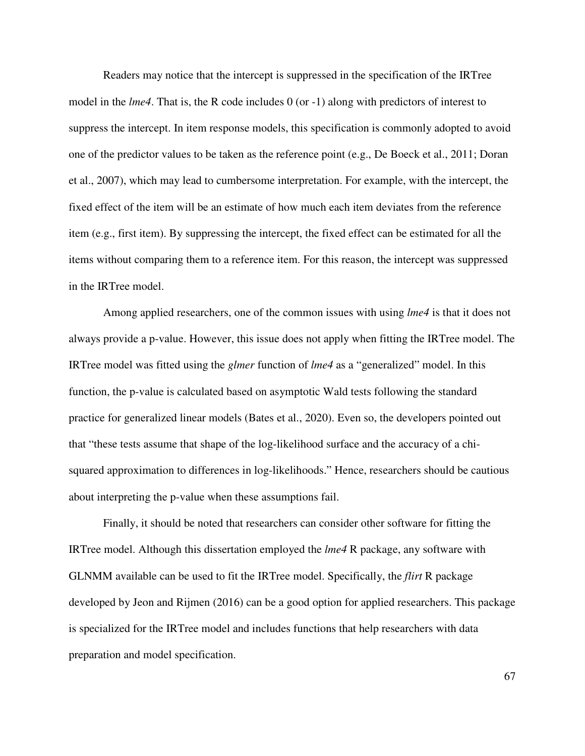Readers may notice that the intercept is suppressed in the specification of the IRTree model in the *lme4*. That is, the R code includes 0 (or -1) along with predictors of interest to suppress the intercept. In item response models, this specification is commonly adopted to avoid one of the predictor values to be taken as the reference point (e.g., De Boeck et al., 2011; Doran et al., 2007), which may lead to cumbersome interpretation. For example, with the intercept, the fixed effect of the item will be an estimate of how much each item deviates from the reference item (e.g., first item). By suppressing the intercept, the fixed effect can be estimated for all the items without comparing them to a reference item. For this reason, the intercept was suppressed in the IRTree model.

Among applied researchers, one of the common issues with using *lme4* is that it does not always provide a p-value. However, this issue does not apply when fitting the IRTree model. The IRTree model was fitted using the *glmer* function of *lme4* as a "generalized" model. In this function, the p-value is calculated based on asymptotic Wald tests following the standard practice for generalized linear models (Bates et al., 2020). Even so, the developers pointed out that "these tests assume that shape of the log-likelihood surface and the accuracy of a chisquared approximation to differences in log-likelihoods." Hence, researchers should be cautious about interpreting the p-value when these assumptions fail.

Finally, it should be noted that researchers can consider other software for fitting the IRTree model. Although this dissertation employed the *lme4* R package, any software with GLNMM available can be used to fit the IRTree model. Specifically, the *flirt* R package developed by Jeon and Rijmen (2016) can be a good option for applied researchers. This package is specialized for the IRTree model and includes functions that help researchers with data preparation and model specification.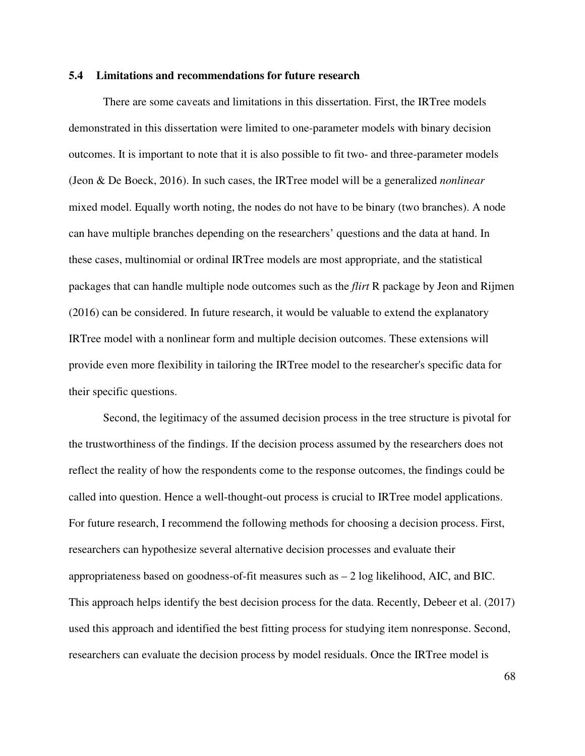### **5.4 Limitations and recommendations for future research**

There are some caveats and limitations in this dissertation. First, the IRTree models demonstrated in this dissertation were limited to one-parameter models with binary decision outcomes. It is important to note that it is also possible to fit two- and three-parameter models (Jeon & De Boeck, 2016). In such cases, the IRTree model will be a generalized *nonlinear* mixed model. Equally worth noting, the nodes do not have to be binary (two branches). A node can have multiple branches depending on the researchers' questions and the data at hand. In these cases, multinomial or ordinal IRTree models are most appropriate, and the statistical packages that can handle multiple node outcomes such as the *flirt* R package by Jeon and Rijmen (2016) can be considered. In future research, it would be valuable to extend the explanatory IRTree model with a nonlinear form and multiple decision outcomes. These extensions will provide even more flexibility in tailoring the IRTree model to the researcher's specific data for their specific questions.

Second, the legitimacy of the assumed decision process in the tree structure is pivotal for the trustworthiness of the findings. If the decision process assumed by the researchers does not reflect the reality of how the respondents come to the response outcomes, the findings could be called into question. Hence a well-thought-out process is crucial to IRTree model applications. For future research, I recommend the following methods for choosing a decision process. First, researchers can hypothesize several alternative decision processes and evaluate their appropriateness based on goodness-of-fit measures such as – 2 log likelihood, AIC, and BIC. This approach helps identify the best decision process for the data. Recently, Debeer et al. (2017) used this approach and identified the best fitting process for studying item nonresponse. Second, researchers can evaluate the decision process by model residuals. Once the IRTree model is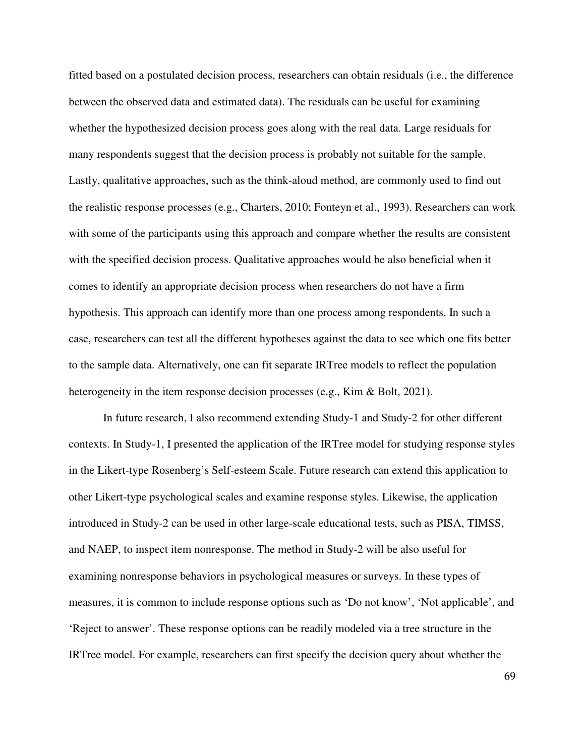fitted based on a postulated decision process, researchers can obtain residuals (i.e., the difference between the observed data and estimated data). The residuals can be useful for examining whether the hypothesized decision process goes along with the real data. Large residuals for many respondents suggest that the decision process is probably not suitable for the sample. Lastly, qualitative approaches, such as the think-aloud method, are commonly used to find out the realistic response processes (e.g., Charters, 2010; Fonteyn et al., 1993). Researchers can work with some of the participants using this approach and compare whether the results are consistent with the specified decision process. Qualitative approaches would be also beneficial when it comes to identify an appropriate decision process when researchers do not have a firm hypothesis. This approach can identify more than one process among respondents. In such a case, researchers can test all the different hypotheses against the data to see which one fits better to the sample data. Alternatively, one can fit separate IRTree models to reflect the population heterogeneity in the item response decision processes (e.g., Kim & Bolt, 2021).

In future research, I also recommend extending Study-1 and Study-2 for other different contexts. In Study-1, I presented the application of the IRTree model for studying response styles in the Likert-type Rosenberg's Self-esteem Scale. Future research can extend this application to other Likert-type psychological scales and examine response styles. Likewise, the application introduced in Study-2 can be used in other large-scale educational tests, such as PISA, TIMSS, and NAEP, to inspect item nonresponse. The method in Study-2 will be also useful for examining nonresponse behaviors in psychological measures or surveys. In these types of measures, it is common to include response options such as 'Do not know', 'Not applicable', and 'Reject to answer'. These response options can be readily modeled via a tree structure in the IRTree model. For example, researchers can first specify the decision query about whether the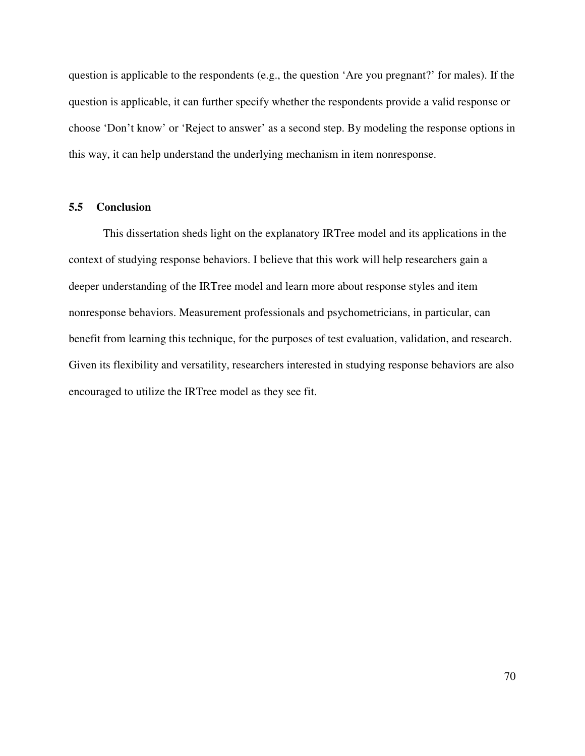question is applicable to the respondents (e.g., the question 'Are you pregnant?' for males). If the question is applicable, it can further specify whether the respondents provide a valid response or choose 'Don't know' or 'Reject to answer' as a second step. By modeling the response options in this way, it can help understand the underlying mechanism in item nonresponse.

### **5.5 Conclusion**

This dissertation sheds light on the explanatory IRTree model and its applications in the context of studying response behaviors. I believe that this work will help researchers gain a deeper understanding of the IRTree model and learn more about response styles and item nonresponse behaviors. Measurement professionals and psychometricians, in particular, can benefit from learning this technique, for the purposes of test evaluation, validation, and research. Given its flexibility and versatility, researchers interested in studying response behaviors are also encouraged to utilize the IRTree model as they see fit.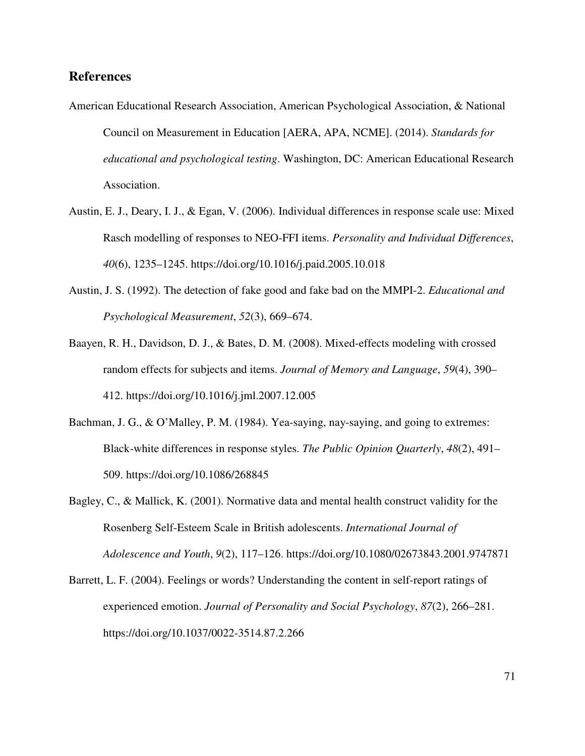# **References**

- American Educational Research Association, American Psychological Association, & National Council on Measurement in Education [AERA, APA, NCME]. (2014). *Standards for educational and psychological testing*. Washington, DC: American Educational Research Association.
- Austin, E. J., Deary, I. J., & Egan, V. (2006). Individual differences in response scale use: Mixed Rasch modelling of responses to NEO-FFI items. *Personality and Individual Differences*, *40*(6), 1235–1245. https://doi.org/10.1016/j.paid.2005.10.018
- Austin, J. S. (1992). The detection of fake good and fake bad on the MMPI-2. *Educational and Psychological Measurement*, *52*(3), 669–674.
- Baayen, R. H., Davidson, D. J., & Bates, D. M. (2008). Mixed-effects modeling with crossed random effects for subjects and items. *Journal of Memory and Language*, *59*(4), 390– 412. https://doi.org/10.1016/j.jml.2007.12.005
- Bachman, J. G., & O'Malley, P. M. (1984). Yea-saying, nay-saying, and going to extremes: Black-white differences in response styles. *The Public Opinion Quarterly*, *48*(2), 491– 509. https://doi.org/10.1086/268845
- Bagley, C., & Mallick, K. (2001). Normative data and mental health construct validity for the Rosenberg Self-Esteem Scale in British adolescents. *International Journal of Adolescence and Youth*, *9*(2), 117–126. https://doi.org/10.1080/02673843.2001.9747871
- Barrett, L. F. (2004). Feelings or words? Understanding the content in self-report ratings of experienced emotion. *Journal of Personality and Social Psychology*, *87*(2), 266–281. https://doi.org/10.1037/0022-3514.87.2.266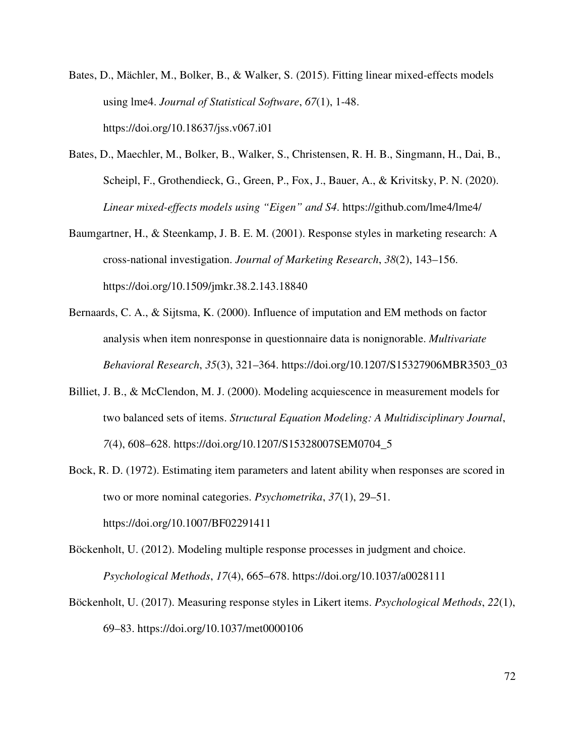- Bates, D., Mächler, M., Bolker, B., & Walker, S. (2015). Fitting linear mixed-effects models using lme4. *Journal of Statistical Software*, *67*(1), 1-48. https://doi.org/10.18637/jss.v067.i01
- Bates, D., Maechler, M., Bolker, B., Walker, S., Christensen, R. H. B., Singmann, H., Dai, B., Scheipl, F., Grothendieck, G., Green, P., Fox, J., Bauer, A., & Krivitsky, P. N. (2020). *Linear mixed-effects models using "Eigen" and S4*. https://github.com/lme4/lme4/
- Baumgartner, H., & Steenkamp, J. B. E. M. (2001). Response styles in marketing research: A cross-national investigation. *Journal of Marketing Research*, *38*(2), 143–156. https://doi.org/10.1509/jmkr.38.2.143.18840
- Bernaards, C. A., & Sijtsma, K. (2000). Influence of imputation and EM methods on factor analysis when item nonresponse in questionnaire data is nonignorable. *Multivariate Behavioral Research*, *35*(3), 321–364. https://doi.org/10.1207/S15327906MBR3503\_03
- Billiet, J. B., & McClendon, M. J. (2000). Modeling acquiescence in measurement models for two balanced sets of items. *Structural Equation Modeling: A Multidisciplinary Journal*, *7*(4), 608–628. https://doi.org/10.1207/S15328007SEM0704\_5
- Bock, R. D. (1972). Estimating item parameters and latent ability when responses are scored in two or more nominal categories. *Psychometrika*, *37*(1), 29–51. https://doi.org/10.1007/BF02291411
- Böckenholt, U. (2012). Modeling multiple response processes in judgment and choice. *Psychological Methods*, *17*(4), 665–678. https://doi.org/10.1037/a0028111
- Böckenholt, U. (2017). Measuring response styles in Likert items. *Psychological Methods*, *22*(1), 69–83. https://doi.org/10.1037/met0000106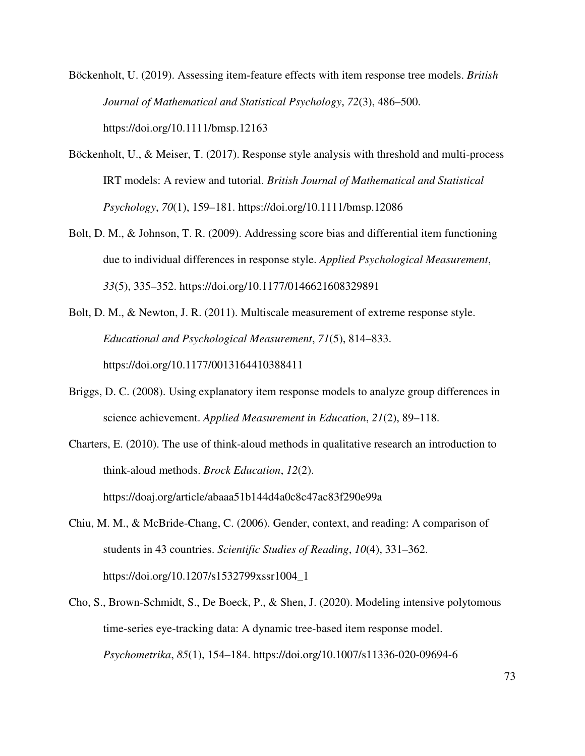Böckenholt, U. (2019). Assessing item‐feature effects with item response tree models. *British Journal of Mathematical and Statistical Psychology*, *72*(3), 486–500. https://doi.org/10.1111/bmsp.12163

- Böckenholt, U., & Meiser, T. (2017). Response style analysis with threshold and multi-process IRT models: A review and tutorial. *British Journal of Mathematical and Statistical Psychology*, *70*(1), 159–181. https://doi.org/10.1111/bmsp.12086
- Bolt, D. M., & Johnson, T. R. (2009). Addressing score bias and differential item functioning due to individual differences in response style. *Applied Psychological Measurement*, *33*(5), 335–352. https://doi.org/10.1177/0146621608329891
- Bolt, D. M., & Newton, J. R. (2011). Multiscale measurement of extreme response style. *Educational and Psychological Measurement*, *71*(5), 814–833. https://doi.org/10.1177/0013164410388411
- Briggs, D. C. (2008). Using explanatory item response models to analyze group differences in science achievement. *Applied Measurement in Education*, *21*(2), 89–118.
- Charters, E. (2010). The use of think-aloud methods in qualitative research an introduction to think-aloud methods. *Brock Education*, *12*(2). https://doaj.org/article/abaaa51b144d4a0c8c47ac83f290e99a
- Chiu, M. M., & McBride-Chang, C. (2006). Gender, context, and reading: A comparison of students in 43 countries. *Scientific Studies of Reading*, *10*(4), 331–362. https://doi.org/10.1207/s1532799xssr1004\_1
- Cho, S., Brown-Schmidt, S., De Boeck, P., & Shen, J. (2020). Modeling intensive polytomous time-series eye-tracking data: A dynamic tree-based item response model. *Psychometrika*, *85*(1), 154–184. https://doi.org/10.1007/s11336-020-09694-6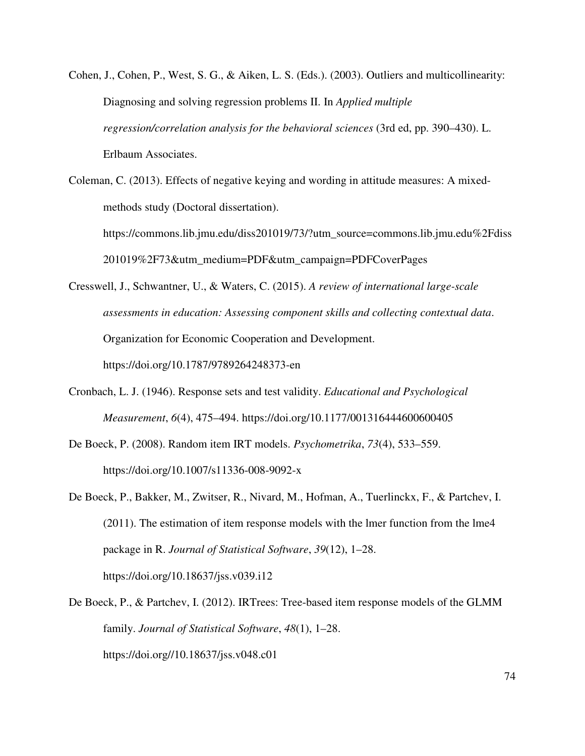Cohen, J., Cohen, P., West, S. G., & Aiken, L. S. (Eds.). (2003). Outliers and multicollinearity: Diagnosing and solving regression problems II. In *Applied multiple regression/correlation analysis for the behavioral sciences* (3rd ed, pp. 390–430). L. Erlbaum Associates.

Coleman, C. (2013). Effects of negative keying and wording in attitude measures: A mixedmethods study (Doctoral dissertation). https://commons.lib.jmu.edu/diss201019/73/?utm\_source=commons.lib.jmu.edu%2Fdiss 201019%2F73&utm\_medium=PDF&utm\_campaign=PDFCoverPages

Cresswell, J., Schwantner, U., & Waters, C. (2015). *A review of international large-scale assessments in education: Assessing component skills and collecting contextual data*. Organization for Economic Cooperation and Development. https://doi.org/10.1787/9789264248373-en

- Cronbach, L. J. (1946). Response sets and test validity. *Educational and Psychological Measurement*, *6*(4), 475–494. https://doi.org/10.1177/001316444600600405
- De Boeck, P. (2008). Random item IRT models. *Psychometrika*, *73*(4), 533–559. https://doi.org/10.1007/s11336-008-9092-x
- De Boeck, P., Bakker, M., Zwitser, R., Nivard, M., Hofman, A., Tuerlinckx, F., & Partchev, I. (2011). The estimation of item response models with the lmer function from the lme4 package in R. *Journal of Statistical Software*, *39*(12), 1–28. https://doi.org/10.18637/jss.v039.i12
- De Boeck, P., & Partchev, I. (2012). IRTrees: Tree-based item response models of the GLMM family. *Journal of Statistical Software*, *48*(1), 1–28. https://doi.org//10.18637/jss.v048.c01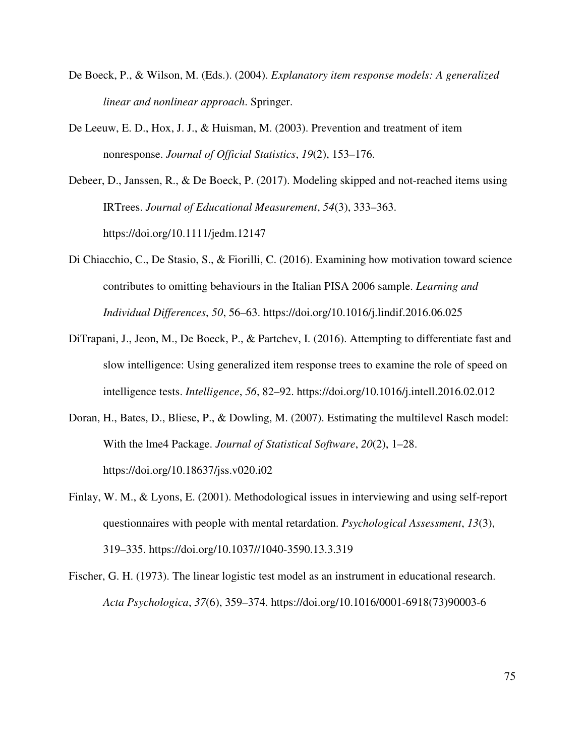- De Boeck, P., & Wilson, M. (Eds.). (2004). *Explanatory item response models: A generalized linear and nonlinear approach*. Springer.
- De Leeuw, E. D., Hox, J. J., & Huisman, M. (2003). Prevention and treatment of item nonresponse. *Journal of Official Statistics*, *19*(2), 153–176.

Debeer, D., Janssen, R., & De Boeck, P. (2017). Modeling skipped and not-reached items using IRTrees. *Journal of Educational Measurement*, *54*(3), 333–363. https://doi.org/10.1111/jedm.12147

- Di Chiacchio, C., De Stasio, S., & Fiorilli, C. (2016). Examining how motivation toward science contributes to omitting behaviours in the Italian PISA 2006 sample. *Learning and Individual Differences*, *50*, 56–63. https://doi.org/10.1016/j.lindif.2016.06.025
- DiTrapani, J., Jeon, M., De Boeck, P., & Partchev, I. (2016). Attempting to differentiate fast and slow intelligence: Using generalized item response trees to examine the role of speed on intelligence tests. *Intelligence*, *56*, 82–92. https://doi.org/10.1016/j.intell.2016.02.012
- Doran, H., Bates, D., Bliese, P., & Dowling, M. (2007). Estimating the multilevel Rasch model: With the lme4 Package. *Journal of Statistical Software*, *20*(2), 1–28. https://doi.org/10.18637/jss.v020.i02
- Finlay, W. M., & Lyons, E. (2001). Methodological issues in interviewing and using self-report questionnaires with people with mental retardation. *Psychological Assessment*, *13*(3), 319–335. https://doi.org/10.1037//1040-3590.13.3.319
- Fischer, G. H. (1973). The linear logistic test model as an instrument in educational research. *Acta Psychologica*, *37*(6), 359–374. https://doi.org/10.1016/0001-6918(73)90003-6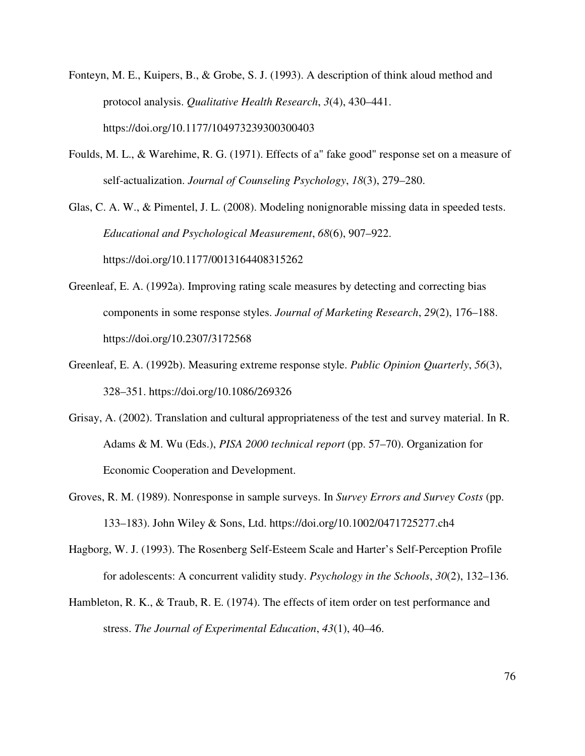- Fonteyn, M. E., Kuipers, B., & Grobe, S. J. (1993). A description of think aloud method and protocol analysis. *Qualitative Health Research*, *3*(4), 430–441. https://doi.org/10.1177/104973239300300403
- Foulds, M. L., & Warehime, R. G. (1971). Effects of a" fake good" response set on a measure of self-actualization. *Journal of Counseling Psychology*, *18*(3), 279–280.

Glas, C. A. W., & Pimentel, J. L. (2008). Modeling nonignorable missing data in speeded tests. *Educational and Psychological Measurement*, *68*(6), 907–922. https://doi.org/10.1177/0013164408315262

- Greenleaf, E. A. (1992a). Improving rating scale measures by detecting and correcting bias components in some response styles. *Journal of Marketing Research*, *29*(2), 176–188. https://doi.org/10.2307/3172568
- Greenleaf, E. A. (1992b). Measuring extreme response style. *Public Opinion Quarterly*, *56*(3), 328–351. https://doi.org/10.1086/269326
- Grisay, A. (2002). Translation and cultural appropriateness of the test and survey material. In R. Adams & M. Wu (Eds.), *PISA 2000 technical report* (pp. 57–70). Organization for Economic Cooperation and Development.
- Groves, R. M. (1989). Nonresponse in sample surveys. In *Survey Errors and Survey Costs* (pp. 133–183). John Wiley & Sons, Ltd. https://doi.org/10.1002/0471725277.ch4
- Hagborg, W. J. (1993). The Rosenberg Self-Esteem Scale and Harter's Self-Perception Profile for adolescents: A concurrent validity study. *Psychology in the Schools*, *30*(2), 132–136.
- Hambleton, R. K., & Traub, R. E. (1974). The effects of item order on test performance and stress. *The Journal of Experimental Education*, *43*(1), 40–46.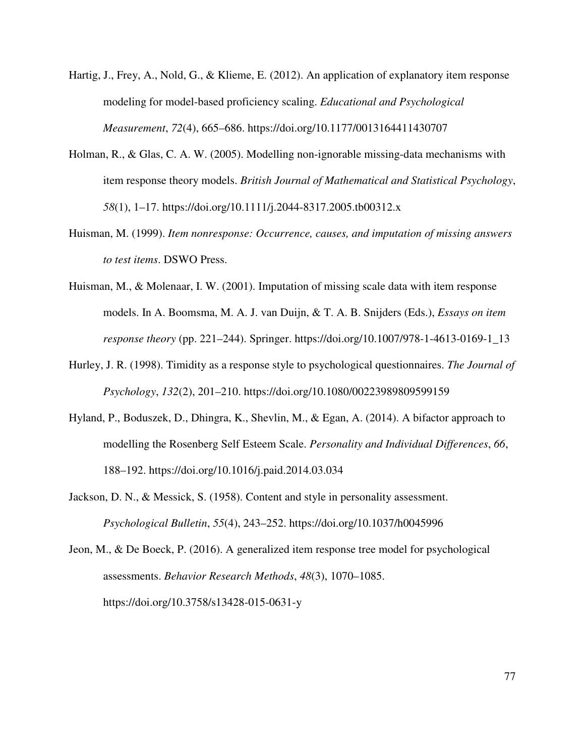- Hartig, J., Frey, A., Nold, G., & Klieme, E. (2012). An application of explanatory item response modeling for model-based proficiency scaling. *Educational and Psychological Measurement*, *72*(4), 665–686. https://doi.org/10.1177/0013164411430707
- Holman, R., & Glas, C. A. W. (2005). Modelling non-ignorable missing-data mechanisms with item response theory models. *British Journal of Mathematical and Statistical Psychology*, *58*(1), 1–17. https://doi.org/10.1111/j.2044-8317.2005.tb00312.x
- Huisman, M. (1999). *Item nonresponse: Occurrence, causes, and imputation of missing answers to test items*. DSWO Press.
- Huisman, M., & Molenaar, I. W. (2001). Imputation of missing scale data with item response models. In A. Boomsma, M. A. J. van Duijn, & T. A. B. Snijders (Eds.), *Essays on item response theory* (pp. 221–244). Springer. https://doi.org/10.1007/978-1-4613-0169-1\_13
- Hurley, J. R. (1998). Timidity as a response style to psychological questionnaires. *The Journal of Psychology*, *132*(2), 201–210. https://doi.org/10.1080/00223989809599159
- Hyland, P., Boduszek, D., Dhingra, K., Shevlin, M., & Egan, A. (2014). A bifactor approach to modelling the Rosenberg Self Esteem Scale. *Personality and Individual Differences*, *66*, 188–192. https://doi.org/10.1016/j.paid.2014.03.034
- Jackson, D. N., & Messick, S. (1958). Content and style in personality assessment. *Psychological Bulletin*, *55*(4), 243–252. https://doi.org/10.1037/h0045996

Jeon, M., & De Boeck, P. (2016). A generalized item response tree model for psychological assessments. *Behavior Research Methods*, *48*(3), 1070–1085. https://doi.org/10.3758/s13428-015-0631-y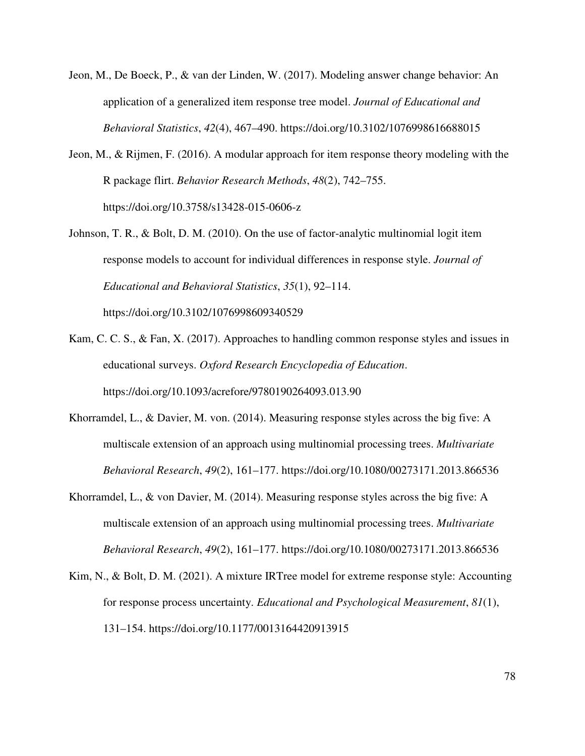- Jeon, M., De Boeck, P., & van der Linden, W. (2017). Modeling answer change behavior: An application of a generalized item response tree model. *Journal of Educational and Behavioral Statistics*, *42*(4), 467–490. https://doi.org/10.3102/1076998616688015
- Jeon, M., & Rijmen, F. (2016). A modular approach for item response theory modeling with the R package flirt. *Behavior Research Methods*, *48*(2), 742–755. https://doi.org/10.3758/s13428-015-0606-z
- Johnson, T. R., & Bolt, D. M. (2010). On the use of factor-analytic multinomial logit item response models to account for individual differences in response style. *Journal of Educational and Behavioral Statistics*, *35*(1), 92–114. https://doi.org/10.3102/1076998609340529
- Kam, C. C. S., & Fan, X. (2017). Approaches to handling common response styles and issues in educational surveys. *Oxford Research Encyclopedia of Education*. https://doi.org/10.1093/acrefore/9780190264093.013.90
- Khorramdel, L., & Davier, M. von. (2014). Measuring response styles across the big five: A multiscale extension of an approach using multinomial processing trees. *Multivariate Behavioral Research*, *49*(2), 161–177. https://doi.org/10.1080/00273171.2013.866536
- Khorramdel, L., & von Davier, M. (2014). Measuring response styles across the big five: A multiscale extension of an approach using multinomial processing trees. *Multivariate Behavioral Research*, *49*(2), 161–177. https://doi.org/10.1080/00273171.2013.866536
- Kim, N., & Bolt, D. M. (2021). A mixture IRTree model for extreme response style: Accounting for response process uncertainty. *Educational and Psychological Measurement*, *81*(1), 131–154. https://doi.org/10.1177/0013164420913915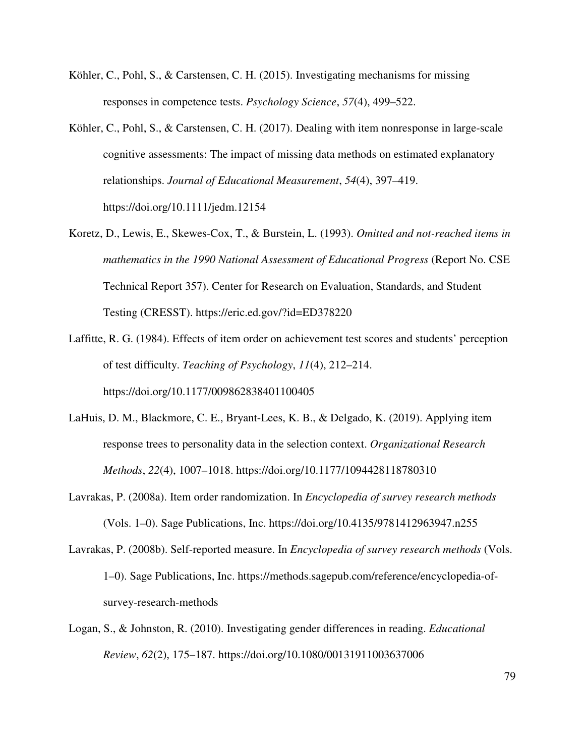- Köhler, C., Pohl, S., & Carstensen, C. H. (2015). Investigating mechanisms for missing responses in competence tests. *Psychology Science*, *57*(4), 499–522.
- Köhler, C., Pohl, S., & Carstensen, C. H. (2017). Dealing with item nonresponse in large-scale cognitive assessments: The impact of missing data methods on estimated explanatory relationships. *Journal of Educational Measurement*, *54*(4), 397–419. https://doi.org/10.1111/jedm.12154
- Koretz, D., Lewis, E., Skewes-Cox, T., & Burstein, L. (1993). *Omitted and not-reached items in mathematics in the 1990 National Assessment of Educational Progress* (Report No. CSE Technical Report 357). Center for Research on Evaluation, Standards, and Student Testing (CRESST). https://eric.ed.gov/?id=ED378220
- Laffitte, R. G. (1984). Effects of item order on achievement test scores and students' perception of test difficulty. *Teaching of Psychology*, *11*(4), 212–214. https://doi.org/10.1177/009862838401100405
- LaHuis, D. M., Blackmore, C. E., Bryant-Lees, K. B., & Delgado, K. (2019). Applying item response trees to personality data in the selection context. *Organizational Research Methods*, *22*(4), 1007–1018. https://doi.org/10.1177/1094428118780310
- Lavrakas, P. (2008a). Item order randomization. In *Encyclopedia of survey research methods* (Vols. 1–0). Sage Publications, Inc. https://doi.org/10.4135/9781412963947.n255
- Lavrakas, P. (2008b). Self-reported measure. In *Encyclopedia of survey research methods* (Vols. 1–0). Sage Publications, Inc. https://methods.sagepub.com/reference/encyclopedia-ofsurvey-research-methods
- Logan, S., & Johnston, R. (2010). Investigating gender differences in reading. *Educational Review*, *62*(2), 175–187. https://doi.org/10.1080/00131911003637006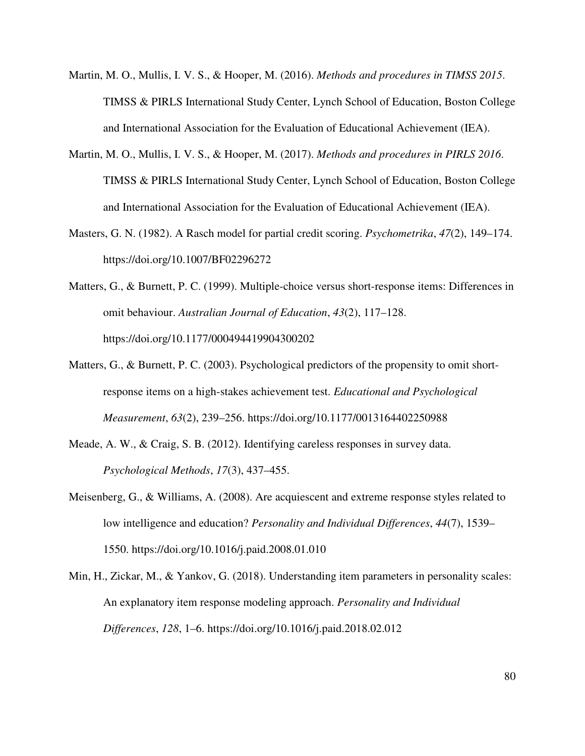- Martin, M. O., Mullis, I. V. S., & Hooper, M. (2016). *Methods and procedures in TIMSS 2015*. TIMSS & PIRLS International Study Center, Lynch School of Education, Boston College and International Association for the Evaluation of Educational Achievement (IEA).
- Martin, M. O., Mullis, I. V. S., & Hooper, M. (2017). *Methods and procedures in PIRLS 2016*. TIMSS & PIRLS International Study Center, Lynch School of Education, Boston College and International Association for the Evaluation of Educational Achievement (IEA).
- Masters, G. N. (1982). A Rasch model for partial credit scoring. *Psychometrika*, *47*(2), 149–174. https://doi.org/10.1007/BF02296272
- Matters, G., & Burnett, P. C. (1999). Multiple-choice versus short-response items: Differences in omit behaviour. *Australian Journal of Education*, *43*(2), 117–128. https://doi.org/10.1177/000494419904300202
- Matters, G., & Burnett, P. C. (2003). Psychological predictors of the propensity to omit shortresponse items on a high-stakes achievement test. *Educational and Psychological Measurement*, *63*(2), 239–256. https://doi.org/10.1177/0013164402250988
- Meade, A. W., & Craig, S. B. (2012). Identifying careless responses in survey data. *Psychological Methods*, *17*(3), 437–455.
- Meisenberg, G., & Williams, A. (2008). Are acquiescent and extreme response styles related to low intelligence and education? *Personality and Individual Differences*, *44*(7), 1539– 1550. https://doi.org/10.1016/j.paid.2008.01.010
- Min, H., Zickar, M., & Yankov, G. (2018). Understanding item parameters in personality scales: An explanatory item response modeling approach. *Personality and Individual Differences*, *128*, 1–6. https://doi.org/10.1016/j.paid.2018.02.012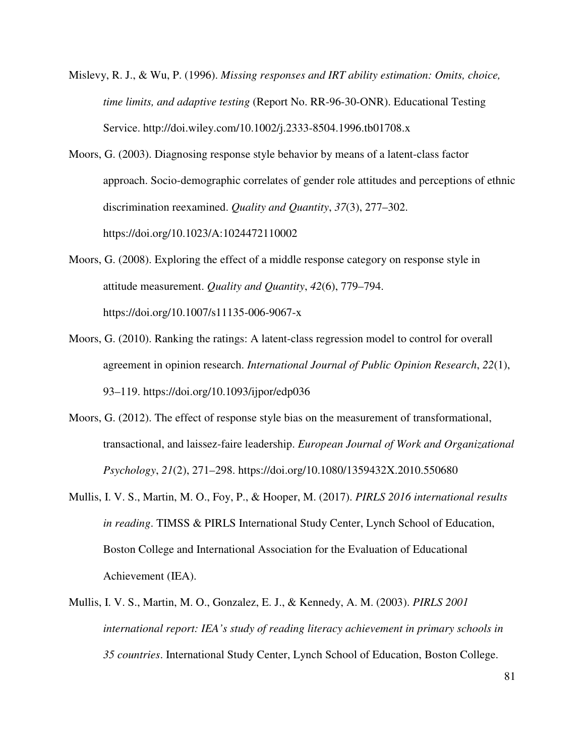- Mislevy, R. J., & Wu, P. (1996). *Missing responses and IRT ability estimation: Omits, choice, time limits, and adaptive testing* (Report No. RR-96-30-ONR). Educational Testing Service. http://doi.wiley.com/10.1002/j.2333-8504.1996.tb01708.x
- Moors, G. (2003). Diagnosing response style behavior by means of a latent-class factor approach. Socio-demographic correlates of gender role attitudes and perceptions of ethnic discrimination reexamined. *Quality and Quantity*, *37*(3), 277–302. https://doi.org/10.1023/A:1024472110002
- Moors, G. (2008). Exploring the effect of a middle response category on response style in attitude measurement. *Quality and Quantity*, *42*(6), 779–794. https://doi.org/10.1007/s11135-006-9067-x
- Moors, G. (2010). Ranking the ratings: A latent-class regression model to control for overall agreement in opinion research. *International Journal of Public Opinion Research*, *22*(1), 93–119. https://doi.org/10.1093/ijpor/edp036
- Moors, G. (2012). The effect of response style bias on the measurement of transformational, transactional, and laissez-faire leadership. *European Journal of Work and Organizational Psychology*, *21*(2), 271–298. https://doi.org/10.1080/1359432X.2010.550680
- Mullis, I. V. S., Martin, M. O., Foy, P., & Hooper, M. (2017). *PIRLS 2016 international results in reading*. TIMSS & PIRLS International Study Center, Lynch School of Education, Boston College and International Association for the Evaluation of Educational Achievement (IEA).
- Mullis, I. V. S., Martin, M. O., Gonzalez, E. J., & Kennedy, A. M. (2003). *PIRLS 2001 international report: IEA's study of reading literacy achievement in primary schools in 35 countries*. International Study Center, Lynch School of Education, Boston College.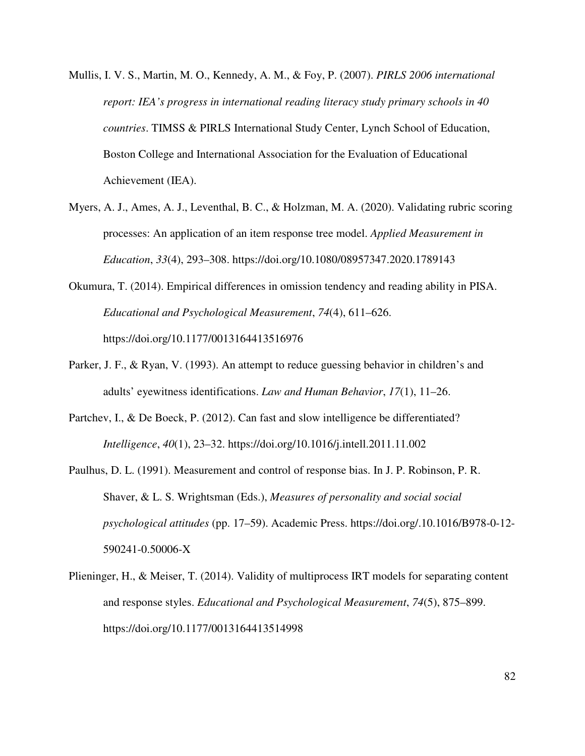- Mullis, I. V. S., Martin, M. O., Kennedy, A. M., & Foy, P. (2007). *PIRLS 2006 international report: IEA's progress in international reading literacy study primary schools in 40 countries*. TIMSS & PIRLS International Study Center, Lynch School of Education, Boston College and International Association for the Evaluation of Educational Achievement (IEA).
- Myers, A. J., Ames, A. J., Leventhal, B. C., & Holzman, M. A. (2020). Validating rubric scoring processes: An application of an item response tree model. *Applied Measurement in Education*, *33*(4), 293–308. https://doi.org/10.1080/08957347.2020.1789143
- Okumura, T. (2014). Empirical differences in omission tendency and reading ability in PISA. *Educational and Psychological Measurement*, *74*(4), 611–626. https://doi.org/10.1177/0013164413516976
- Parker, J. F., & Ryan, V. (1993). An attempt to reduce guessing behavior in children's and adults' eyewitness identifications. *Law and Human Behavior*, *17*(1), 11–26.
- Partchev, I., & De Boeck, P. (2012). Can fast and slow intelligence be differentiated? *Intelligence*, *40*(1), 23–32. https://doi.org/10.1016/j.intell.2011.11.002
- Paulhus, D. L. (1991). Measurement and control of response bias. In J. P. Robinson, P. R. Shaver, & L. S. Wrightsman (Eds.), *Measures of personality and social social psychological attitudes* (pp. 17–59). Academic Press. https://doi.org/.10.1016/B978-0-12- 590241-0.50006-X
- Plieninger, H., & Meiser, T. (2014). Validity of multiprocess IRT models for separating content and response styles. *Educational and Psychological Measurement*, *74*(5), 875–899. https://doi.org/10.1177/0013164413514998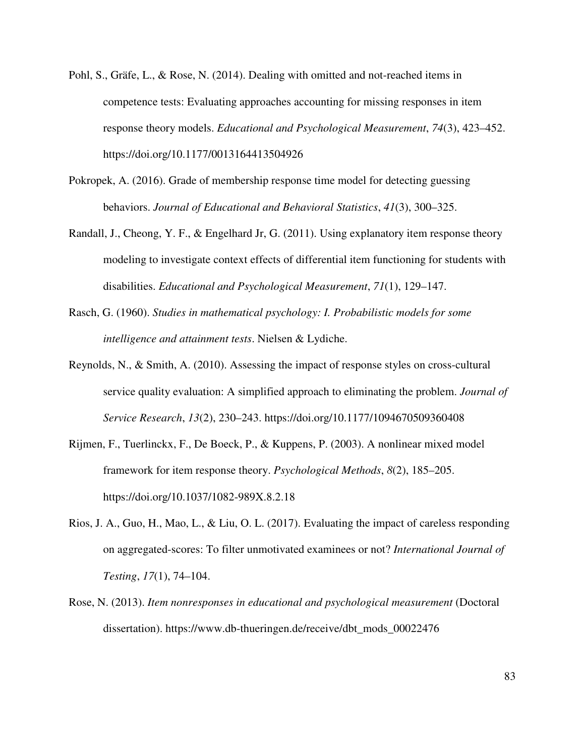- Pohl, S., Gräfe, L., & Rose, N. (2014). Dealing with omitted and not-reached items in competence tests: Evaluating approaches accounting for missing responses in item response theory models. *Educational and Psychological Measurement*, *74*(3), 423–452. https://doi.org/10.1177/0013164413504926
- Pokropek, A. (2016). Grade of membership response time model for detecting guessing behaviors. *Journal of Educational and Behavioral Statistics*, *41*(3), 300–325.
- Randall, J., Cheong, Y. F., & Engelhard Jr, G. (2011). Using explanatory item response theory modeling to investigate context effects of differential item functioning for students with disabilities. *Educational and Psychological Measurement*, *71*(1), 129–147.
- Rasch, G. (1960). *Studies in mathematical psychology: I. Probabilistic models for some intelligence and attainment tests*. Nielsen & Lydiche.
- Reynolds, N., & Smith, A. (2010). Assessing the impact of response styles on cross-cultural service quality evaluation: A simplified approach to eliminating the problem. *Journal of Service Research*, *13*(2), 230–243. https://doi.org/10.1177/1094670509360408
- Rijmen, F., Tuerlinckx, F., De Boeck, P., & Kuppens, P. (2003). A nonlinear mixed model framework for item response theory. *Psychological Methods*, *8*(2), 185–205. https://doi.org/10.1037/1082-989X.8.2.18
- Rios, J. A., Guo, H., Mao, L., & Liu, O. L. (2017). Evaluating the impact of careless responding on aggregated-scores: To filter unmotivated examinees or not? *International Journal of Testing*, *17*(1), 74–104.
- Rose, N. (2013). *Item nonresponses in educational and psychological measurement* (Doctoral dissertation). https://www.db-thueringen.de/receive/dbt\_mods\_00022476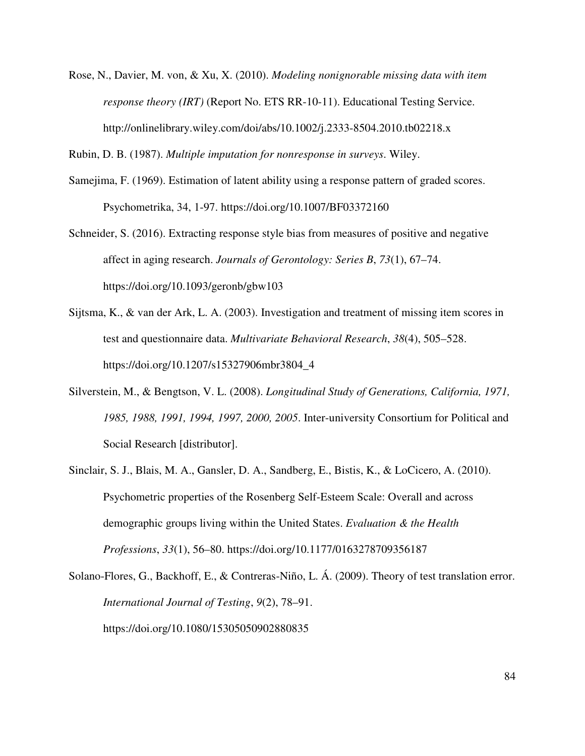Rose, N., Davier, M. von, & Xu, X. (2010). *Modeling nonignorable missing data with item response theory (IRT)* (Report No. ETS RR-10-11). Educational Testing Service. http://onlinelibrary.wiley.com/doi/abs/10.1002/j.2333-8504.2010.tb02218.x

Rubin, D. B. (1987). *Multiple imputation for nonresponse in surveys*. Wiley.

- Samejima, F. (1969). Estimation of latent ability using a response pattern of graded scores. Psychometrika, 34, 1-97. https://doi.org/10.1007/BF03372160
- Schneider, S. (2016). Extracting response style bias from measures of positive and negative affect in aging research. *Journals of Gerontology: Series B*, *73*(1), 67–74. https://doi.org/10.1093/geronb/gbw103
- Sijtsma, K., & van der Ark, L. A. (2003). Investigation and treatment of missing item scores in test and questionnaire data. *Multivariate Behavioral Research*, *38*(4), 505–528. https://doi.org/10.1207/s15327906mbr3804\_4
- Silverstein, M., & Bengtson, V. L. (2008). *Longitudinal Study of Generations, California, 1971, 1985, 1988, 1991, 1994, 1997, 2000, 2005*. Inter-university Consortium for Political and Social Research [distributor].
- Sinclair, S. J., Blais, M. A., Gansler, D. A., Sandberg, E., Bistis, K., & LoCicero, A. (2010). Psychometric properties of the Rosenberg Self-Esteem Scale: Overall and across demographic groups living within the United States. *Evaluation & the Health Professions*, *33*(1), 56–80. https://doi.org/10.1177/0163278709356187
- Solano-Flores, G., Backhoff, E., & Contreras-Niño, L. Á. (2009). Theory of test translation error. *International Journal of Testing*, *9*(2), 78–91. https://doi.org/10.1080/15305050902880835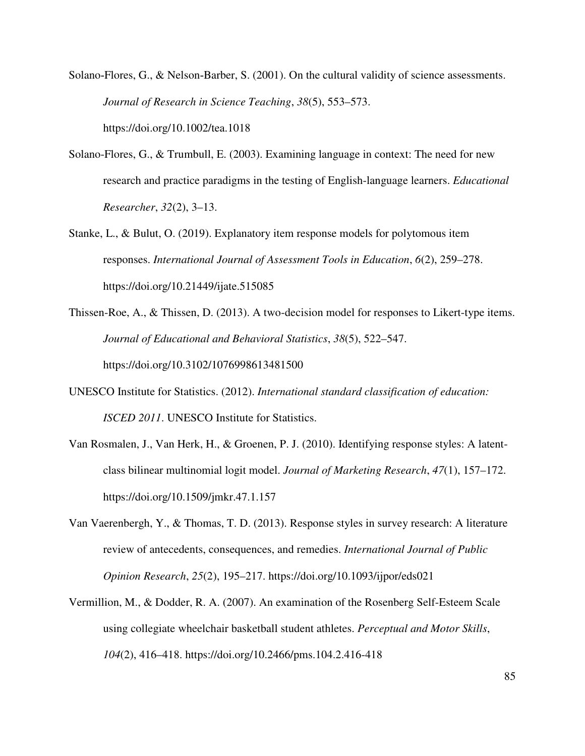Solano-Flores, G., & Nelson-Barber, S. (2001). On the cultural validity of science assessments. *Journal of Research in Science Teaching*, *38*(5), 553–573. https://doi.org/10.1002/tea.1018

- Solano-Flores, G., & Trumbull, E. (2003). Examining language in context: The need for new research and practice paradigms in the testing of English-language learners. *Educational Researcher*, *32*(2), 3–13.
- Stanke, L., & Bulut, O. (2019). Explanatory item response models for polytomous item responses. *International Journal of Assessment Tools in Education*, *6*(2), 259–278. https://doi.org/10.21449/ijate.515085
- Thissen-Roe, A., & Thissen, D. (2013). A two-decision model for responses to Likert-type items. *Journal of Educational and Behavioral Statistics*, *38*(5), 522–547. https://doi.org/10.3102/1076998613481500
- UNESCO Institute for Statistics. (2012). *International standard classification of education: ISCED 2011*. UNESCO Institute for Statistics.
- Van Rosmalen, J., Van Herk, H., & Groenen, P. J. (2010). Identifying response styles: A latentclass bilinear multinomial logit model. *Journal of Marketing Research*, *47*(1), 157–172. https://doi.org/10.1509/jmkr.47.1.157
- Van Vaerenbergh, Y., & Thomas, T. D. (2013). Response styles in survey research: A literature review of antecedents, consequences, and remedies. *International Journal of Public Opinion Research*, *25*(2), 195–217. https://doi.org/10.1093/ijpor/eds021
- Vermillion, M., & Dodder, R. A. (2007). An examination of the Rosenberg Self-Esteem Scale using collegiate wheelchair basketball student athletes. *Perceptual and Motor Skills*, *104*(2), 416–418. https://doi.org/10.2466/pms.104.2.416-418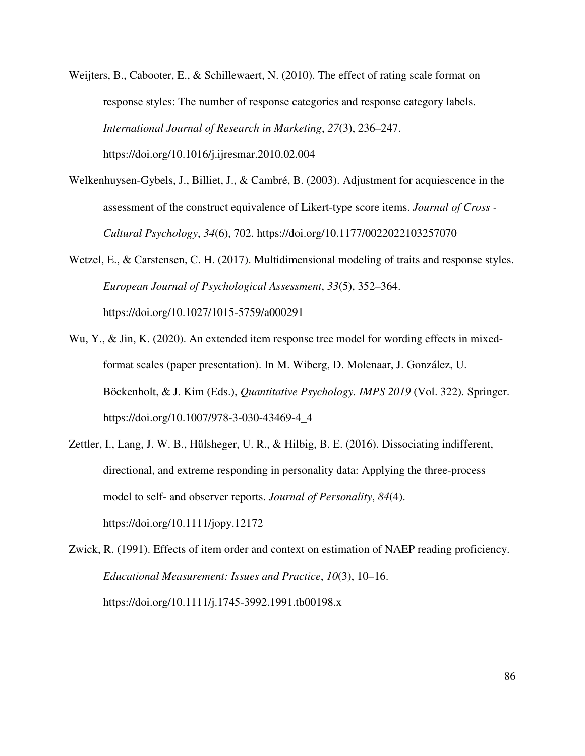- Weijters, B., Cabooter, E., & Schillewaert, N. (2010). The effect of rating scale format on response styles: The number of response categories and response category labels. *International Journal of Research in Marketing*, *27*(3), 236–247. https://doi.org/10.1016/j.ijresmar.2010.02.004
- Welkenhuysen-Gybels, J., Billiet, J., & Cambré, B. (2003). Adjustment for acquiescence in the assessment of the construct equivalence of Likert-type score items. *Journal of Cross - Cultural Psychology*, *34*(6), 702. https://doi.org/10.1177/0022022103257070
- Wetzel, E., & Carstensen, C. H. (2017). Multidimensional modeling of traits and response styles. *European Journal of Psychological Assessment*, *33*(5), 352–364. https://doi.org/10.1027/1015-5759/a000291
- Wu, Y., & Jin, K. (2020). An extended item response tree model for wording effects in mixedformat scales (paper presentation). In M. Wiberg, D. Molenaar, J. González, U. Böckenholt, & J. Kim (Eds.), *Quantitative Psychology. IMPS 2019* (Vol. 322). Springer. https://doi.org/10.1007/978-3-030-43469-4\_4
- Zettler, I., Lang, J. W. B., Hülsheger, U. R., & Hilbig, B. E. (2016). Dissociating indifferent, directional, and extreme responding in personality data: Applying the three-process model to self- and observer reports. *Journal of Personality*, *84*(4). https://doi.org/10.1111/jopy.12172
- Zwick, R. (1991). Effects of item order and context on estimation of NAEP reading proficiency. *Educational Measurement: Issues and Practice*, *10*(3), 10–16. https://doi.org/10.1111/j.1745-3992.1991.tb00198.x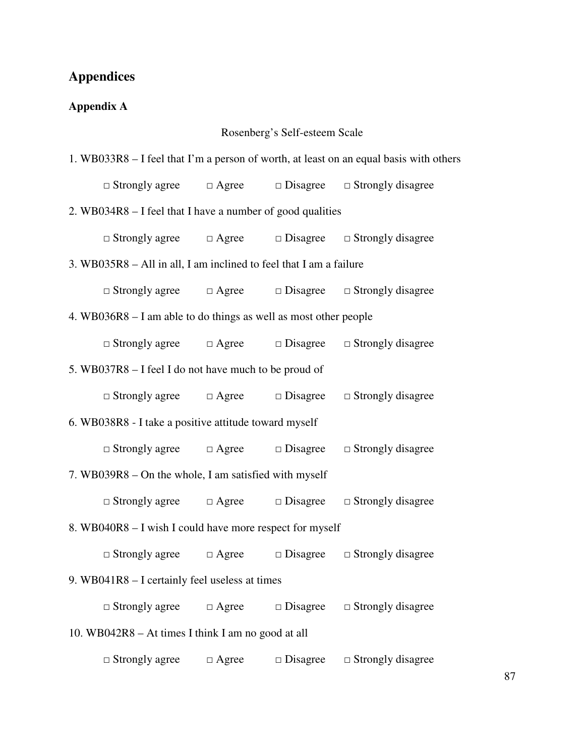# **Appendices**

# **Appendix A**

# Rosenberg's Self-esteem Scale

| 1. WB033R8 – I feel that I'm a person of worth, at least on an equal basis with others |                                                                             |              |                    |                          |  |
|----------------------------------------------------------------------------------------|-----------------------------------------------------------------------------|--------------|--------------------|--------------------------|--|
|                                                                                        | $\Box$ Strongly agree $\Box$ Agree $\Box$ Disagree $\Box$ Strongly disagree |              |                    |                          |  |
| 2. WB034R8 – I feel that I have a number of good qualities                             |                                                                             |              |                    |                          |  |
|                                                                                        | $\Box$ Strongly agree $\Box$ Agree $\Box$ Disagree $\Box$ Strongly disagree |              |                    |                          |  |
| 3. WB035R8 – All in all, I am inclined to feel that I am a failure                     |                                                                             |              |                    |                          |  |
|                                                                                        | $\Box$ Strongly agree $\Box$ Agree $\Box$ Disagree $\Box$ Strongly disagree |              |                    |                          |  |
| 4. WB036R8 – I am able to do things as well as most other people                       |                                                                             |              |                    |                          |  |
|                                                                                        | $\Box$ Strongly agree $\Box$ Agree $\Box$ Disagree $\Box$ Strongly disagree |              |                    |                          |  |
|                                                                                        | 5. WB037R8 – I feel I do not have much to be proud of                       |              |                    |                          |  |
|                                                                                        | $\Box$ Strongly agree $\Box$ Agree $\Box$ Disagree $\Box$ Strongly disagree |              |                    |                          |  |
| 6. WB038R8 - I take a positive attitude toward myself                                  |                                                                             |              |                    |                          |  |
|                                                                                        | $\Box$ Strongly agree $\Box$ Agree $\Box$ Disagree                          |              |                    | $\Box$ Strongly disagree |  |
| 7. WB039R8 – On the whole, I am satisfied with myself                                  |                                                                             |              |                    |                          |  |
|                                                                                        | $\Box$ Strongly agree $\Box$ Agree $\Box$ Disagree                          |              |                    | $\Box$ Strongly disagree |  |
| 8. WB040R8 - I wish I could have more respect for myself                               |                                                                             |              |                    |                          |  |
|                                                                                        | $\Box$ Strongly agree $\Box$ Agree $\Box$ Disagree                          |              |                    | $\Box$ Strongly disagree |  |
| 9. WB041R8 - I certainly feel useless at times                                         |                                                                             |              |                    |                          |  |
|                                                                                        | $\Box$ Strongly agree                                                       | $\Box$ Agree | $\Box$ Disagree    | $\Box$ Strongly disagree |  |
| 10. WB042R8 – At times I think I am no good at all                                     |                                                                             |              |                    |                          |  |
|                                                                                        | $\Box$ Strongly agree                                                       | $\Box$ Agree | $\square$ Disagree | $\Box$ Strongly disagree |  |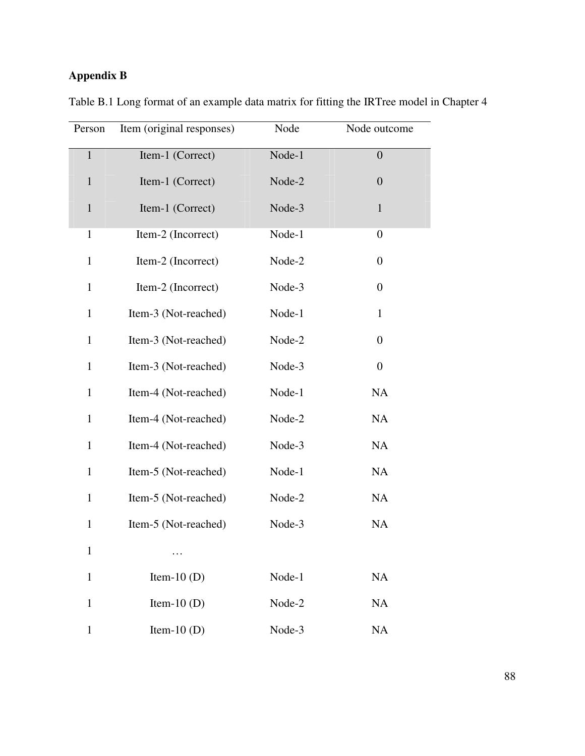# **Appendix B**

| Person       | Item (original responses) | Node   | Node outcome     |
|--------------|---------------------------|--------|------------------|
| $\mathbf{1}$ | Item-1 (Correct)          | Node-1 | $\overline{0}$   |
| $\mathbf{1}$ | Item-1 (Correct)          | Node-2 | $\overline{0}$   |
| $\mathbf{1}$ | Item-1 (Correct)          | Node-3 | $\mathbf{1}$     |
| $\mathbf{1}$ | Item-2 (Incorrect)        | Node-1 | $\boldsymbol{0}$ |
| $\mathbf{1}$ | Item-2 (Incorrect)        | Node-2 | $\boldsymbol{0}$ |
| $\mathbf{1}$ | Item-2 (Incorrect)        | Node-3 | $\boldsymbol{0}$ |
| $\mathbf{1}$ | Item-3 (Not-reached)      | Node-1 | $\mathbf{1}$     |
| $\mathbf{1}$ | Item-3 (Not-reached)      | Node-2 | $\overline{0}$   |
| $\mathbf{1}$ | Item-3 (Not-reached)      | Node-3 | $\boldsymbol{0}$ |
| $\mathbf{1}$ | Item-4 (Not-reached)      | Node-1 | <b>NA</b>        |
| $\mathbf{1}$ | Item-4 (Not-reached)      | Node-2 | <b>NA</b>        |
| $\mathbf{1}$ | Item-4 (Not-reached)      | Node-3 | NA               |
| $\mathbf{1}$ | Item-5 (Not-reached)      | Node-1 | <b>NA</b>        |
| $\mathbf{1}$ | Item-5 (Not-reached)      | Node-2 | <b>NA</b>        |
| $\mathbf{1}$ | Item-5 (Not-reached)      | Node-3 | NA               |
| $\mathbf{1}$ | .                         |        |                  |
| $\mathbf{1}$ | Item-10 $(D)$             | Node-1 | NA               |
| $\mathbf{1}$ | Item-10 $(D)$             | Node-2 | <b>NA</b>        |
| $\mathbf{1}$ | Item-10 $(D)$             | Node-3 | <b>NA</b>        |

Table B.1 Long format of an example data matrix for fitting the IRTree model in Chapter 4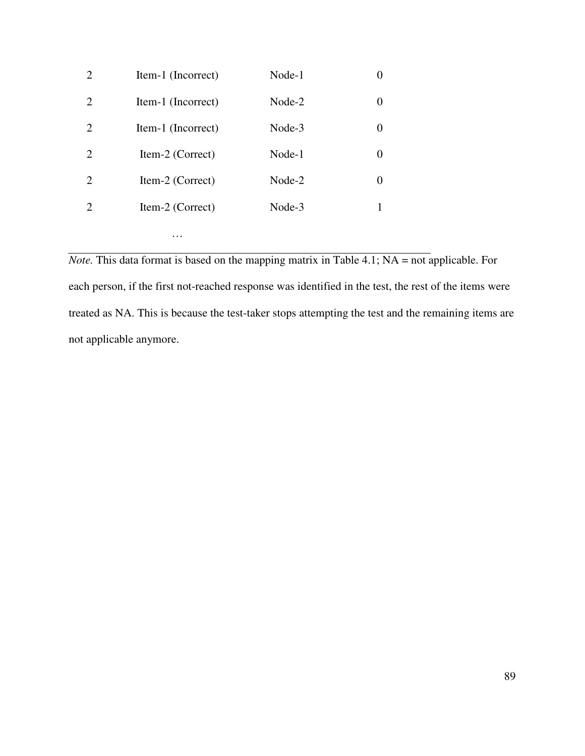| 2                           | Item-1 (Incorrect) | Node-1 |          |
|-----------------------------|--------------------|--------|----------|
| 2                           | Item-1 (Incorrect) | Node-2 |          |
| $\mathcal{D}_{\mathcal{L}}$ | Item-1 (Incorrect) | Node-3 | $\theta$ |
| $\mathcal{D}_{\mathcal{L}}$ | Item-2 (Correct)   | Node-1 |          |
| 2                           | Item-2 (Correct)   | Node-2 | $\theta$ |
| $\mathcal{D}_{\mathcal{L}}$ | Item-2 (Correct)   | Node-3 |          |
|                             | .                  |        |          |

*Note.* This data format is based on the mapping matrix in Table 4.1; NA = not applicable. For each person, if the first not-reached response was identified in the test, the rest of the items were treated as NA. This is because the test-taker stops attempting the test and the remaining items are not applicable anymore.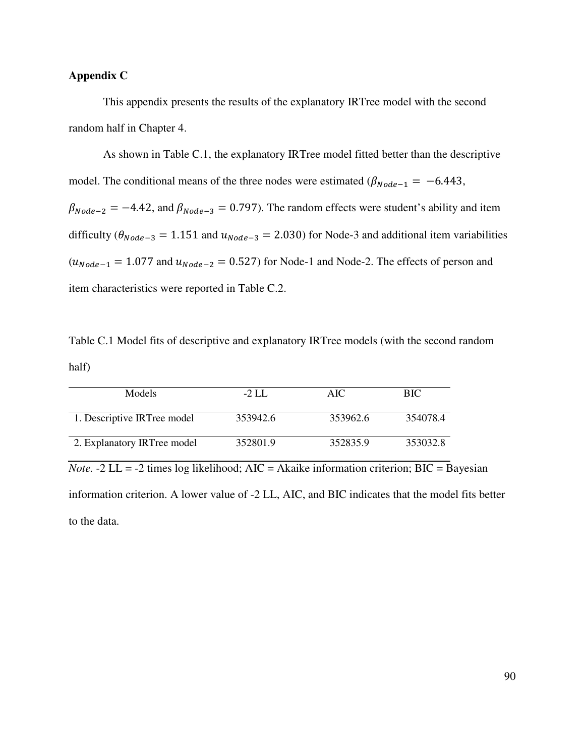# **Appendix C**

This appendix presents the results of the explanatory IRTree model with the second random half in Chapter 4.

As shown in Table C.1, the explanatory IRTree model fitted better than the descriptive model. The conditional means of the three nodes were estimated ( $\beta_{Node-1} = -6.443$ ,  $\beta_{Node-2} = -4.42$ , and  $\beta_{Node-3} = 0.797$ . The random effects were student's ability and item difficulty ( $\theta_{Node-3} = 1.151$  and  $u_{Node-3} = 2.030$ ) for Node-3 and additional item variabilities  $(u_{Node-1} = 1.077$  and  $u_{Node-2} = 0.527$  for Node-1 and Node-2. The effects of person and item characteristics were reported in Table C.2.

Table C.1 Model fits of descriptive and explanatory IRTree models (with the second random half)

| <b>Models</b>               | $-2$ LL  | AIC.     | <b>BIC</b> |
|-----------------------------|----------|----------|------------|
| 1. Descriptive IRTree model | 353942.6 | 353962.6 | 354078.4   |
| 2. Explanatory IRTree model | 352801.9 | 352835.9 | 353032.8   |

*Note.*  $-2$  LL =  $-2$  times log likelihood; AIC = Akaike information criterion; BIC = Bayesian information criterion. A lower value of -2 LL, AIC, and BIC indicates that the model fits better to the data.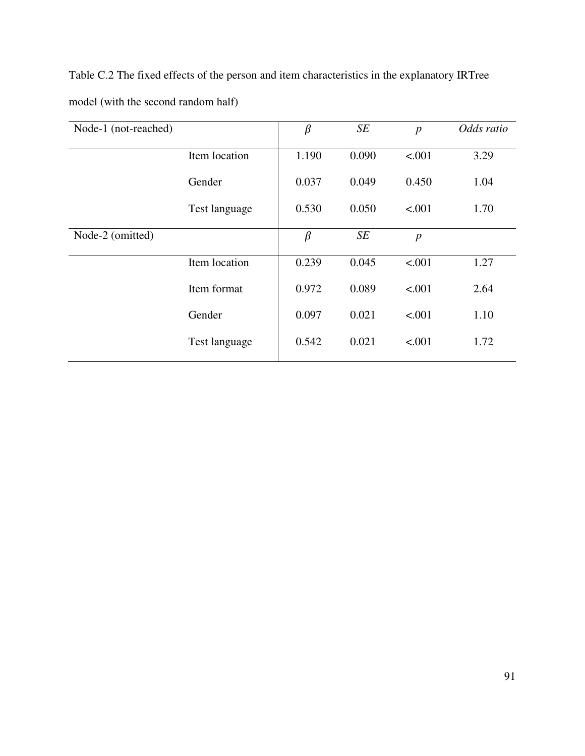Table C.2 The fixed effects of the person and item characteristics in the explanatory IRTree model (with the second random half)

| Node-1 (not-reached) |               | $\beta$ | SE    | $\overline{p}$   | Odds ratio |
|----------------------|---------------|---------|-------|------------------|------------|
|                      | Item location | 1.190   | 0.090 | < .001           | 3.29       |
|                      | Gender        | 0.037   | 0.049 | 0.450            | 1.04       |
|                      | Test language | 0.530   | 0.050 | < .001           | 1.70       |
| Node-2 (omitted)     |               | $\beta$ | SE    | $\boldsymbol{p}$ |            |
|                      | Item location | 0.239   | 0.045 | < .001           | 1.27       |
|                      | Item format   | 0.972   | 0.089 | < .001           | 2.64       |
|                      | Gender        | 0.097   | 0.021 | < .001           | 1.10       |
|                      | Test language | 0.542   | 0.021 | < .001           | 1.72       |